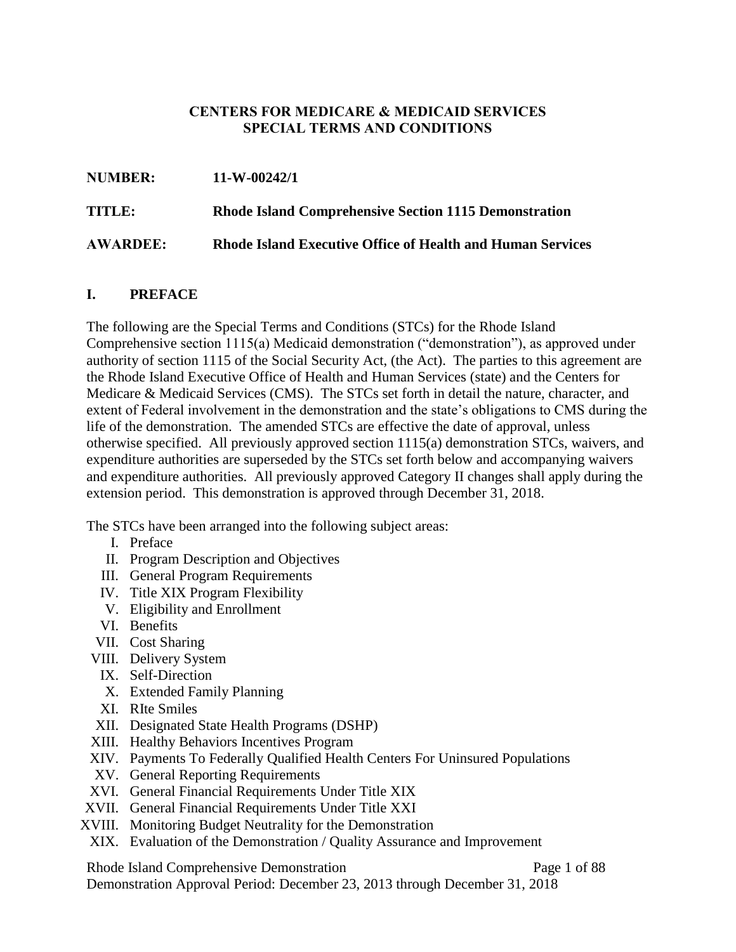### **CENTERS FOR MEDICARE & MEDICAID SERVICES SPECIAL TERMS AND CONDITIONS**

| <b>NUMBER:</b>  | $11-W-00242/1$                                                    |
|-----------------|-------------------------------------------------------------------|
| TITLE:          | <b>Rhode Island Comprehensive Section 1115 Demonstration</b>      |
| <b>AWARDEE:</b> | <b>Rhode Island Executive Office of Health and Human Services</b> |

### **I. PREFACE**

The following are the Special Terms and Conditions (STCs) for the Rhode Island Comprehensive section 1115(a) Medicaid demonstration ("demonstration"), as approved under authority of section 1115 of the Social Security Act, (the Act). The parties to this agreement are the Rhode Island Executive Office of Health and Human Services (state) and the Centers for Medicare & Medicaid Services (CMS). The STCs set forth in detail the nature, character, and extent of Federal involvement in the demonstration and the state's obligations to CMS during the life of the demonstration. The amended STCs are effective the date of approval, unless otherwise specified. All previously approved section 1115(a) demonstration STCs, waivers, and expenditure authorities are superseded by the STCs set forth below and accompanying waivers and expenditure authorities. All previously approved Category II changes shall apply during the extension period. This demonstration is approved through December 31, 2018.

The STCs have been arranged into the following subject areas:

- I. Preface
- II. Program Description and Objectives
- III. General Program Requirements
- IV. Title XIX Program Flexibility
- V. Eligibility and Enrollment
- VI. Benefits
- VII. Cost Sharing
- VIII. Delivery System
	- IX. Self-Direction
	- X. Extended Family Planning
- <span id="page-0-0"></span>XI. RIte Smiles
- XII. Designated State Health Programs (DSHP)
- XIII. Healthy Behaviors Incentives Program
- XIV. Payments To Federally Qualified Health Centers For Uninsured Populations
- XV. General Reporting Requirements
- XVI. General Financial Requirements Under Title XIX
- XVII. General Financial Requirements Under Title XXI
- XVIII. Monitoring Budget Neutrality for the Demonstration
- XIX. Evaluation of the Demonstration / Quality Assurance and Improvement

Rhode Island Comprehensive Demonstration Page 1 of 88

Demonstration Approval Period: December 23, 2013 through December 31, 2018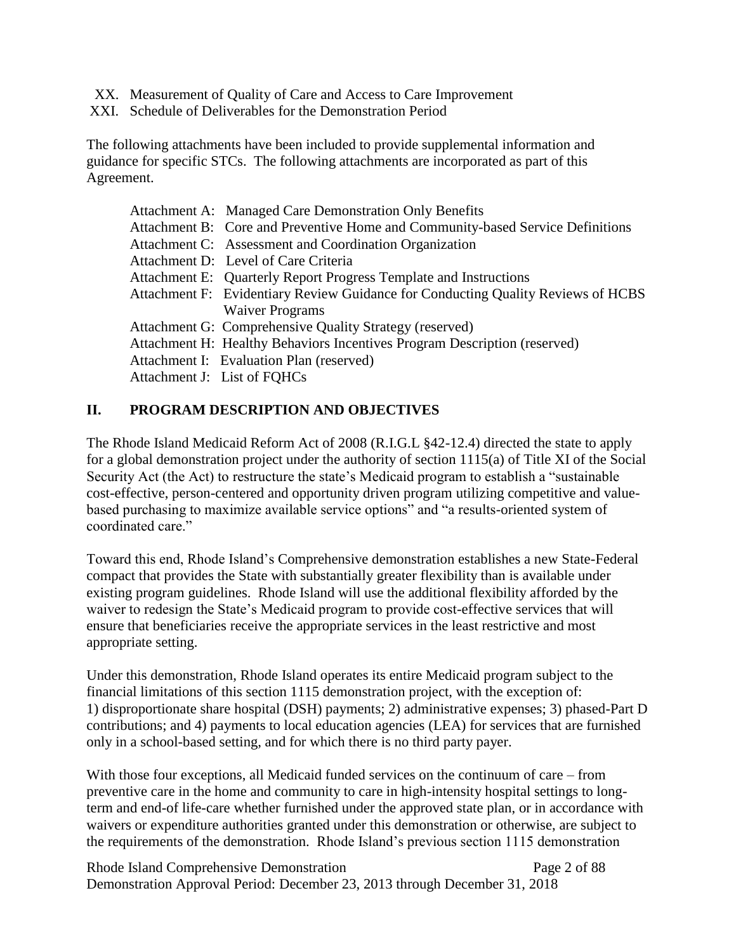- XX. Measurement of Quality of Care and Access to Care Improvement
- XXI. Schedule of Deliverables for the Demonstration Period

The following attachments have been included to provide supplemental information and guidance for specific STCs. The following attachments are incorporated as part of this Agreement.

| <b>Attachment A: Managed Care Demonstration Only Benefits</b>                    |
|----------------------------------------------------------------------------------|
| Attachment B: Core and Preventive Home and Community-based Service Definitions   |
| Attachment C: Assessment and Coordination Organization                           |
| Attachment D: Level of Care Criteria                                             |
| Attachment E: Quarterly Report Progress Template and Instructions                |
| Attachment F: Evidentiary Review Guidance for Conducting Quality Reviews of HCBS |
| <b>Waiver Programs</b>                                                           |
| Attachment G: Comprehensive Quality Strategy (reserved)                          |
| Attachment H: Healthy Behaviors Incentives Program Description (reserved)        |
| Attachment I: Evaluation Plan (reserved)                                         |
| Attachment J: List of FQHCs                                                      |
|                                                                                  |

### **II. PROGRAM DESCRIPTION AND OBJECTIVES**

The Rhode Island Medicaid Reform Act of 2008 (R.I.G.L §42-12.4) directed the state to apply for a global demonstration project under the authority of section 1115(a) of Title XI of the Social Security Act (the Act) to restructure the state's Medicaid program to establish a "sustainable cost-effective, person-centered and opportunity driven program utilizing competitive and valuebased purchasing to maximize available service options" and "a results-oriented system of coordinated care."

Toward this end, Rhode Island's Comprehensive demonstration establishes a new State-Federal compact that provides the State with substantially greater flexibility than is available under existing program guidelines. Rhode Island will use the additional flexibility afforded by the waiver to redesign the State's Medicaid program to provide cost-effective services that will ensure that beneficiaries receive the appropriate services in the least restrictive and most appropriate setting.

Under this demonstration, Rhode Island operates its entire Medicaid program subject to the financial limitations of this section 1115 demonstration project, with the exception of: 1) disproportionate share hospital (DSH) payments; 2) administrative expenses; 3) phased-Part D contributions; and 4) payments to local education agencies (LEA) for services that are furnished only in a school-based setting, and for which there is no third party payer.

With those four exceptions, all Medicaid funded services on the continuum of care – from preventive care in the home and community to care in high-intensity hospital settings to longterm and end-of life-care whether furnished under the approved state plan, or in accordance with waivers or expenditure authorities granted under this demonstration or otherwise, are subject to the requirements of the demonstration. Rhode Island's previous section 1115 demonstration

Rhode Island Comprehensive Demonstration Page 2 of 88 Demonstration Approval Period: December 23, 2013 through December 31, 2018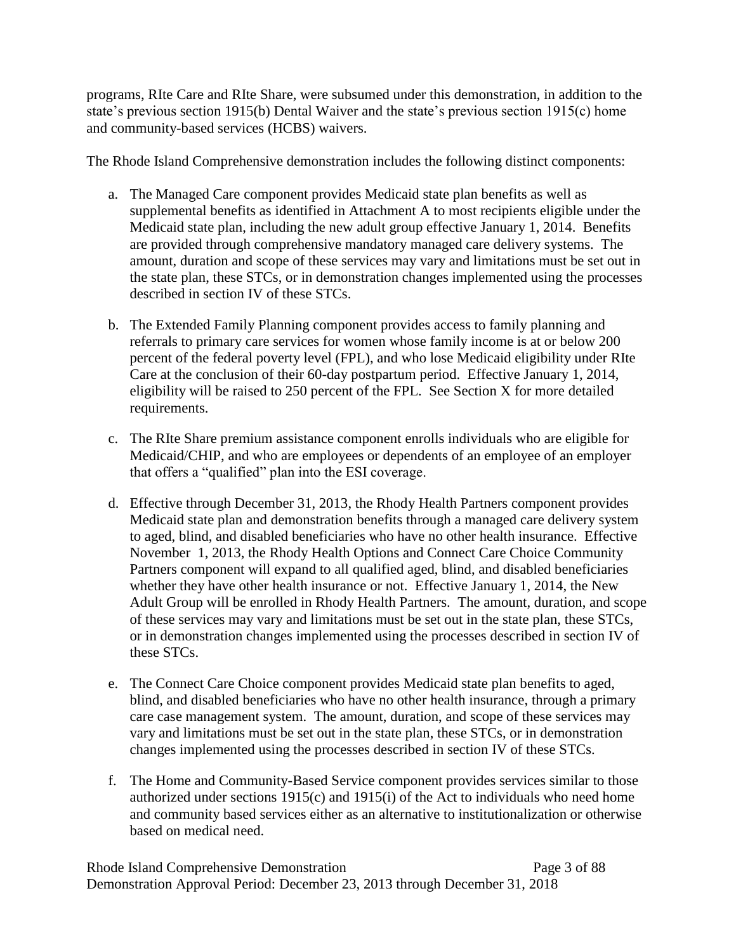programs, RIte Care and RIte Share, were subsumed under this demonstration, in addition to the state's previous section 1915(b) Dental Waiver and the state's previous section 1915(c) home and community-based services (HCBS) waivers.

The Rhode Island Comprehensive demonstration includes the following distinct components:

- a. The Managed Care component provides Medicaid state plan benefits as well as supplemental benefits as identified in Attachment A to most recipients eligible under the Medicaid state plan, including the new adult group effective January 1, 2014. Benefits are provided through comprehensive mandatory managed care delivery systems. The amount, duration and scope of these services may vary and limitations must be set out in the state plan, these STCs, or in demonstration changes implemented using the processes described in section IV of these STCs.
- b. The Extended Family Planning component provides access to family planning and referrals to primary care services for women whose family income is at or below 200 percent of the federal poverty level (FPL), and who lose Medicaid eligibility under RIte Care at the conclusion of their 60-day postpartum period. Effective January 1, 2014, eligibility will be raised to 250 percent of the FPL. See Section [X](#page-35-0) for more detailed requirements.
- c. The RIte Share premium assistance component enrolls individuals who are eligible for Medicaid/CHIP, and who are employees or dependents of an employee of an employer that offers a "qualified" plan into the ESI coverage.
- d. Effective through December 31, 2013, the Rhody Health Partners component provides Medicaid state plan and demonstration benefits through a managed care delivery system to aged, blind, and disabled beneficiaries who have no other health insurance. Effective November 1, 2013, the Rhody Health Options and Connect Care Choice Community Partners component will expand to all qualified aged, blind, and disabled beneficiaries whether they have other health insurance or not. Effective January 1, 2014, the New Adult Group will be enrolled in Rhody Health Partners. The amount, duration, and scope of these services may vary and limitations must be set out in the state plan, these STCs, or in demonstration changes implemented using the processes described in section IV of these STCs.
- e. The Connect Care Choice component provides Medicaid state plan benefits to aged, blind, and disabled beneficiaries who have no other health insurance, through a primary care case management system. The amount, duration, and scope of these services may vary and limitations must be set out in the state plan, these STCs, or in demonstration changes implemented using the processes described in section IV of these STCs.
- f. The Home and Community-Based Service component provides services similar to those authorized under sections 1915(c) and 1915(i) of the Act to individuals who need home and community based services either as an alternative to institutionalization or otherwise based on medical need.

Rhode Island Comprehensive Demonstration Page 3 of 88 Demonstration Approval Period: December 23, 2013 through December 31, 2018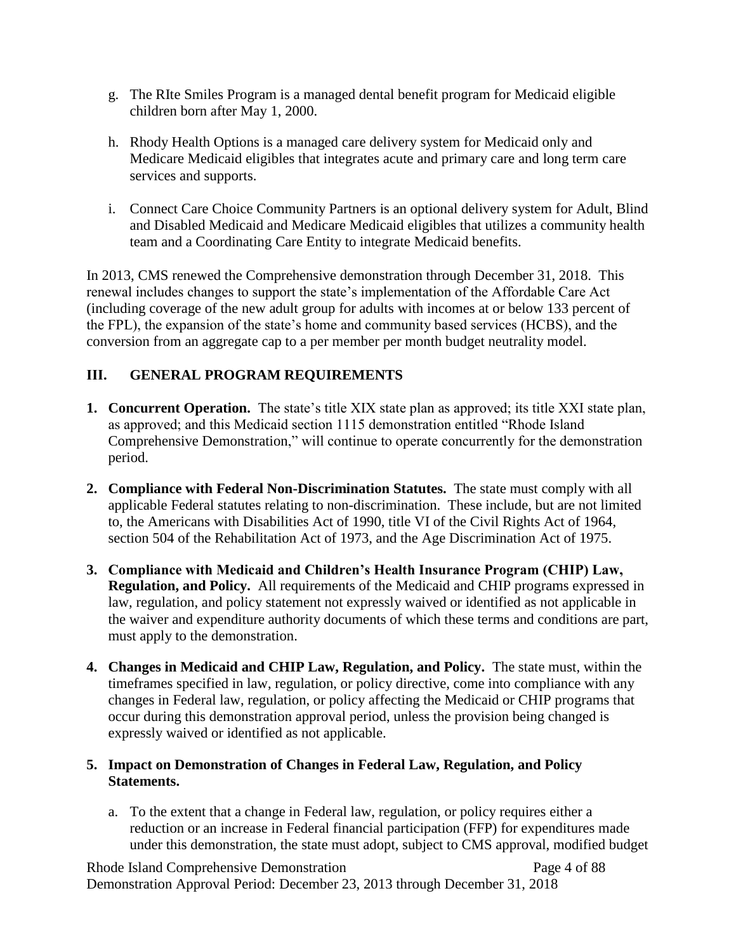- g. The RIte Smiles Program is a managed dental benefit program for Medicaid eligible children born after May 1, 2000.
- h. Rhody Health Options is a managed care delivery system for Medicaid only and Medicare Medicaid eligibles that integrates acute and primary care and long term care services and supports.
- i. Connect Care Choice Community Partners is an optional delivery system for Adult, Blind and Disabled Medicaid and Medicare Medicaid eligibles that utilizes a community health team and a Coordinating Care Entity to integrate Medicaid benefits.

In 2013, CMS renewed the Comprehensive demonstration through December 31, 2018. This renewal includes changes to support the state's implementation of the Affordable Care Act (including coverage of the new adult group for adults with incomes at or below 133 percent of the FPL), the expansion of the state's home and community based services (HCBS), and the conversion from an aggregate cap to a per member per month budget neutrality model.

# **III. GENERAL PROGRAM REQUIREMENTS**

- **1. Concurrent Operation.** The state's title XIX state plan as approved; its title XXI state plan, as approved; and this Medicaid section 1115 demonstration entitled "Rhode Island Comprehensive Demonstration," will continue to operate concurrently for the demonstration period.
- **2. Compliance with Federal Non-Discrimination Statutes.** The state must comply with all applicable Federal statutes relating to non-discrimination. These include, but are not limited to, the Americans with Disabilities Act of 1990, title VI of the Civil Rights Act of 1964, section 504 of the Rehabilitation Act of 1973, and the Age Discrimination Act of 1975.
- **3. Compliance with Medicaid and Children's Health Insurance Program (CHIP) Law, Regulation, and Policy.** All requirements of the Medicaid and CHIP programs expressed in law, regulation, and policy statement not expressly waived or identified as not applicable in the waiver and expenditure authority documents of which these terms and conditions are part, must apply to the demonstration.
- **4. Changes in Medicaid and CHIP Law, Regulation, and Policy.** The state must, within the timeframes specified in law, regulation, or policy directive, come into compliance with any changes in Federal law, regulation, or policy affecting the Medicaid or CHIP programs that occur during this demonstration approval period, unless the provision being changed is expressly waived or identified as not applicable.

### **5. Impact on Demonstration of Changes in Federal Law, Regulation, and Policy Statements.**

a. To the extent that a change in Federal law, regulation, or policy requires either a reduction or an increase in Federal financial participation (FFP) for expenditures made under this demonstration, the state must adopt, subject to CMS approval, modified budget

Rhode Island Comprehensive Demonstration Page 4 of 88 Demonstration Approval Period: December 23, 2013 through December 31, 2018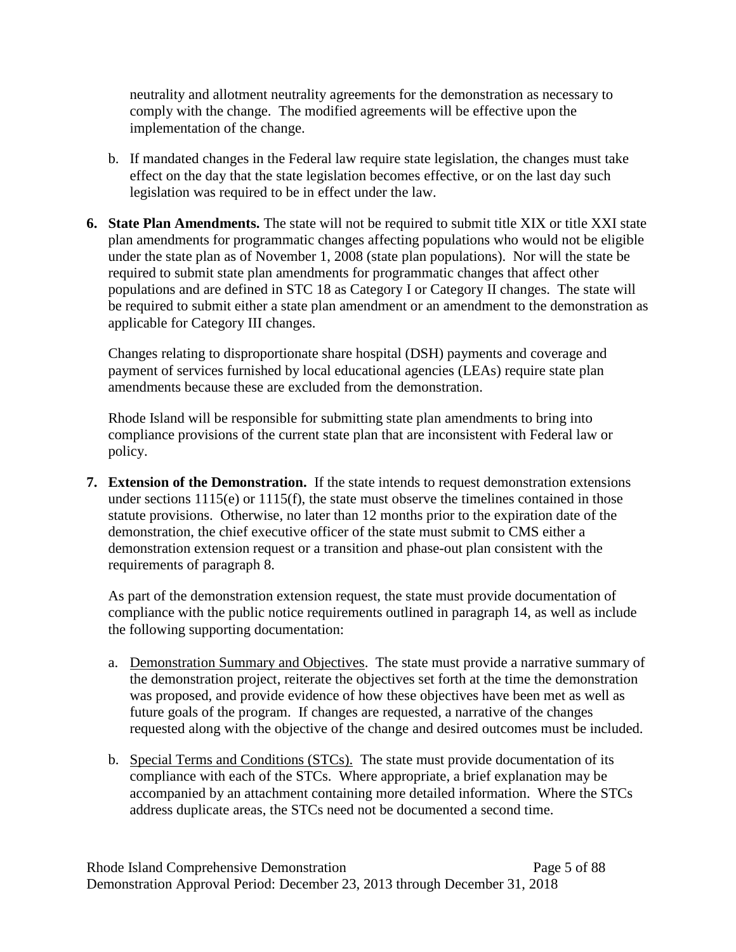neutrality and allotment neutrality agreements for the demonstration as necessary to comply with the change. The modified agreements will be effective upon the implementation of the change.

- b. If mandated changes in the Federal law require state legislation, the changes must take effect on the day that the state legislation becomes effective, or on the last day such legislation was required to be in effect under the law.
- **6. State Plan Amendments.** The state will not be required to submit title XIX or title XXI state plan amendments for programmatic changes affecting populations who would not be eligible under the state plan as of November 1, 2008 (state plan populations). Nor will the state be required to submit state plan amendments for programmatic changes that affect other populations and are defined in STC [18](#page-9-0) as Category I or Category II changes. The state will be required to submit either a state plan amendment or an amendment to the demonstration as applicable for Category III changes.

Changes relating to disproportionate share hospital (DSH) payments and coverage and payment of services furnished by local educational agencies (LEAs) require state plan amendments because these are excluded from the demonstration.

Rhode Island will be responsible for submitting state plan amendments to bring into compliance provisions of the current state plan that are inconsistent with Federal law or policy.

**7. Extension of the Demonstration.** If the state intends to request demonstration extensions under sections 1115(e) or 1115(f), the state must observe the timelines contained in those statute provisions. Otherwise, no later than 12 months prior to the expiration date of the demonstration, the chief executive officer of the state must submit to CMS either a demonstration extension request or a transition and phase-out plan consistent with the requirements of paragraph [8.](#page-6-0)

As part of the demonstration extension request, the state must provide documentation of compliance with the public notice requirements outlined in paragraph [14,](#page-8-0) as well as include the following supporting documentation:

- a. Demonstration Summary and Objectives. The state must provide a narrative summary of the demonstration project, reiterate the objectives set forth at the time the demonstration was proposed, and provide evidence of how these objectives have been met as well as future goals of the program. If changes are requested, a narrative of the changes requested along with the objective of the change and desired outcomes must be included.
- b. Special Terms and Conditions (STCs). The state must provide documentation of its compliance with each of the STCs. Where appropriate, a brief explanation may be accompanied by an attachment containing more detailed information. Where the STCs address duplicate areas, the STCs need not be documented a second time.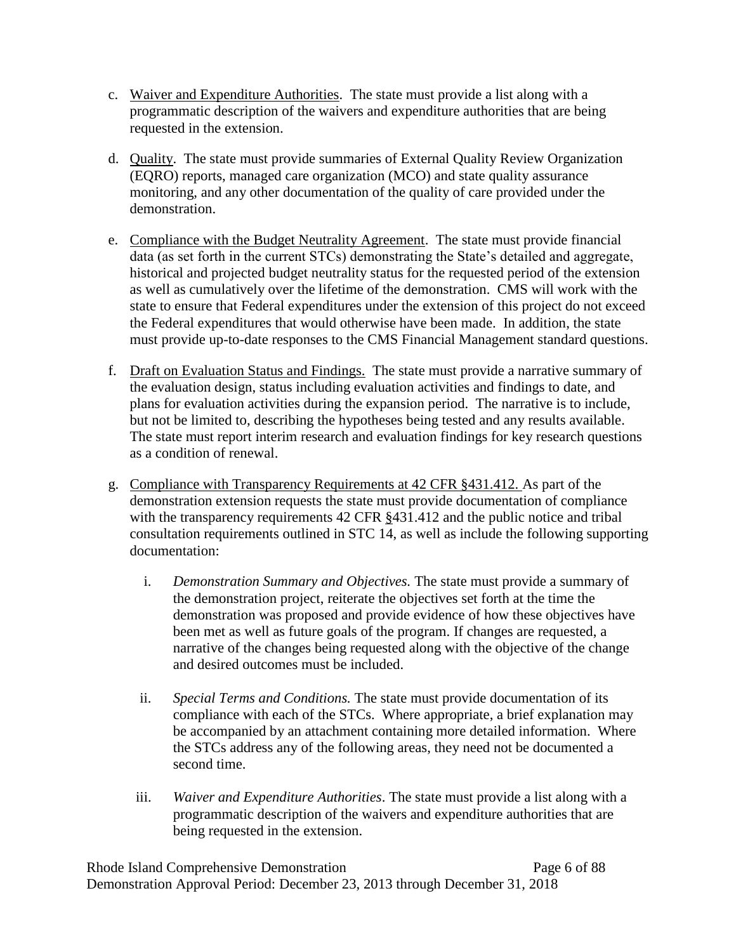- c. Waiver and Expenditure Authorities. The state must provide a list along with a programmatic description of the waivers and expenditure authorities that are being requested in the extension.
- d. Quality. The state must provide summaries of External Quality Review Organization (EQRO) reports, managed care organization (MCO) and state quality assurance monitoring, and any other documentation of the quality of care provided under the demonstration.
- e. Compliance with the Budget Neutrality Agreement. The state must provide financial data (as set forth in the current STCs) demonstrating the State's detailed and aggregate, historical and projected budget neutrality status for the requested period of the extension as well as cumulatively over the lifetime of the demonstration. CMS will work with the state to ensure that Federal expenditures under the extension of this project do not exceed the Federal expenditures that would otherwise have been made. In addition, the state must provide up-to-date responses to the CMS Financial Management standard questions.
- f. Draft on Evaluation Status and Findings. The state must provide a narrative summary of the evaluation design, status including evaluation activities and findings to date, and plans for evaluation activities during the expansion period. The narrative is to include, but not be limited to, describing the hypotheses being tested and any results available. The state must report interim research and evaluation findings for key research questions as a condition of renewal.
- g. Compliance with Transparency Requirements at 42 CFR §431.412. As part of the demonstration extension requests the state must provide documentation of compliance with the transparency requirements 42 CFR §431.412 and the public notice and tribal consultation requirements outlined in STC [14,](#page-8-0) as well as include the following supporting documentation:
	- i. *Demonstration Summary and Objectives.* The state must provide a summary of the demonstration project, reiterate the objectives set forth at the time the demonstration was proposed and provide evidence of how these objectives have been met as well as future goals of the program. If changes are requested, a narrative of the changes being requested along with the objective of the change and desired outcomes must be included.
	- ii. *Special Terms and Conditions.* The state must provide documentation of its compliance with each of the STCs. Where appropriate, a brief explanation may be accompanied by an attachment containing more detailed information. Where the STCs address any of the following areas, they need not be documented a second time.
	- iii. *Waiver and Expenditure Authorities*. The state must provide a list along with a programmatic description of the waivers and expenditure authorities that are being requested in the extension.

Rhode Island Comprehensive Demonstration **Page 6 of 88** Demonstration Approval Period: December 23, 2013 through December 31, 2018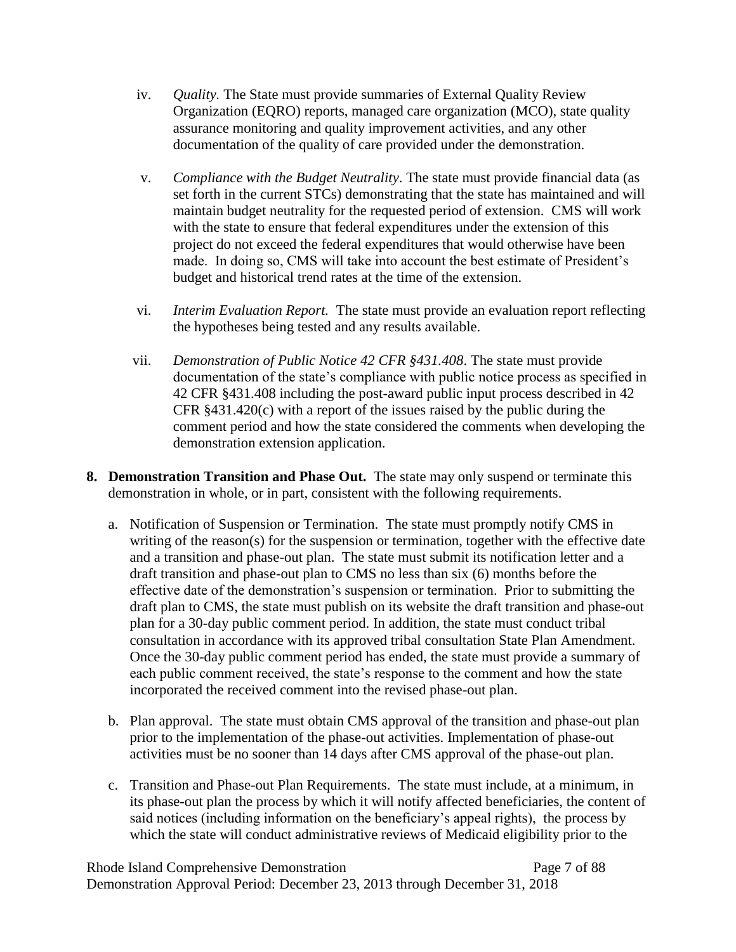- iv. *Quality.* The State must provide summaries of External Quality Review Organization (EQRO) reports, managed care organization (MCO), state quality assurance monitoring and quality improvement activities, and any other documentation of the quality of care provided under the demonstration.
- v. *Compliance with the Budget Neutrality*. The state must provide financial data (as set forth in the current STCs) demonstrating that the state has maintained and will maintain budget neutrality for the requested period of extension. CMS will work with the state to ensure that federal expenditures under the extension of this project do not exceed the federal expenditures that would otherwise have been made. In doing so, CMS will take into account the best estimate of President's budget and historical trend rates at the time of the extension.
- vi. *Interim Evaluation Report.* The state must provide an evaluation report reflecting the hypotheses being tested and any results available.
- vii. *Demonstration of Public Notice 42 CFR §431.408*. The state must provide documentation of the state's compliance with public notice process as specified in 42 CFR §431.408 including the post-award public input process described in 42 CFR §431.420(c) with a report of the issues raised by the public during the comment period and how the state considered the comments when developing the demonstration extension application.
- <span id="page-6-0"></span>**8. Demonstration Transition and Phase Out.** The state may only suspend or terminate this demonstration in whole, or in part, consistent with the following requirements.
	- a. Notification of Suspension or Termination. The state must promptly notify CMS in writing of the reason(s) for the suspension or termination, together with the effective date and a transition and phase-out plan. The state must submit its notification letter and a draft transition and phase-out plan to CMS no less than six (6) months before the effective date of the demonstration's suspension or termination. Prior to submitting the draft plan to CMS, the state must publish on its website the draft transition and phase-out plan for a 30-day public comment period. In addition, the state must conduct tribal consultation in accordance with its approved tribal consultation State Plan Amendment. Once the 30-day public comment period has ended, the state must provide a summary of each public comment received, the state's response to the comment and how the state incorporated the received comment into the revised phase-out plan.
	- b. Plan approval. The state must obtain CMS approval of the transition and phase-out plan prior to the implementation of the phase-out activities. Implementation of phase-out activities must be no sooner than 14 days after CMS approval of the phase-out plan.
	- c. Transition and Phase-out Plan Requirements. The state must include, at a minimum, in its phase-out plan the process by which it will notify affected beneficiaries, the content of said notices (including information on the beneficiary's appeal rights), the process by which the state will conduct administrative reviews of Medicaid eligibility prior to the

Rhode Island Comprehensive Demonstration Page 7 of 88 Demonstration Approval Period: December 23, 2013 through December 31, 2018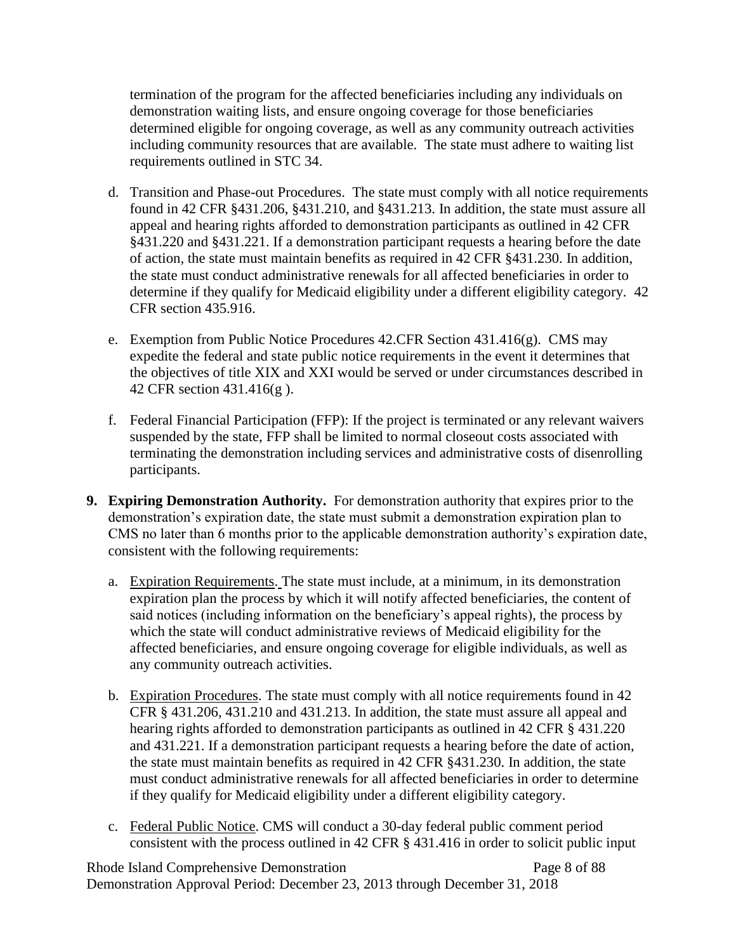termination of the program for the affected beneficiaries including any individuals on demonstration waiting lists, and ensure ongoing coverage for those beneficiaries determined eligible for ongoing coverage, as well as any community outreach activities including community resources that are available. The state must adhere to waiting list requirements outlined in STC [34.](#page-26-0)

- d. Transition and Phase-out Procedures. The state must comply with all notice requirements found in 42 CFR §431.206, §431.210, and §431.213. In addition, the state must assure all appeal and hearing rights afforded to demonstration participants as outlined in 42 CFR §431.220 and §431.221. If a demonstration participant requests a hearing before the date of action, the state must maintain benefits as required in 42 CFR §431.230. In addition, the state must conduct administrative renewals for all affected beneficiaries in order to determine if they qualify for Medicaid eligibility under a different eligibility category. 42 CFR section 435.916.
- e. Exemption from Public Notice Procedures 42.CFR Section 431.416(g). CMS may expedite the federal and state public notice requirements in the event it determines that the objectives of title XIX and XXI would be served or under circumstances described in 42 CFR section 431.416(g ).
- f. Federal Financial Participation (FFP): If the project is terminated or any relevant waivers suspended by the state, FFP shall be limited to normal closeout costs associated with terminating the demonstration including services and administrative costs of disenrolling participants.
- **9. Expiring Demonstration Authority.** For demonstration authority that expires prior to the demonstration's expiration date, the state must submit a demonstration expiration plan to CMS no later than 6 months prior to the applicable demonstration authority's expiration date, consistent with the following requirements:
	- a. Expiration Requirements. The state must include, at a minimum, in its demonstration expiration plan the process by which it will notify affected beneficiaries, the content of said notices (including information on the beneficiary's appeal rights), the process by which the state will conduct administrative reviews of Medicaid eligibility for the affected beneficiaries, and ensure ongoing coverage for eligible individuals, as well as any community outreach activities.
	- b. Expiration Procedures. The state must comply with all notice requirements found in 42 CFR § 431.206, 431.210 and 431.213. In addition, the state must assure all appeal and hearing rights afforded to demonstration participants as outlined in 42 CFR § 431.220 and 431.221. If a demonstration participant requests a hearing before the date of action, the state must maintain benefits as required in 42 CFR §431.230. In addition, the state must conduct administrative renewals for all affected beneficiaries in order to determine if they qualify for Medicaid eligibility under a different eligibility category.
	- c. Federal Public Notice. CMS will conduct a 30-day federal public comment period consistent with the process outlined in 42 CFR § 431.416 in order to solicit public input

Rhode Island Comprehensive Demonstration **Page 8 of 88** Demonstration Approval Period: December 23, 2013 through December 31, 2018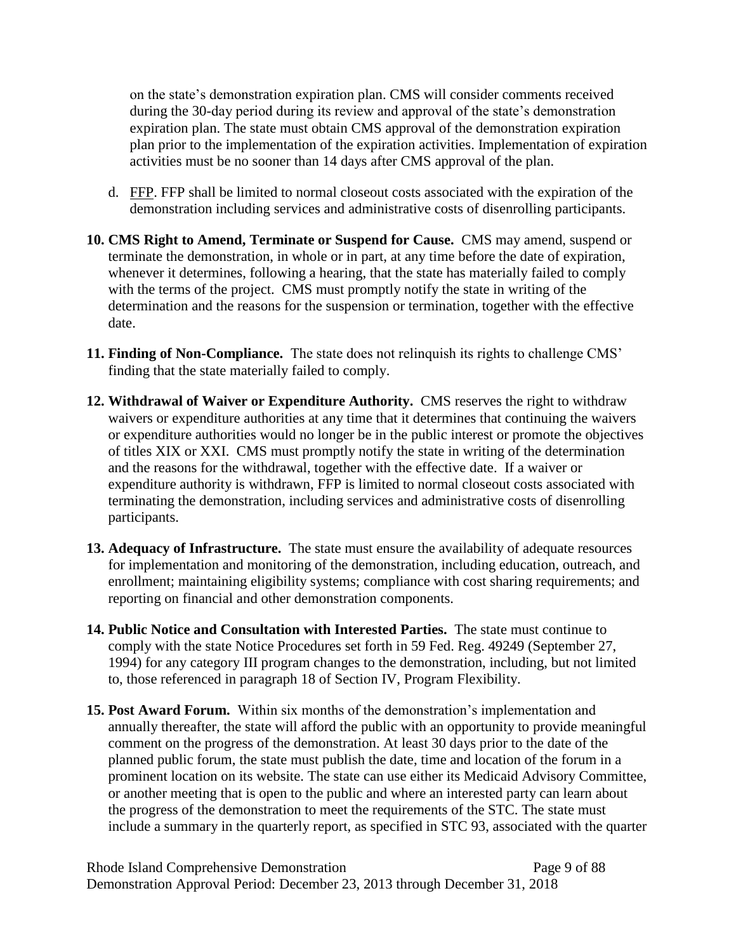on the state's demonstration expiration plan. CMS will consider comments received during the 30-day period during its review and approval of the state's demonstration expiration plan. The state must obtain CMS approval of the demonstration expiration plan prior to the implementation of the expiration activities. Implementation of expiration activities must be no sooner than 14 days after CMS approval of the plan.

- d. FFP. FFP shall be limited to normal closeout costs associated with the expiration of the demonstration including services and administrative costs of disenrolling participants.
- <span id="page-8-1"></span>**10. CMS Right to Amend, Terminate or Suspend for Cause.** CMS may amend, suspend or terminate the demonstration, in whole or in part, at any time before the date of expiration, whenever it determines, following a hearing, that the state has materially failed to comply with the terms of the project. CMS must promptly notify the state in writing of the determination and the reasons for the suspension or termination, together with the effective date.
- **11. Finding of Non-Compliance.** The state does not relinquish its rights to challenge CMS' finding that the state materially failed to comply.
- **12. Withdrawal of Waiver or Expenditure Authority.** CMS reserves the right to withdraw waivers or expenditure authorities at any time that it determines that continuing the waivers or expenditure authorities would no longer be in the public interest or promote the objectives of titles XIX or XXI. CMS must promptly notify the state in writing of the determination and the reasons for the withdrawal, together with the effective date. If a waiver or expenditure authority is withdrawn, FFP is limited to normal closeout costs associated with terminating the demonstration, including services and administrative costs of disenrolling participants.
- **13. Adequacy of Infrastructure.** The state must ensure the availability of adequate resources for implementation and monitoring of the demonstration, including education, outreach, and enrollment; maintaining eligibility systems; compliance with cost sharing requirements; and reporting on financial and other demonstration components.
- <span id="page-8-0"></span>**14. Public Notice and Consultation with Interested Parties.** The state must continue to comply with the state Notice Procedures set forth in 59 Fed. Reg. 49249 (September 27, 1994) for any category III program changes to the demonstration, including, but not limited to, those referenced in paragraph [18](#page-9-0) of Section IV, Program Flexibility.
- **15. Post Award Forum.** Within six months of the demonstration's implementation and annually thereafter, the state will afford the public with an opportunity to provide meaningful comment on the progress of the demonstration. At least 30 days prior to the date of the planned public forum, the state must publish the date, time and location of the forum in a prominent location on its website. The state can use either its Medicaid Advisory Committee, or another meeting that is open to the public and where an interested party can learn about the progress of the demonstration to meet the requirements of the STC. The state must include a summary in the quarterly report, as specified in STC [93,](#page-41-0) associated with the quarter

Rhode Island Comprehensive Demonstration Page 9 of 88 Demonstration Approval Period: December 23, 2013 through December 31, 2018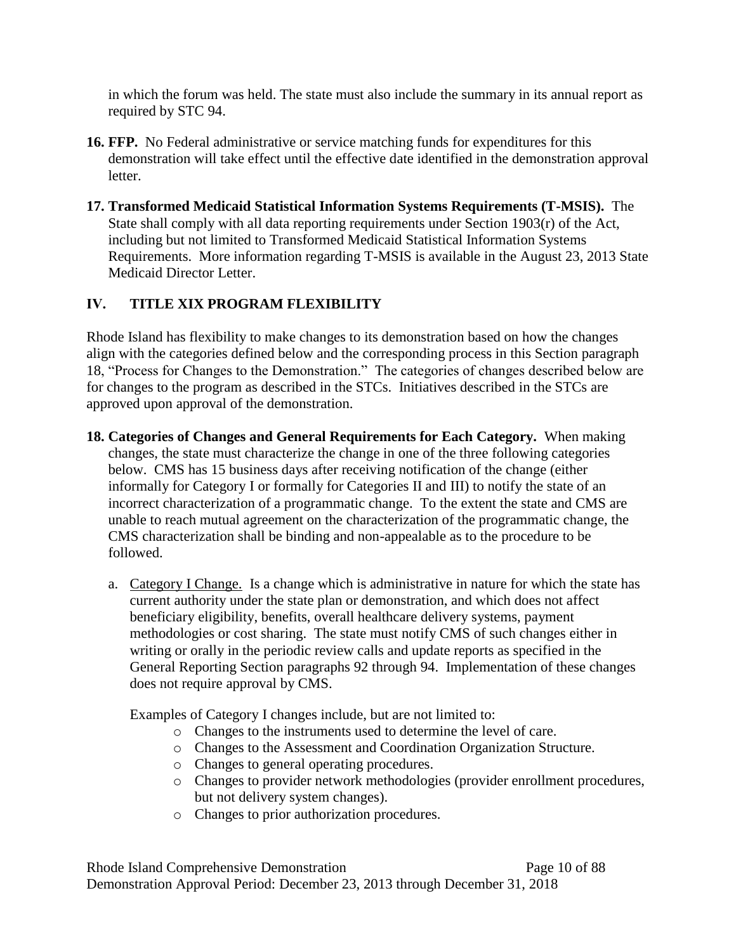in which the forum was held. The state must also include the summary in its annual report as required by STC [94.](#page-41-1)

- **16. FFP.** No Federal administrative or service matching funds for expenditures for this demonstration will take effect until the effective date identified in the demonstration approval **letter**
- **17. Transformed Medicaid Statistical Information Systems Requirements (T-MSIS).** The State shall comply with all data reporting requirements under Section 1903(r) of the Act, including but not limited to Transformed Medicaid Statistical Information Systems Requirements. More information regarding T-MSIS is available in the August 23, 2013 State Medicaid Director Letter.

# **IV. TITLE XIX PROGRAM FLEXIBILITY**

Rhode Island has flexibility to make changes to its demonstration based on how the changes align with the categories defined below and the corresponding process in this Section paragraph [18,](#page-9-0) "Process for Changes to the Demonstration." The categories of changes described below are for changes to the program as described in the STCs. Initiatives described in the STCs are approved upon approval of the demonstration.

- <span id="page-9-0"></span>**18. Categories of Changes and General Requirements for Each Category.** When making changes, the state must characterize the change in one of the three following categories below. CMS has 15 business days after receiving notification of the change (either informally for Category I or formally for Categories II and III) to notify the state of an incorrect characterization of a programmatic change. To the extent the state and CMS are unable to reach mutual agreement on the characterization of the programmatic change, the CMS characterization shall be binding and non-appealable as to the procedure to be followed.
	- a. Category I Change. Is a change which is administrative in nature for which the state has current authority under the state plan or demonstration, and which does not affect beneficiary eligibility, benefits, overall healthcare delivery systems, payment methodologies or cost sharing. The state must notify CMS of such changes either in writing or orally in the periodic review calls and update reports as specified in the General Reporting Section paragraphs [92](#page-41-2) through [94.](#page-41-1) Implementation of these changes does not require approval by CMS.

Examples of Category I changes include, but are not limited to:

- o Changes to the instruments used to determine the level of care.
- o Changes to the Assessment and Coordination Organization Structure.
- o Changes to general operating procedures.
- o Changes to provider network methodologies (provider enrollment procedures, but not delivery system changes).
- o Changes to prior authorization procedures.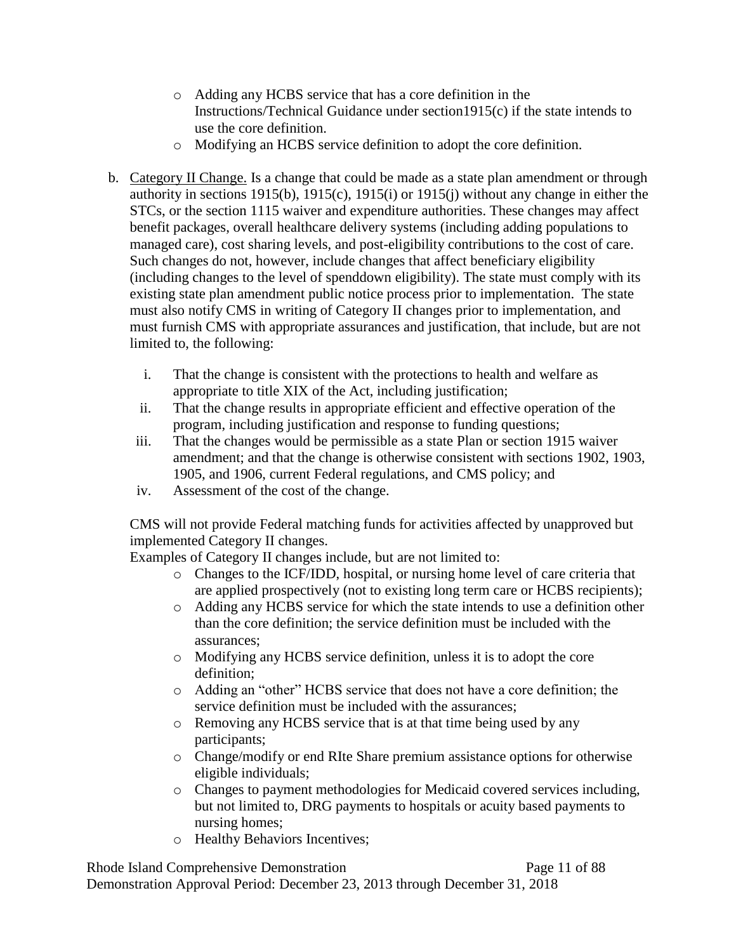- o Adding any HCBS service that has a core definition in the Instructions/Technical Guidance under section1915(c) if the state intends to use the core definition.
- o Modifying an HCBS service definition to adopt the core definition.
- b. Category II Change. Is a change that could be made as a state plan amendment or through authority in sections 1915(b), 1915(c), 1915(i) or 1915(j) without any change in either the STCs, or the section 1115 waiver and expenditure authorities. These changes may affect benefit packages, overall healthcare delivery systems (including adding populations to managed care), cost sharing levels, and post-eligibility contributions to the cost of care. Such changes do not, however, include changes that affect beneficiary eligibility (including changes to the level of spenddown eligibility). The state must comply with its existing state plan amendment public notice process prior to implementation. The state must also notify CMS in writing of Category II changes prior to implementation, and must furnish CMS with appropriate assurances and justification, that include, but are not limited to, the following:
	- i. That the change is consistent with the protections to health and welfare as appropriate to title XIX of the Act, including justification;
	- ii. That the change results in appropriate efficient and effective operation of the program, including justification and response to funding questions;
	- iii. That the changes would be permissible as a state Plan or section 1915 waiver amendment; and that the change is otherwise consistent with sections 1902, 1903, 1905, and 1906, current Federal regulations, and CMS policy; and
	- iv. Assessment of the cost of the change.

CMS will not provide Federal matching funds for activities affected by unapproved but implemented Category II changes.

Examples of Category II changes include, but are not limited to:

- o Changes to the ICF/IDD, hospital, or nursing home level of care criteria that are applied prospectively (not to existing long term care or HCBS recipients);
- o Adding any HCBS service for which the state intends to use a definition other than the core definition; the service definition must be included with the assurances;
- o Modifying any HCBS service definition, unless it is to adopt the core definition;
- o Adding an "other" HCBS service that does not have a core definition; the service definition must be included with the assurances;
- o Removing any HCBS service that is at that time being used by any participants;
- o Change/modify or end RIte Share premium assistance options for otherwise eligible individuals;
- o Changes to payment methodologies for Medicaid covered services including, but not limited to, DRG payments to hospitals or acuity based payments to nursing homes;
- o Healthy Behaviors Incentives;

Rhode Island Comprehensive Demonstration Page 11 of 88 Demonstration Approval Period: December 23, 2013 through December 31, 2018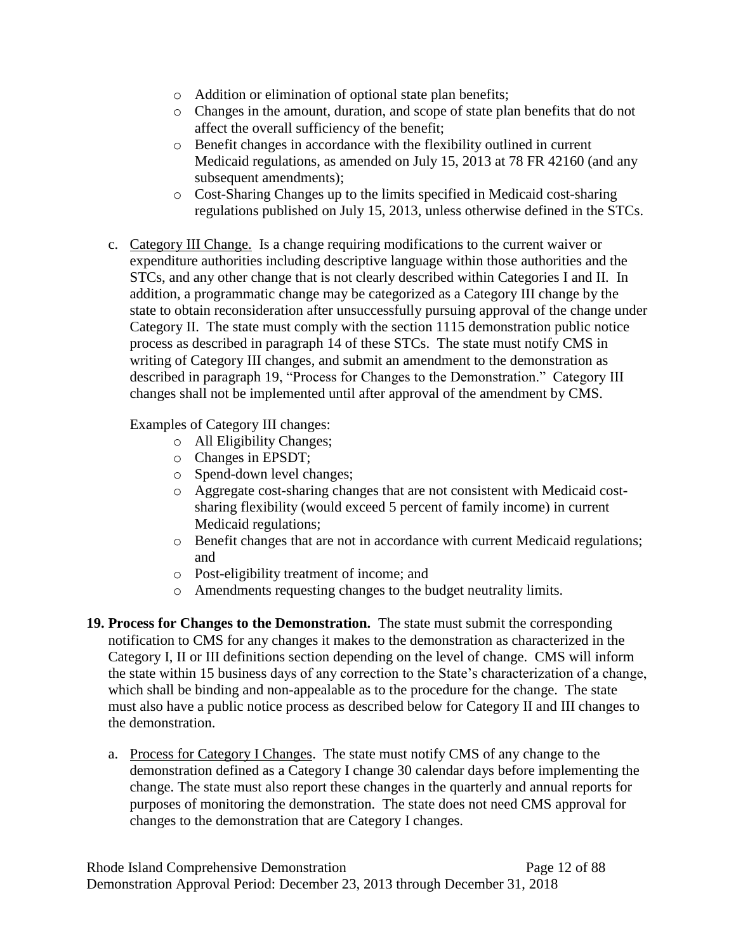- o Addition or elimination of optional state plan benefits;
- o Changes in the amount, duration, and scope of state plan benefits that do not affect the overall sufficiency of the benefit;
- o Benefit changes in accordance with the flexibility outlined in current Medicaid regulations, as amended on July 15, 2013 at 78 FR 42160 (and any subsequent amendments);
- o Cost-Sharing Changes up to the limits specified in Medicaid cost-sharing regulations published on July 15, 2013, unless otherwise defined in the STCs.
- c. Category III Change. Is a change requiring modifications to the current waiver or expenditure authorities including descriptive language within those authorities and the STCs, and any other change that is not clearly described within Categories I and II. In addition, a programmatic change may be categorized as a Category III change by the state to obtain reconsideration after unsuccessfully pursuing approval of the change under Category II. The state must comply with the section 1115 demonstration public notice process as described in paragraph [14](#page-8-0) of these STCs. The state must notify CMS in writing of Category III changes, and submit an amendment to the demonstration as described in paragraph [19,](#page-11-0) "Process for Changes to the Demonstration." Category III changes shall not be implemented until after approval of the amendment by CMS.

Examples of Category III changes:

- o All Eligibility Changes;
- o Changes in EPSDT;
- o Spend-down level changes;
- o Aggregate cost-sharing changes that are not consistent with Medicaid costsharing flexibility (would exceed 5 percent of family income) in current Medicaid regulations;
- o Benefit changes that are not in accordance with current Medicaid regulations; and
- o Post-eligibility treatment of income; and
- o Amendments requesting changes to the budget neutrality limits.
- <span id="page-11-0"></span>**19. Process for Changes to the Demonstration.** The state must submit the corresponding notification to CMS for any changes it makes to the demonstration as characterized in the Category I, II or III definitions section depending on the level of change. CMS will inform the state within 15 business days of any correction to the State's characterization of a change, which shall be binding and non-appealable as to the procedure for the change. The state must also have a public notice process as described below for Category II and III changes to the demonstration.
	- a. Process for Category I Changes. The state must notify CMS of any change to the demonstration defined as a Category I change 30 calendar days before implementing the change. The state must also report these changes in the quarterly and annual reports for purposes of monitoring the demonstration. The state does not need CMS approval for changes to the demonstration that are Category I changes.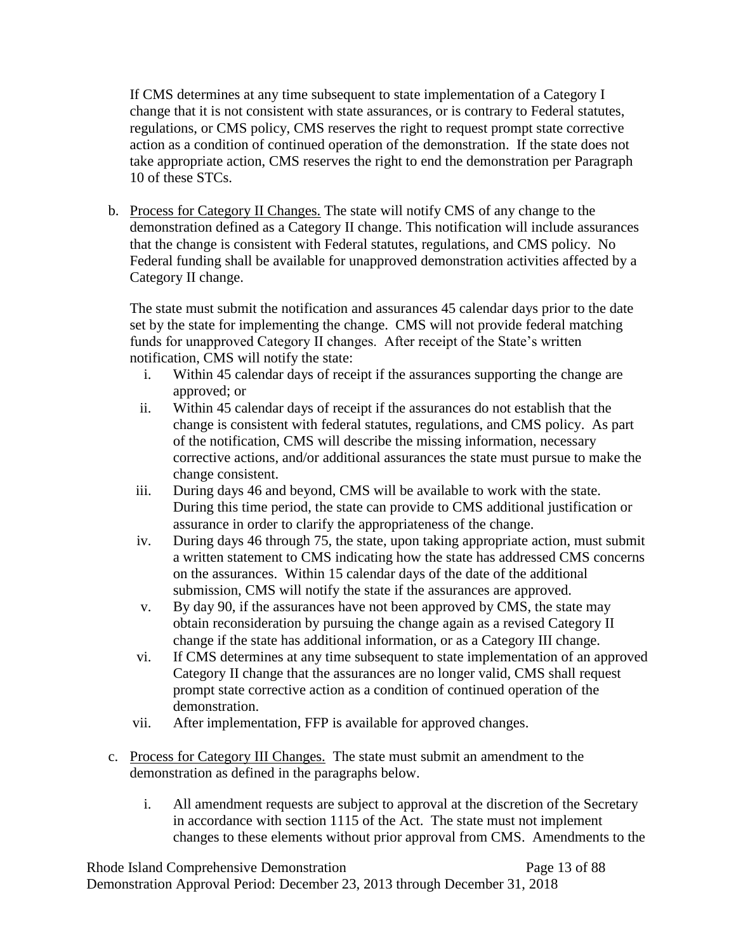If CMS determines at any time subsequent to state implementation of a Category I change that it is not consistent with state assurances, or is contrary to Federal statutes, regulations, or CMS policy, CMS reserves the right to request prompt state corrective action as a condition of continued operation of the demonstration. If the state does not take appropriate action, CMS reserves the right to end the demonstration per Paragraph [10](#page-8-1) of these STCs.

b. Process for Category II Changes. The state will notify CMS of any change to the demonstration defined as a Category II change. This notification will include assurances that the change is consistent with Federal statutes, regulations, and CMS policy. No Federal funding shall be available for unapproved demonstration activities affected by a Category II change.

The state must submit the notification and assurances 45 calendar days prior to the date set by the state for implementing the change. CMS will not provide federal matching funds for unapproved Category II changes. After receipt of the State's written notification, CMS will notify the state:

- i. Within 45 calendar days of receipt if the assurances supporting the change are approved; or
- ii. Within 45 calendar days of receipt if the assurances do not establish that the change is consistent with federal statutes, regulations, and CMS policy. As part of the notification, CMS will describe the missing information, necessary corrective actions, and/or additional assurances the state must pursue to make the change consistent.
- iii. During days 46 and beyond, CMS will be available to work with the state. During this time period, the state can provide to CMS additional justification or assurance in order to clarify the appropriateness of the change.
- iv. During days 46 through 75, the state, upon taking appropriate action, must submit a written statement to CMS indicating how the state has addressed CMS concerns on the assurances. Within 15 calendar days of the date of the additional submission, CMS will notify the state if the assurances are approved.
- v. By day 90, if the assurances have not been approved by CMS, the state may obtain reconsideration by pursuing the change again as a revised Category II change if the state has additional information, or as a Category III change.
- vi. If CMS determines at any time subsequent to state implementation of an approved Category II change that the assurances are no longer valid, CMS shall request prompt state corrective action as a condition of continued operation of the demonstration.
- vii. After implementation, FFP is available for approved changes.
- c. Process for Category III Changes.The state must submit an amendment to the demonstration as defined in the paragraphs below.
	- i. All amendment requests are subject to approval at the discretion of the Secretary in accordance with section 1115 of the Act. The state must not implement changes to these elements without prior approval from CMS. Amendments to the

Rhode Island Comprehensive Demonstration Page 13 of 88 Demonstration Approval Period: December 23, 2013 through December 31, 2018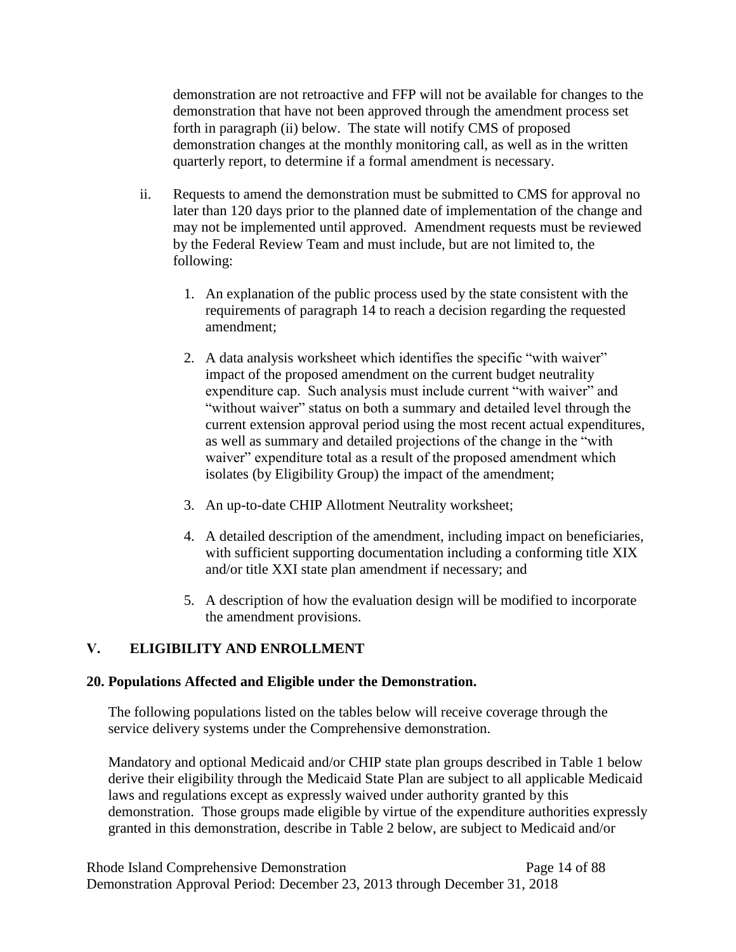demonstration are not retroactive and FFP will not be available for changes to the demonstration that have not been approved through the amendment process set forth in paragraph (ii) below. The state will notify CMS of proposed demonstration changes at the monthly monitoring call, as well as in the written quarterly report, to determine if a formal amendment is necessary.

- ii. Requests to amend the demonstration must be submitted to CMS for approval no later than 120 days prior to the planned date of implementation of the change and may not be implemented until approved. Amendment requests must be reviewed by the Federal Review Team and must include, but are not limited to, the following:
	- 1. An explanation of the public process used by the state consistent with the requirements of paragraph [14](#page-8-0) to reach a decision regarding the requested amendment;
	- 2. A data analysis worksheet which identifies the specific "with waiver" impact of the proposed amendment on the current budget neutrality expenditure cap. Such analysis must include current "with waiver" and "without waiver" status on both a summary and detailed level through the current extension approval period using the most recent actual expenditures, as well as summary and detailed projections of the change in the "with waiver" expenditure total as a result of the proposed amendment which isolates (by Eligibility Group) the impact of the amendment;
	- 3. An up-to-date CHIP Allotment Neutrality worksheet;
	- 4. A detailed description of the amendment, including impact on beneficiaries, with sufficient supporting documentation including a conforming title XIX and/or title XXI state plan amendment if necessary; and
	- 5. A description of how the evaluation design will be modified to incorporate the amendment provisions.

# **V. ELIGIBILITY AND ENROLLMENT**

#### **20. Populations Affected and Eligible under the Demonstration.**

The following populations listed on the tables below will receive coverage through the service delivery systems under the Comprehensive demonstration.

Mandatory and optional Medicaid and/or CHIP state plan groups described in Table 1 below derive their eligibility through the Medicaid State Plan are subject to all applicable Medicaid laws and regulations except as expressly waived under authority granted by this demonstration. Those groups made eligible by virtue of the expenditure authorities expressly granted in this demonstration, describe in Table 2 below, are subject to Medicaid and/or

Rhode Island Comprehensive Demonstration Page 14 of 88 Demonstration Approval Period: December 23, 2013 through December 31, 2018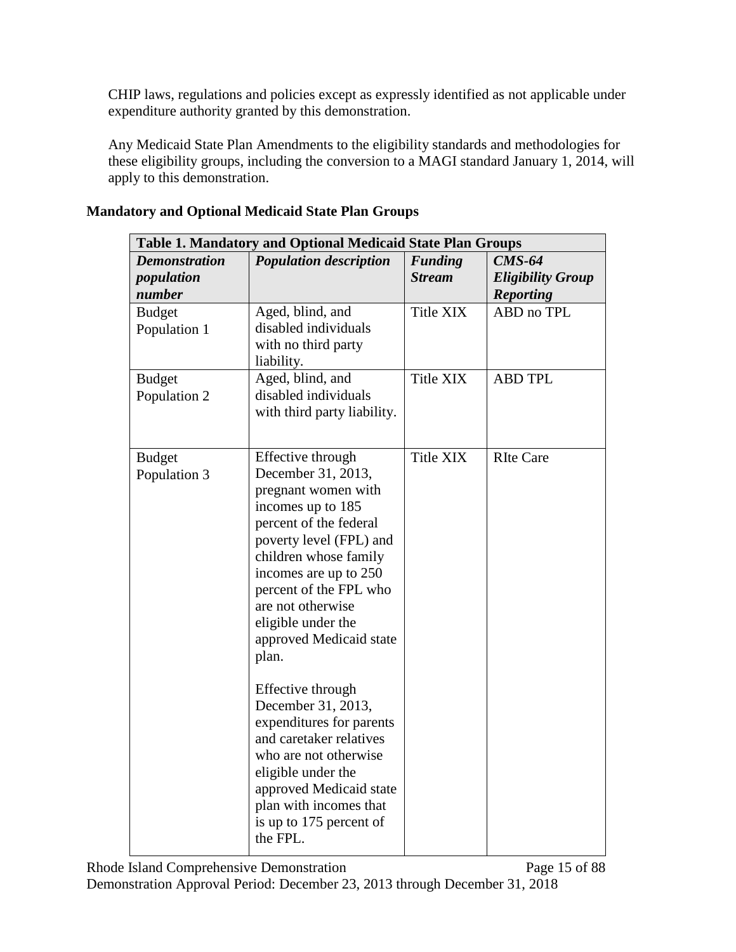CHIP laws, regulations and policies except as expressly identified as not applicable under expenditure authority granted by this demonstration.

Any Medicaid State Plan Amendments to the eligibility standards and methodologies for these eligibility groups, including the conversion to a MAGI standard January 1, 2014, will apply to this demonstration.

| Table 1. Mandatory and Optional Medicaid State Plan Groups |                                                                                                                                                                                                                                                                                                                                                                                                                                                                                                                                                  |                                 |                                                          |
|------------------------------------------------------------|--------------------------------------------------------------------------------------------------------------------------------------------------------------------------------------------------------------------------------------------------------------------------------------------------------------------------------------------------------------------------------------------------------------------------------------------------------------------------------------------------------------------------------------------------|---------------------------------|----------------------------------------------------------|
| <b>Demonstration</b><br>population<br>number               | <b>Population description</b>                                                                                                                                                                                                                                                                                                                                                                                                                                                                                                                    | <b>Funding</b><br><b>Stream</b> | $CMS-64$<br><b>Eligibility Group</b><br><b>Reporting</b> |
| <b>Budget</b><br>Population 1                              | Aged, blind, and<br>disabled individuals<br>with no third party<br>liability.                                                                                                                                                                                                                                                                                                                                                                                                                                                                    | <b>Title XIX</b>                | ABD no TPL                                               |
| <b>Budget</b><br>Population 2                              | Aged, blind, and<br>disabled individuals<br>with third party liability.                                                                                                                                                                                                                                                                                                                                                                                                                                                                          | <b>Title XIX</b>                | <b>ABD TPL</b>                                           |
| <b>Budget</b><br>Population 3                              | Effective through<br>December 31, 2013,<br>pregnant women with<br>incomes up to 185<br>percent of the federal<br>poverty level (FPL) and<br>children whose family<br>incomes are up to 250<br>percent of the FPL who<br>are not otherwise<br>eligible under the<br>approved Medicaid state<br>plan.<br>Effective through<br>December 31, 2013,<br>expenditures for parents<br>and caretaker relatives<br>who are not otherwise<br>eligible under the<br>approved Medicaid state<br>plan with incomes that<br>is up to 175 percent of<br>the FPL. | Title XIX                       | <b>RIte Care</b>                                         |

# **Mandatory and Optional Medicaid State Plan Groups**

Rhode Island Comprehensive Demonstration Page 15 of 88 Demonstration Approval Period: December 23, 2013 through December 31, 2018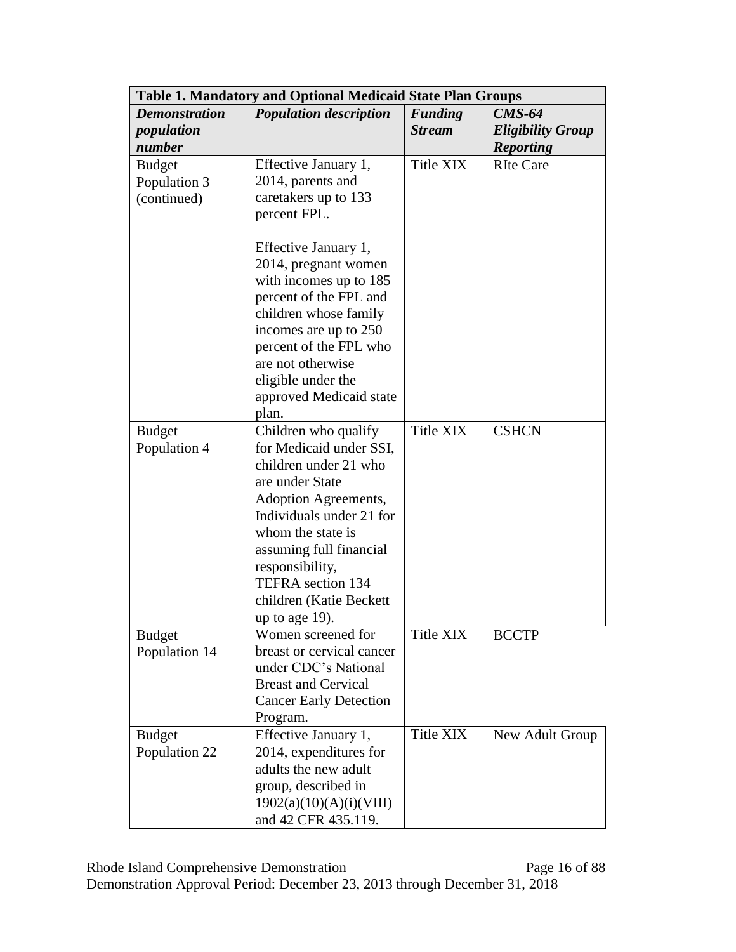| Table 1. Mandatory and Optional Medicaid State Plan Groups |                               |                |                          |
|------------------------------------------------------------|-------------------------------|----------------|--------------------------|
| <b>Demonstration</b>                                       | <b>Population description</b> | <b>Funding</b> | $CMS-64$                 |
| population                                                 |                               | <b>Stream</b>  | <b>Eligibility Group</b> |
| number                                                     |                               |                | <b>Reporting</b>         |
| <b>Budget</b>                                              | Effective January 1,          | Title XIX      | <b>RIte Care</b>         |
| Population 3                                               | 2014, parents and             |                |                          |
| (continued)                                                | caretakers up to 133          |                |                          |
|                                                            | percent FPL.                  |                |                          |
|                                                            |                               |                |                          |
|                                                            | Effective January 1,          |                |                          |
|                                                            | 2014, pregnant women          |                |                          |
|                                                            | with incomes up to 185        |                |                          |
|                                                            | percent of the FPL and        |                |                          |
|                                                            | children whose family         |                |                          |
|                                                            | incomes are up to 250         |                |                          |
|                                                            | percent of the FPL who        |                |                          |
|                                                            | are not otherwise             |                |                          |
|                                                            | eligible under the            |                |                          |
|                                                            | approved Medicaid state       |                |                          |
|                                                            | plan.                         |                |                          |
| <b>Budget</b>                                              | Children who qualify          | Title XIX      | <b>CSHCN</b>             |
| Population 4                                               | for Medicaid under SSI,       |                |                          |
|                                                            | children under 21 who         |                |                          |
|                                                            | are under State               |                |                          |
|                                                            | Adoption Agreements,          |                |                          |
|                                                            | Individuals under 21 for      |                |                          |
|                                                            | whom the state is             |                |                          |
|                                                            | assuming full financial       |                |                          |
|                                                            | responsibility,               |                |                          |
|                                                            | <b>TEFRA</b> section 134      |                |                          |
|                                                            | children (Katie Beckett       |                |                          |
|                                                            | up to age $19$ ).             |                |                          |
| <b>Budget</b>                                              | Women screened for            | Title XIX      | <b>BCCTP</b>             |
| Population 14                                              | breast or cervical cancer     |                |                          |
|                                                            | under CDC's National          |                |                          |
|                                                            | <b>Breast and Cervical</b>    |                |                          |
|                                                            | <b>Cancer Early Detection</b> |                |                          |
|                                                            | Program.                      |                |                          |
| <b>Budget</b>                                              | Effective January 1,          | Title XIX      | New Adult Group          |
| Population 22                                              | 2014, expenditures for        |                |                          |
|                                                            | adults the new adult          |                |                          |
|                                                            | group, described in           |                |                          |
|                                                            | 1902(a)(10)(A)(i)(VIII)       |                |                          |
|                                                            | and 42 CFR 435.119.           |                |                          |

Rhode Island Comprehensive Demonstration Page 16 of 88 Demonstration Approval Period: December 23, 2013 through December 31, 2018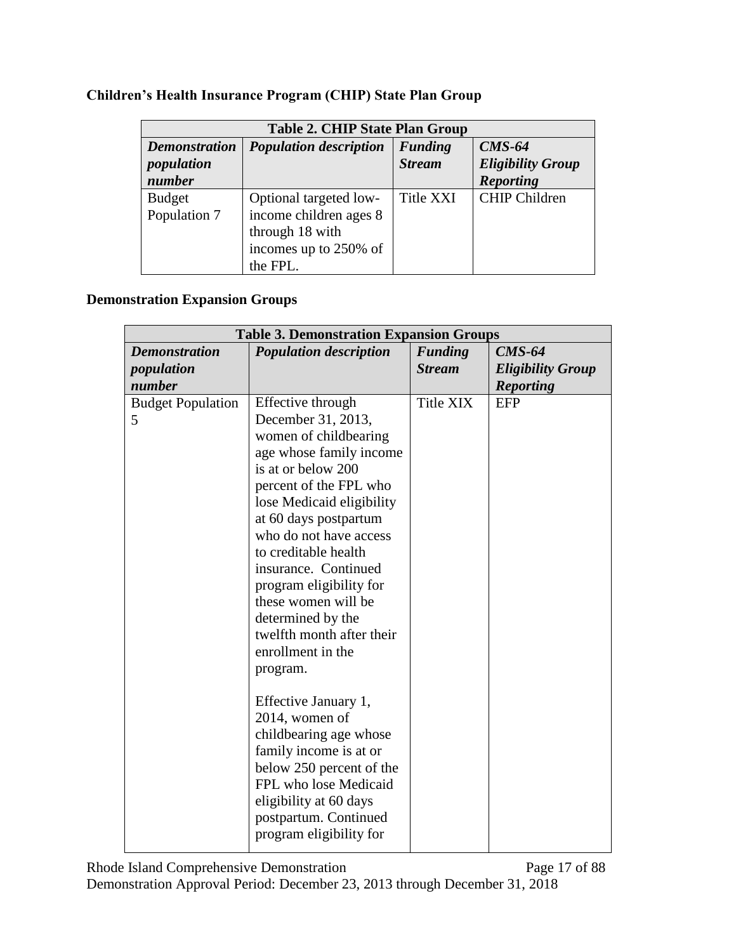| <b>Table 2. CHIP State Plan Group</b>        |                                                                                                          |                                 |                                                          |
|----------------------------------------------|----------------------------------------------------------------------------------------------------------|---------------------------------|----------------------------------------------------------|
| <b>Demonstration</b><br>population<br>number | <b>Population description</b>                                                                            | <b>Funding</b><br><b>Stream</b> | $CMS-64$<br><b>Eligibility Group</b><br><b>Reporting</b> |
| <b>Budget</b><br>Population 7                | Optional targeted low-<br>income children ages 8<br>through 18 with<br>incomes up to 250% of<br>the FPL. | <b>Title XXI</b>                | <b>CHIP Children</b>                                     |

# **Children's Health Insurance Program (CHIP) State Plan Group**

# **Demonstration Expansion Groups**

| <b>Table 3. Demonstration Expansion Groups</b> |                                               |                |                          |
|------------------------------------------------|-----------------------------------------------|----------------|--------------------------|
| <b>Demonstration</b>                           | <b>Population description</b>                 | <b>Funding</b> | $CMS-64$                 |
| population                                     |                                               | <b>Stream</b>  | <b>Eligibility Group</b> |
| number                                         |                                               |                | <b>Reporting</b>         |
| <b>Budget Population</b>                       | Effective through                             | Title XIX      | <b>EFP</b>               |
| 5                                              | December 31, 2013,                            |                |                          |
|                                                | women of childbearing                         |                |                          |
|                                                | age whose family income<br>is at or below 200 |                |                          |
|                                                | percent of the FPL who                        |                |                          |
|                                                | lose Medicaid eligibility                     |                |                          |
|                                                | at 60 days postpartum                         |                |                          |
|                                                | who do not have access                        |                |                          |
|                                                | to creditable health                          |                |                          |
|                                                | insurance. Continued                          |                |                          |
|                                                | program eligibility for                       |                |                          |
|                                                | these women will be                           |                |                          |
|                                                | determined by the                             |                |                          |
|                                                | twelfth month after their                     |                |                          |
|                                                | enrollment in the                             |                |                          |
|                                                | program.                                      |                |                          |
|                                                | Effective January 1,                          |                |                          |
|                                                | 2014, women of                                |                |                          |
|                                                | childbearing age whose                        |                |                          |
|                                                | family income is at or                        |                |                          |
|                                                | below 250 percent of the                      |                |                          |
|                                                | FPL who lose Medicaid                         |                |                          |
|                                                | eligibility at 60 days                        |                |                          |
|                                                | postpartum. Continued                         |                |                          |
|                                                | program eligibility for                       |                |                          |

Rhode Island Comprehensive Demonstration Page 17 of 88 Demonstration Approval Period: December 23, 2013 through December 31, 2018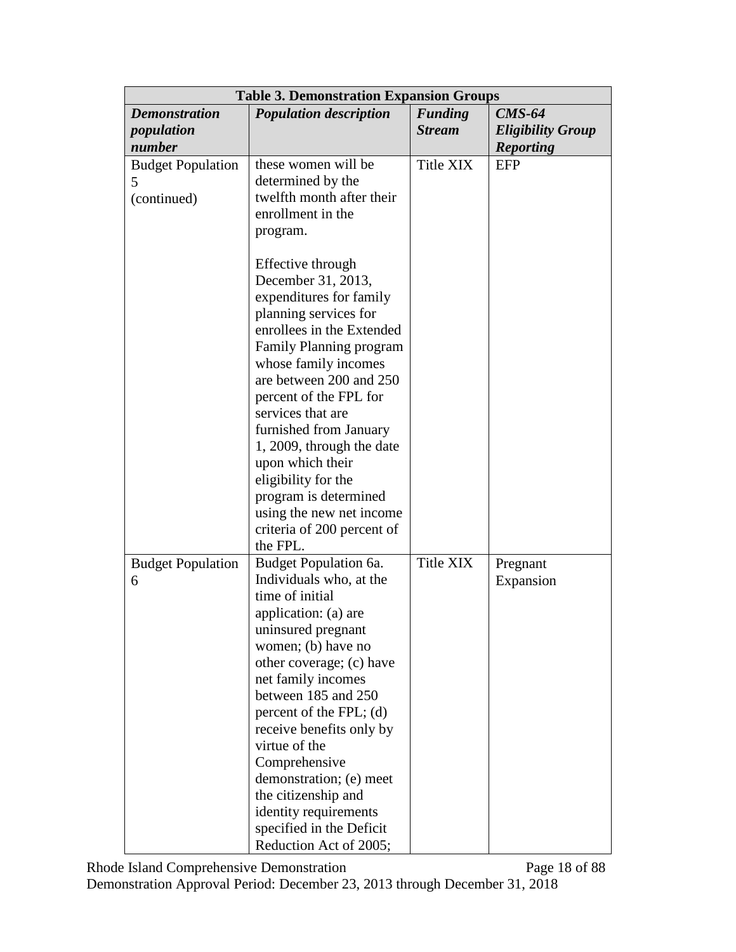| <b>Table 3. Demonstration Expansion Groups</b> |                                                                                                                                                                                                                                                                                                                                                                                                                                                        |                                 |                                                          |
|------------------------------------------------|--------------------------------------------------------------------------------------------------------------------------------------------------------------------------------------------------------------------------------------------------------------------------------------------------------------------------------------------------------------------------------------------------------------------------------------------------------|---------------------------------|----------------------------------------------------------|
| <b>Demonstration</b><br>population<br>number   | <b>Population description</b>                                                                                                                                                                                                                                                                                                                                                                                                                          | <b>Funding</b><br><b>Stream</b> | $CMS-64$<br><b>Eligibility Group</b><br><b>Reporting</b> |
| <b>Budget Population</b><br>5<br>(continued)   | these women will be<br>determined by the<br>twelfth month after their<br>enrollment in the<br>program.                                                                                                                                                                                                                                                                                                                                                 | Title XIX                       | <b>EFP</b>                                               |
|                                                | Effective through<br>December 31, 2013,<br>expenditures for family<br>planning services for<br>enrollees in the Extended<br>Family Planning program<br>whose family incomes<br>are between 200 and 250<br>percent of the FPL for<br>services that are<br>furnished from January<br>1, 2009, through the date<br>upon which their<br>eligibility for the<br>program is determined<br>using the new net income<br>criteria of 200 percent of<br>the FPL. |                                 |                                                          |
| <b>Budget Population</b><br>6                  | Budget Population 6a.<br>Individuals who, at the<br>time of initial<br>application: (a) are<br>uninsured pregnant<br>women; (b) have no<br>other coverage; (c) have<br>net family incomes<br>between 185 and 250<br>percent of the FPL; (d)<br>receive benefits only by<br>virtue of the<br>Comprehensive<br>demonstration; (e) meet<br>the citizenship and<br>identity requirements<br>specified in the Deficit<br>Reduction Act of 2005;             | <b>Title XIX</b>                | Pregnant<br>Expansion                                    |

Rhode Island Comprehensive Demonstration Page 18 of 88 Demonstration Approval Period: December 23, 2013 through December 31, 2018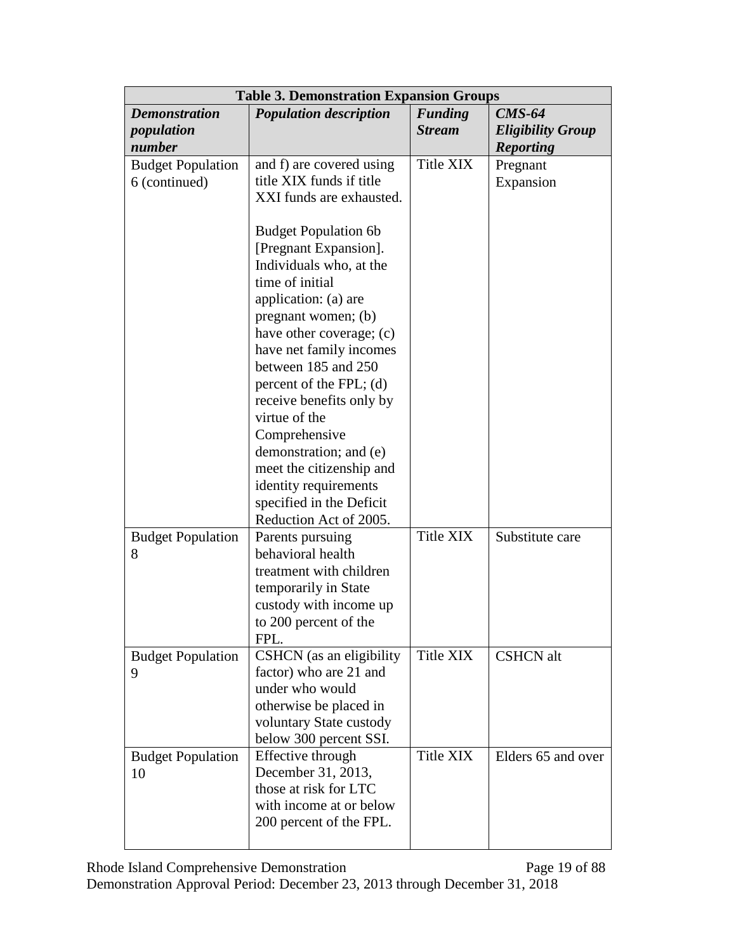| <b>Table 3. Demonstration Expansion Groups</b> |                                                                                                                                                                                                                                                                                                                                                                                                           |                                 |                                                          |
|------------------------------------------------|-----------------------------------------------------------------------------------------------------------------------------------------------------------------------------------------------------------------------------------------------------------------------------------------------------------------------------------------------------------------------------------------------------------|---------------------------------|----------------------------------------------------------|
| <b>Demonstration</b><br>population<br>number   | <b>Population description</b>                                                                                                                                                                                                                                                                                                                                                                             | <b>Funding</b><br><b>Stream</b> | $CMS-64$<br><b>Eligibility Group</b><br><b>Reporting</b> |
| <b>Budget Population</b><br>6 (continued)      | and f) are covered using<br>title XIX funds if title<br>XXI funds are exhausted.                                                                                                                                                                                                                                                                                                                          | Title XIX                       | Pregnant<br>Expansion                                    |
|                                                | <b>Budget Population 6b</b><br>[Pregnant Expansion].<br>Individuals who, at the<br>time of initial<br>application: (a) are<br>pregnant women; (b)<br>have other coverage; (c)<br>have net family incomes<br>between 185 and 250<br>percent of the FPL; $(d)$<br>receive benefits only by<br>virtue of the<br>Comprehensive<br>demonstration; and (e)<br>meet the citizenship and<br>identity requirements |                                 |                                                          |
|                                                | specified in the Deficit<br>Reduction Act of 2005.                                                                                                                                                                                                                                                                                                                                                        |                                 |                                                          |
| <b>Budget Population</b><br>8                  | Parents pursuing<br>behavioral health<br>treatment with children<br>temporarily in State<br>custody with income up<br>to 200 percent of the<br>FPL.                                                                                                                                                                                                                                                       | Title XIX                       | Substitute care                                          |
| <b>Budget Population</b><br>9                  | CSHCN (as an eligibility<br>factor) who are 21 and<br>under who would<br>otherwise be placed in<br>voluntary State custody<br>below 300 percent SSI.                                                                                                                                                                                                                                                      | Title XIX                       | <b>CSHCN</b> alt                                         |
| <b>Budget Population</b><br>10                 | Effective through<br>December 31, 2013,<br>those at risk for LTC<br>with income at or below<br>200 percent of the FPL.                                                                                                                                                                                                                                                                                    | Title XIX                       | Elders 65 and over                                       |

Rhode Island Comprehensive Demonstration Page 19 of 88 Demonstration Approval Period: December 23, 2013 through December 31, 2018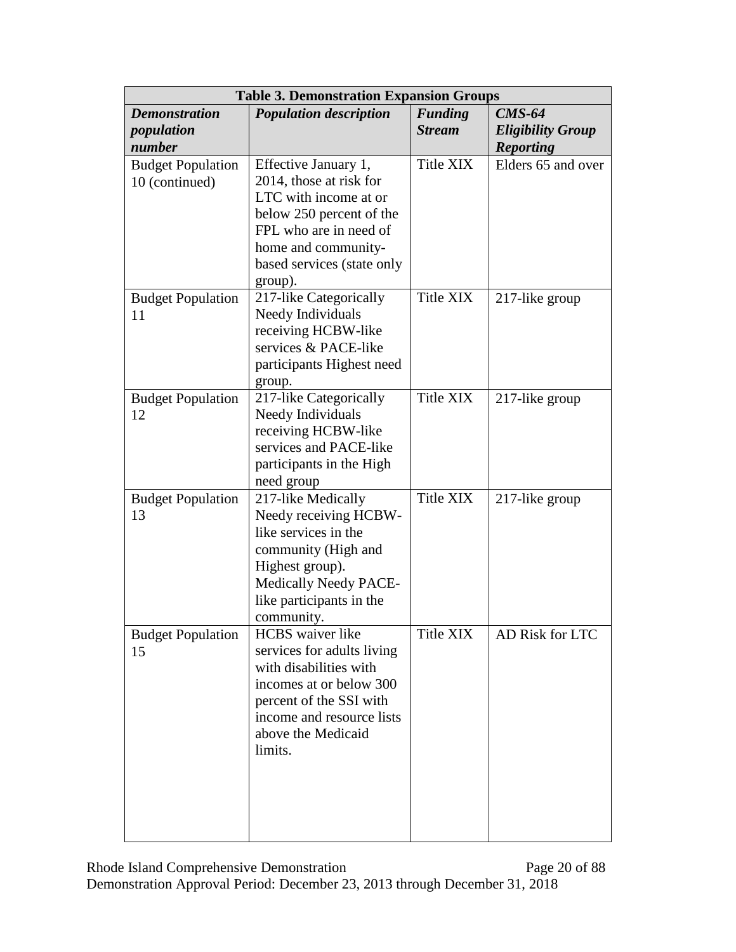| <b>Table 3. Demonstration Expansion Groups</b> |                                                                                                                                                                                                     |                                 |                                                          |
|------------------------------------------------|-----------------------------------------------------------------------------------------------------------------------------------------------------------------------------------------------------|---------------------------------|----------------------------------------------------------|
| <b>Demonstration</b><br>population<br>number   | <b>Population description</b>                                                                                                                                                                       | <b>Funding</b><br><b>Stream</b> | $CMS-64$<br><b>Eligibility Group</b><br><b>Reporting</b> |
| <b>Budget Population</b><br>10 (continued)     | Effective January 1,<br>2014, those at risk for<br>LTC with income at or<br>below 250 percent of the<br>FPL who are in need of<br>home and community-<br>based services (state only<br>group).      | Title XIX                       | Elders 65 and over                                       |
| <b>Budget Population</b><br>11                 | 217-like Categorically<br>Needy Individuals<br>receiving HCBW-like<br>services & PACE-like<br>participants Highest need<br>group.                                                                   | Title XIX                       | 217-like group                                           |
| <b>Budget Population</b><br>12                 | 217-like Categorically<br>Needy Individuals<br>receiving HCBW-like<br>services and PACE-like<br>participants in the High<br>need group                                                              | <b>Title XIX</b>                | 217-like group                                           |
| <b>Budget Population</b><br>13                 | 217-like Medically<br>Needy receiving HCBW-<br>like services in the<br>community (High and<br>Highest group).<br>Medically Needy PACE-<br>like participants in the<br>community.                    | Title XIX                       | 217-like group                                           |
| <b>Budget Population</b><br>15                 | <b>HCBS</b> waiver like<br>services for adults living<br>with disabilities with<br>incomes at or below 300<br>percent of the SSI with<br>income and resource lists<br>above the Medicaid<br>limits. | Title XIX                       | AD Risk for LTC                                          |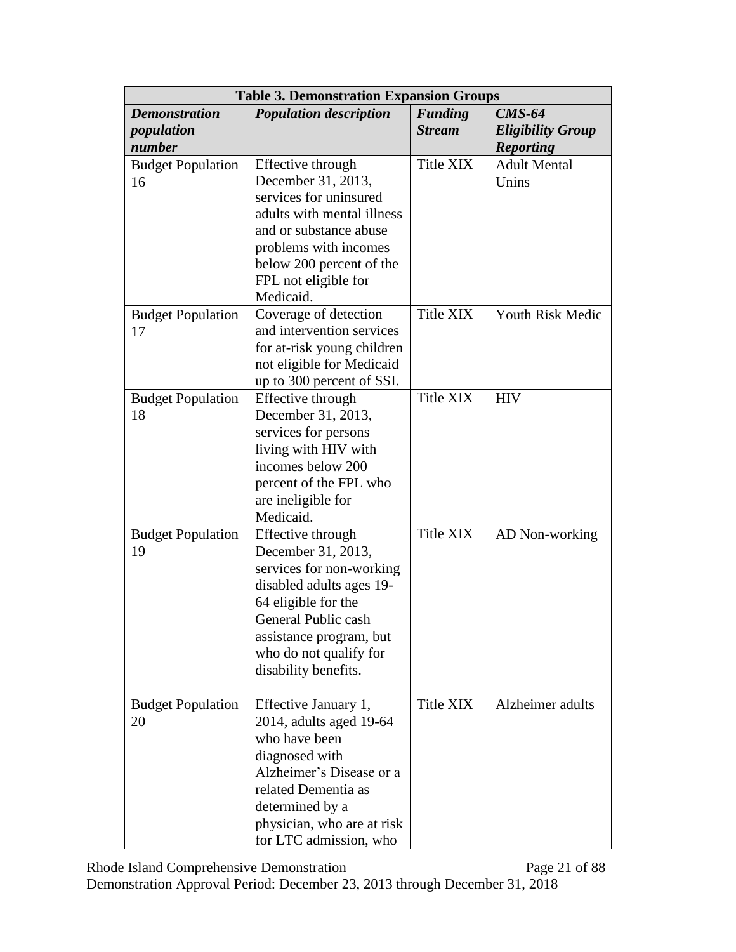| <b>Table 3. Demonstration Expansion Groups</b> |                                                                                                                                                                                                                            |                                 |                                                          |
|------------------------------------------------|----------------------------------------------------------------------------------------------------------------------------------------------------------------------------------------------------------------------------|---------------------------------|----------------------------------------------------------|
| <b>Demonstration</b><br>population<br>number   | <b>Population description</b>                                                                                                                                                                                              | <b>Funding</b><br><b>Stream</b> | $CMS-64$<br><b>Eligibility Group</b><br><b>Reporting</b> |
| <b>Budget Population</b><br>16                 | Effective through<br>December 31, 2013,<br>services for uninsured<br>adults with mental illness<br>and or substance abuse<br>problems with incomes<br>below 200 percent of the<br>FPL not eligible for<br>Medicaid.        | Title XIX                       | <b>Adult Mental</b><br>Unins                             |
| <b>Budget Population</b><br>17                 | Coverage of detection<br>and intervention services<br>for at-risk young children<br>not eligible for Medicaid<br>up to 300 percent of SSI.                                                                                 | <b>Title XIX</b>                | Youth Risk Medic                                         |
| <b>Budget Population</b><br>18                 | Effective through<br>December 31, 2013,<br>services for persons<br>living with HIV with<br>incomes below 200<br>percent of the FPL who<br>are ineligible for<br>Medicaid.                                                  | <b>Title XIX</b>                | <b>HIV</b>                                               |
| <b>Budget Population</b><br>19                 | Effective through<br>December 31, 2013,<br>services for non-working<br>disabled adults ages 19-<br>64 eligible for the<br>General Public cash<br>assistance program, but<br>who do not qualify for<br>disability benefits. | <b>Title XIX</b>                | AD Non-working                                           |
| <b>Budget Population</b><br>20                 | Effective January 1,<br>2014, adults aged 19-64<br>who have been<br>diagnosed with<br>Alzheimer's Disease or a<br>related Dementia as<br>determined by a<br>physician, who are at risk<br>for LTC admission, who           | <b>Title XIX</b>                | Alzheimer adults                                         |

Rhode Island Comprehensive Demonstration Page 21 of 88 Demonstration Approval Period: December 23, 2013 through December 31, 2018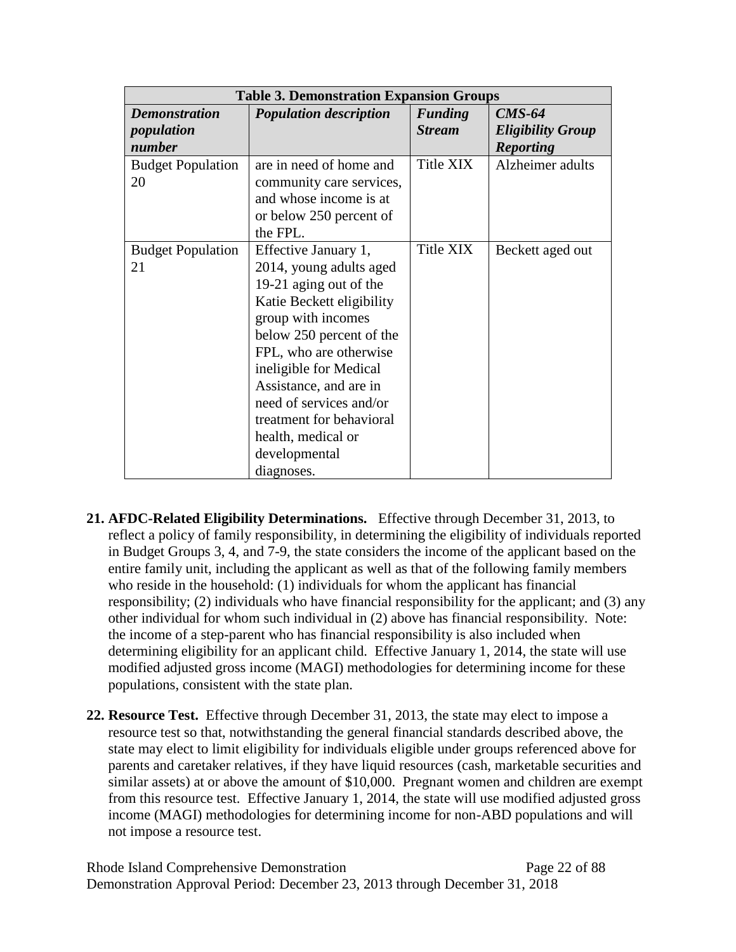|                          | <b>Table 3. Demonstration Expansion Groups</b> |                |                          |  |
|--------------------------|------------------------------------------------|----------------|--------------------------|--|
| <b>Demonstration</b>     | <b>Population description</b>                  | <b>Funding</b> | $CMS-64$                 |  |
| population               |                                                | <b>Stream</b>  | <b>Eligibility Group</b> |  |
| number                   |                                                |                | <b>Reporting</b>         |  |
| <b>Budget Population</b> | are in need of home and                        | Title XIX      | Alzheimer adults         |  |
| 20                       | community care services,                       |                |                          |  |
|                          | and whose income is at                         |                |                          |  |
|                          | or below 250 percent of                        |                |                          |  |
|                          | the FPL.                                       |                |                          |  |
| <b>Budget Population</b> | Effective January 1,                           | Title XIX      | Beckett aged out         |  |
| 21                       | 2014, young adults aged                        |                |                          |  |
|                          | 19-21 aging out of the                         |                |                          |  |
|                          | Katie Beckett eligibility                      |                |                          |  |
|                          | group with incomes                             |                |                          |  |
|                          | below 250 percent of the                       |                |                          |  |
|                          | FPL, who are otherwise                         |                |                          |  |
|                          | ineligible for Medical                         |                |                          |  |
|                          | Assistance, and are in                         |                |                          |  |
|                          | need of services and/or                        |                |                          |  |
|                          | treatment for behavioral                       |                |                          |  |
|                          | health, medical or                             |                |                          |  |
|                          | developmental                                  |                |                          |  |
|                          | diagnoses.                                     |                |                          |  |

- **21. AFDC-Related Eligibility Determinations.** Effective through December 31, 2013, to reflect a policy of family responsibility, in determining the eligibility of individuals reported in Budget Groups 3, 4, and 7-9, the state considers the income of the applicant based on the entire family unit, including the applicant as well as that of the following family members who reside in the household: (1) individuals for whom the applicant has financial responsibility; (2) individuals who have financial responsibility for the applicant; and (3) any other individual for whom such individual in (2) above has financial responsibility. Note: the income of a step-parent who has financial responsibility is also included when determining eligibility for an applicant child. Effective January 1, 2014, the state will use modified adjusted gross income (MAGI) methodologies for determining income for these populations, consistent with the state plan.
- **22. Resource Test.** Effective through December 31, 2013, the state may elect to impose a resource test so that, notwithstanding the general financial standards described above, the state may elect to limit eligibility for individuals eligible under groups referenced above for parents and caretaker relatives, if they have liquid resources (cash, marketable securities and similar assets) at or above the amount of \$10,000. Pregnant women and children are exempt from this resource test. Effective January 1, 2014, the state will use modified adjusted gross income (MAGI) methodologies for determining income for non-ABD populations and will not impose a resource test.

Rhode Island Comprehensive Demonstration Page 22 of 88 Demonstration Approval Period: December 23, 2013 through December 31, 2018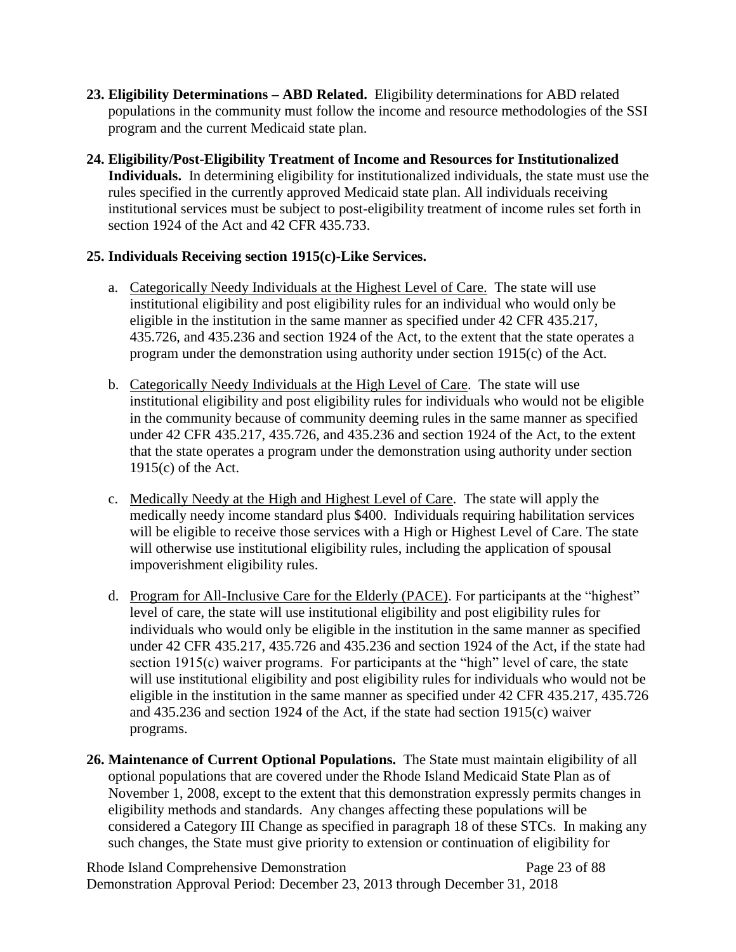- **23. Eligibility Determinations – ABD Related.** Eligibility determinations for ABD related populations in the community must follow the income and resource methodologies of the SSI program and the current Medicaid state plan.
- **24. Eligibility/Post-Eligibility Treatment of Income and Resources for Institutionalized Individuals.** In determining eligibility for institutionalized individuals, the state must use the rules specified in the currently approved Medicaid state plan. All individuals receiving institutional services must be subject to post-eligibility treatment of income rules set forth in section 1924 of the Act and 42 CFR 435.733.

### **25. Individuals Receiving section 1915(c)-Like Services.**

- a. Categorically Needy Individuals at the Highest Level of Care. The state will use institutional eligibility and post eligibility rules for an individual who would only be eligible in the institution in the same manner as specified under 42 CFR 435.217, 435.726, and 435.236 and section 1924 of the Act, to the extent that the state operates a program under the demonstration using authority under section 1915(c) of the Act.
- b. Categorically Needy Individuals at the High Level of Care. The state will use institutional eligibility and post eligibility rules for individuals who would not be eligible in the community because of community deeming rules in the same manner as specified under 42 CFR 435.217, 435.726, and 435.236 and section 1924 of the Act, to the extent that the state operates a program under the demonstration using authority under section 1915(c) of the Act.
- c. Medically Needy at the High and Highest Level of Care. The state will apply the medically needy income standard plus \$400. Individuals requiring habilitation services will be eligible to receive those services with a High or Highest Level of Care. The state will otherwise use institutional eligibility rules, including the application of spousal impoverishment eligibility rules.
- d. Program for All-Inclusive Care for the Elderly (PACE). For participants at the "highest" level of care, the state will use institutional eligibility and post eligibility rules for individuals who would only be eligible in the institution in the same manner as specified under 42 CFR 435.217, 435.726 and 435.236 and section 1924 of the Act, if the state had section 1915(c) waiver programs. For participants at the "high" level of care, the state will use institutional eligibility and post eligibility rules for individuals who would not be eligible in the institution in the same manner as specified under 42 CFR 435.217, 435.726 and 435.236 and section 1924 of the Act, if the state had section 1915(c) waiver programs.
- **26. Maintenance of Current Optional Populations.** The State must maintain eligibility of all optional populations that are covered under the Rhode Island Medicaid State Plan as of November 1, 2008, except to the extent that this demonstration expressly permits changes in eligibility methods and standards. Any changes affecting these populations will be considered a Category III Change as specified in paragraph [18](#page-9-0) of these STCs. In making any such changes, the State must give priority to extension or continuation of eligibility for

Rhode Island Comprehensive Demonstration Page 23 of 88 Demonstration Approval Period: December 23, 2013 through December 31, 2018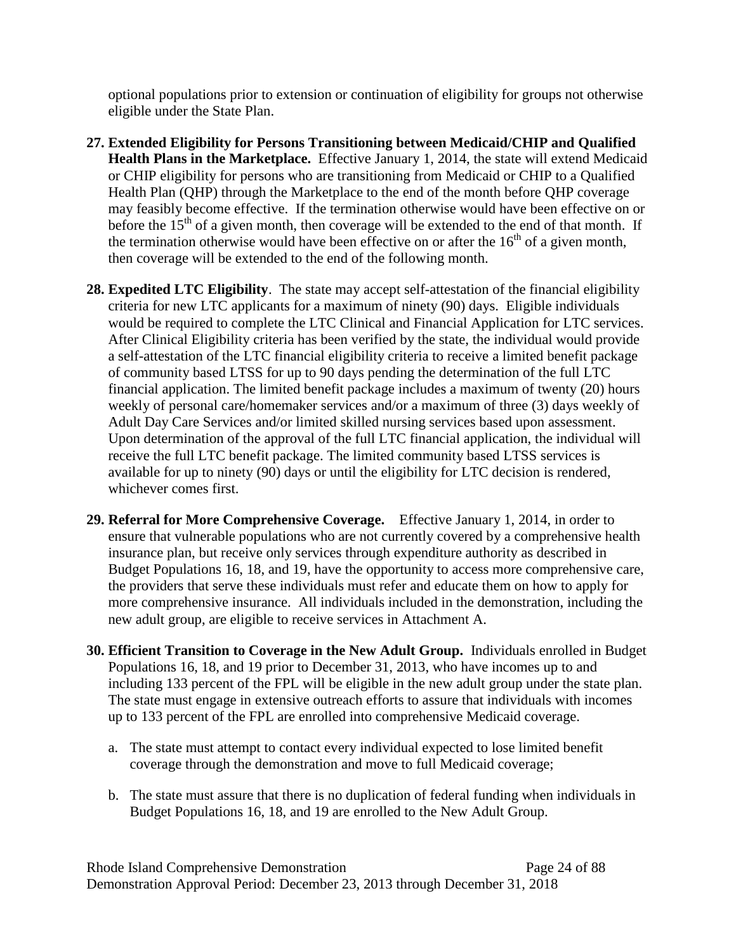optional populations prior to extension or continuation of eligibility for groups not otherwise eligible under the State Plan.

- **27. Extended Eligibility for Persons Transitioning between Medicaid/CHIP and Qualified Health Plans in the Marketplace.** Effective January 1, 2014, the state will extend Medicaid or CHIP eligibility for persons who are transitioning from Medicaid or CHIP to a Qualified Health Plan (QHP) through the Marketplace to the end of the month before QHP coverage may feasibly become effective. If the termination otherwise would have been effective on or before the  $15<sup>th</sup>$  of a given month, then coverage will be extended to the end of that month. If the termination otherwise would have been effective on or after the  $16<sup>th</sup>$  of a given month, then coverage will be extended to the end of the following month.
- **28. Expedited LTC Eligibility**. The state may accept self-attestation of the financial eligibility criteria for new LTC applicants for a maximum of ninety (90) days. Eligible individuals would be required to complete the LTC Clinical and Financial Application for LTC services. After Clinical Eligibility criteria has been verified by the state, the individual would provide a self-attestation of the LTC financial eligibility criteria to receive a limited benefit package of community based LTSS for up to 90 days pending the determination of the full LTC financial application. The limited benefit package includes a maximum of twenty (20) hours weekly of personal care/homemaker services and/or a maximum of three (3) days weekly of Adult Day Care Services and/or limited skilled nursing services based upon assessment. Upon determination of the approval of the full LTC financial application, the individual will receive the full LTC benefit package. The limited community based LTSS services is available for up to ninety (90) days or until the eligibility for LTC decision is rendered, whichever comes first.
- **29. Referral for More Comprehensive Coverage.** Effective January 1, 2014, in order to ensure that vulnerable populations who are not currently covered by a comprehensive health insurance plan, but receive only services through expenditure authority as described in Budget Populations 16, 18, and 19, have the opportunity to access more comprehensive care, the providers that serve these individuals must refer and educate them on how to apply for more comprehensive insurance. All individuals included in the demonstration, including the new adult group, are eligible to receive services in Attachment A.
- **30. Efficient Transition to Coverage in the New Adult Group.** Individuals enrolled in Budget Populations 16, 18, and 19 prior to December 31, 2013, who have incomes up to and including 133 percent of the FPL will be eligible in the new adult group under the state plan. The state must engage in extensive outreach efforts to assure that individuals with incomes up to 133 percent of the FPL are enrolled into comprehensive Medicaid coverage.
	- a. The state must attempt to contact every individual expected to lose limited benefit coverage through the demonstration and move to full Medicaid coverage;
	- b. The state must assure that there is no duplication of federal funding when individuals in Budget Populations 16, 18, and 19 are enrolled to the New Adult Group.

Rhode Island Comprehensive Demonstration Page 24 of 88 Demonstration Approval Period: December 23, 2013 through December 31, 2018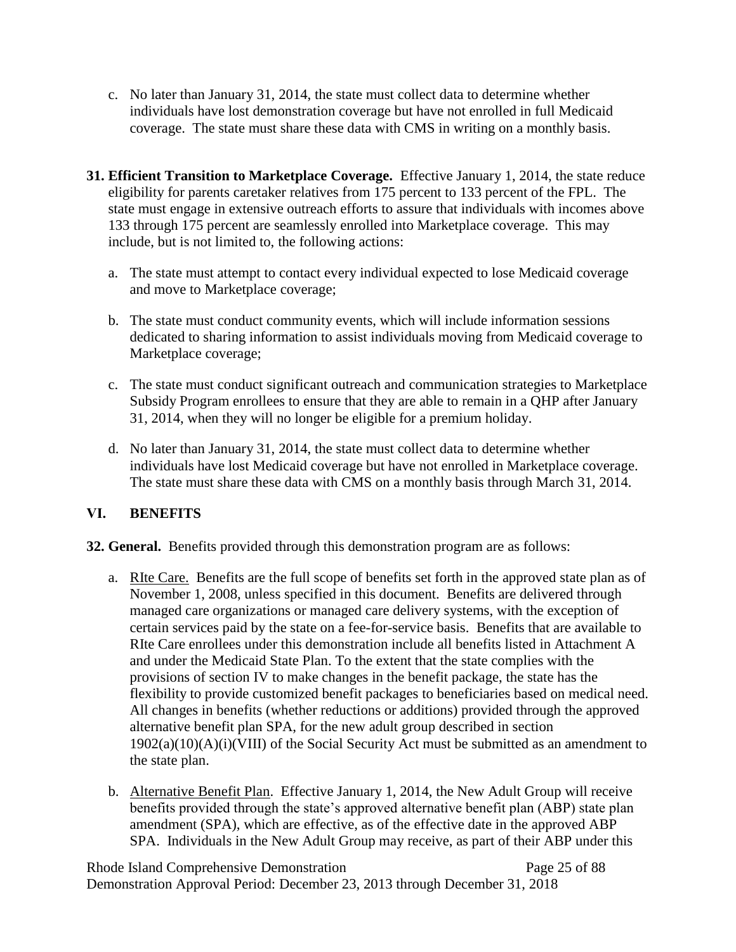- c. No later than January 31, 2014, the state must collect data to determine whether individuals have lost demonstration coverage but have not enrolled in full Medicaid coverage. The state must share these data with CMS in writing on a monthly basis.
- **31. Efficient Transition to Marketplace Coverage.** Effective January 1, 2014, the state reduce eligibility for parents caretaker relatives from 175 percent to 133 percent of the FPL. The state must engage in extensive outreach efforts to assure that individuals with incomes above 133 through 175 percent are seamlessly enrolled into Marketplace coverage. This may include, but is not limited to, the following actions:
	- a. The state must attempt to contact every individual expected to lose Medicaid coverage and move to Marketplace coverage;
	- b. The state must conduct community events, which will include information sessions dedicated to sharing information to assist individuals moving from Medicaid coverage to Marketplace coverage;
	- c. The state must conduct significant outreach and communication strategies to Marketplace Subsidy Program enrollees to ensure that they are able to remain in a QHP after January 31, 2014, when they will no longer be eligible for a premium holiday.
	- d. No later than January 31, 2014, the state must collect data to determine whether individuals have lost Medicaid coverage but have not enrolled in Marketplace coverage. The state must share these data with CMS on a monthly basis through March 31, 2014.

### **VI. BENEFITS**

### **32. General.** Benefits provided through this demonstration program are as follows:

- a. RIte Care. Benefits are the full scope of benefits set forth in the approved state plan as of November 1, 2008, unless specified in this document. Benefits are delivered through managed care organizations or managed care delivery systems, with the exception of certain services paid by the state on a fee-for-service basis. Benefits that are available to RIte Care enrollees under this demonstration include all benefits listed in Attachment A and under the Medicaid State Plan. To the extent that the state complies with the provisions of section IV to make changes in the benefit package, the state has the flexibility to provide customized benefit packages to beneficiaries based on medical need. All changes in benefits (whether reductions or additions) provided through the approved alternative benefit plan SPA, for the new adult group described in section  $1902(a)(10)(A)(i)(VIII)$  of the Social Security Act must be submitted as an amendment to the state plan.
- b. Alternative Benefit Plan. Effective January 1, 2014, the New Adult Group will receive benefits provided through the state's approved alternative benefit plan (ABP) state plan amendment (SPA), which are effective, as of the effective date in the approved ABP SPA. Individuals in the New Adult Group may receive, as part of their ABP under this

Rhode Island Comprehensive Demonstration Page 25 of 88 Demonstration Approval Period: December 23, 2013 through December 31, 2018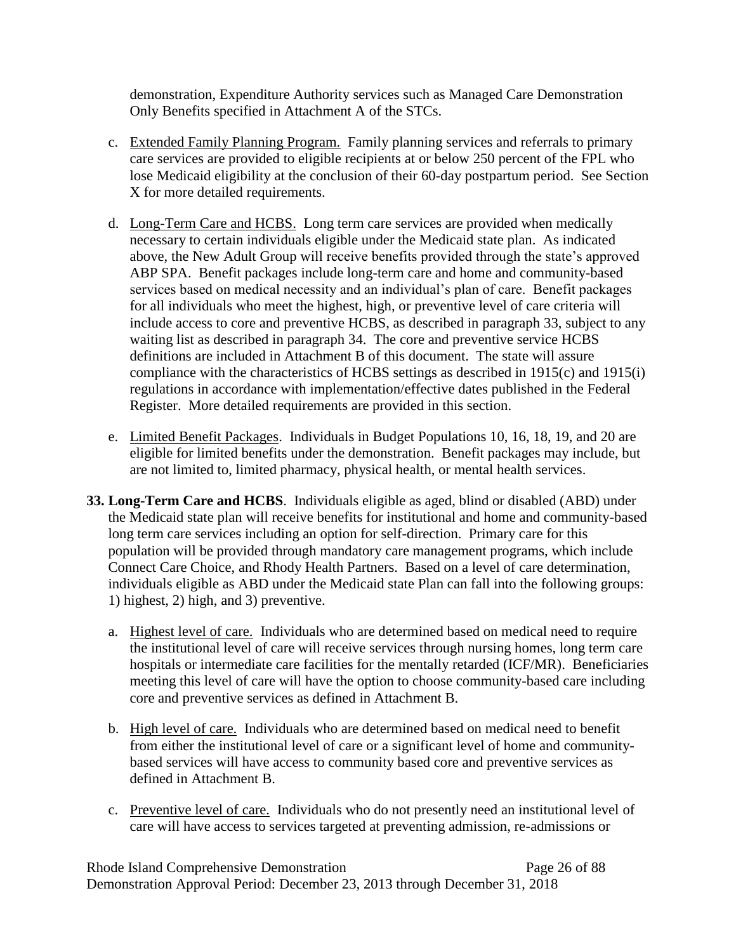demonstration, Expenditure Authority services such as Managed Care Demonstration Only Benefits specified in Attachment A of the STCs.

- c. Extended Family Planning Program.Family planning services and referrals to primary care services are provided to eligible recipients at or below 250 percent of the FPL who lose Medicaid eligibility at the conclusion of their 60-day postpartum period. See Section [X](#page-0-0) for more detailed requirements.
- d. Long-Term Care and HCBS. Long term care services are provided when medically necessary to certain individuals eligible under the Medicaid state plan. As indicated above, the New Adult Group will receive benefits provided through the state's approved ABP SPA. Benefit packages include long-term care and home and community-based services based on medical necessity and an individual's plan of care. Benefit packages for all individuals who meet the highest, high, or preventive level of care criteria will include access to core and preventive HCBS, as described in paragraph [33,](#page-25-0) subject to any waiting list as described in paragraph [34.](#page-26-0) The core and preventive service HCBS definitions are included in Attachment B of this document. The state will assure compliance with the characteristics of HCBS settings as described in 1915(c) and 1915(i) regulations in accordance with implementation/effective dates published in the Federal Register. More detailed requirements are provided in this section.
- e. Limited Benefit Packages. Individuals in Budget Populations 10, 16, 18, 19, and 20 are eligible for limited benefits under the demonstration. Benefit packages may include, but are not limited to, limited pharmacy, physical health, or mental health services.
- <span id="page-25-0"></span>**33. Long-Term Care and HCBS**. Individuals eligible as aged, blind or disabled (ABD) under the Medicaid state plan will receive benefits for institutional and home and community-based long term care services including an option for self-direction. Primary care for this population will be provided through mandatory care management programs, which include Connect Care Choice, and Rhody Health Partners. Based on a level of care determination, individuals eligible as ABD under the Medicaid state Plan can fall into the following groups: 1) highest, 2) high, and 3) preventive.
	- a. Highest level of care. Individuals who are determined based on medical need to require the institutional level of care will receive services through nursing homes, long term care hospitals or intermediate care facilities for the mentally retarded (ICF/MR). Beneficiaries meeting this level of care will have the option to choose community-based care including core and preventive services as defined in Attachment B.
	- b. High level of care. Individuals who are determined based on medical need to benefit from either the institutional level of care or a significant level of home and communitybased services will have access to community based core and preventive services as defined in Attachment B.
	- c. Preventive level of care. Individuals who do not presently need an institutional level of care will have access to services targeted at preventing admission, re-admissions or

Rhode Island Comprehensive Demonstration Page 26 of 88 Demonstration Approval Period: December 23, 2013 through December 31, 2018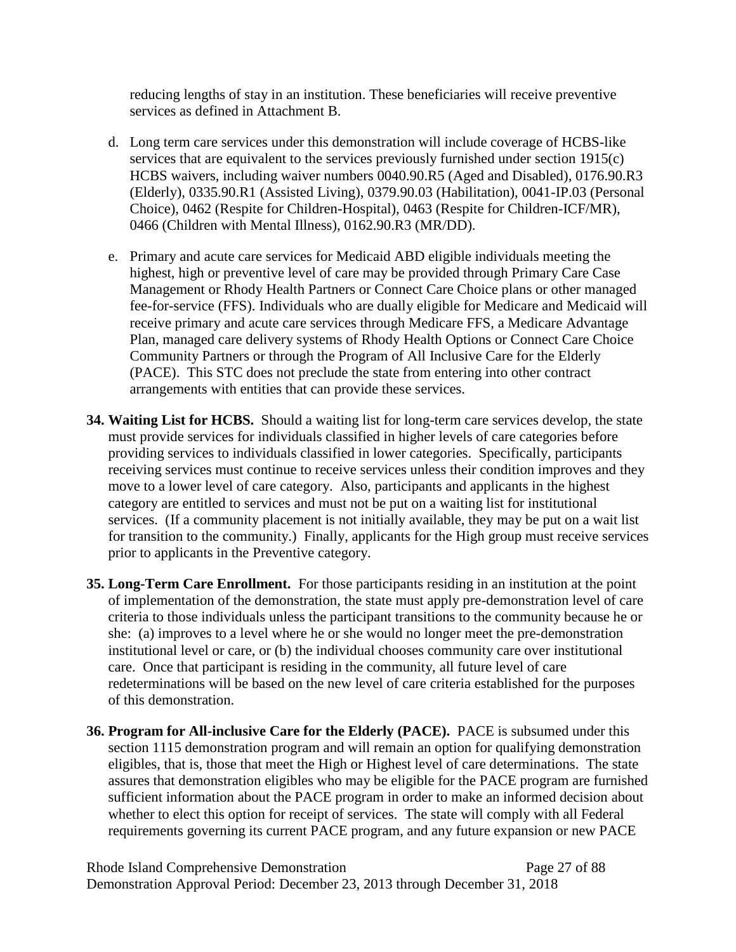reducing lengths of stay in an institution. These beneficiaries will receive preventive services as defined in Attachment B.

- d. Long term care services under this demonstration will include coverage of HCBS-like services that are equivalent to the services previously furnished under section 1915(c) HCBS waivers, including waiver numbers 0040.90.R5 (Aged and Disabled), 0176.90.R3 (Elderly), 0335.90.R1 (Assisted Living), 0379.90.03 (Habilitation), 0041-IP.03 (Personal Choice), 0462 (Respite for Children-Hospital), 0463 (Respite for Children-ICF/MR), 0466 (Children with Mental Illness), 0162.90.R3 (MR/DD).
- e. Primary and acute care services for Medicaid ABD eligible individuals meeting the highest, high or preventive level of care may be provided through Primary Care Case Management or Rhody Health Partners or Connect Care Choice plans or other managed fee-for-service (FFS). Individuals who are dually eligible for Medicare and Medicaid will receive primary and acute care services through Medicare FFS, a Medicare Advantage Plan, managed care delivery systems of Rhody Health Options or Connect Care Choice Community Partners or through the Program of All Inclusive Care for the Elderly (PACE). This STC does not preclude the state from entering into other contract arrangements with entities that can provide these services.
- <span id="page-26-0"></span>**34. Waiting List for HCBS.** Should a waiting list for long-term care services develop, the state must provide services for individuals classified in higher levels of care categories before providing services to individuals classified in lower categories. Specifically, participants receiving services must continue to receive services unless their condition improves and they move to a lower level of care category. Also, participants and applicants in the highest category are entitled to services and must not be put on a waiting list for institutional services. (If a community placement is not initially available, they may be put on a wait list for transition to the community.) Finally, applicants for the High group must receive services prior to applicants in the Preventive category.
- **35. Long-Term Care Enrollment.** For those participants residing in an institution at the point of implementation of the demonstration, the state must apply pre-demonstration level of care criteria to those individuals unless the participant transitions to the community because he or she: (a) improves to a level where he or she would no longer meet the pre-demonstration institutional level or care, or (b) the individual chooses community care over institutional care. Once that participant is residing in the community, all future level of care redeterminations will be based on the new level of care criteria established for the purposes of this demonstration.
- **36. Program for All-inclusive Care for the Elderly (PACE).** PACE is subsumed under this section 1115 demonstration program and will remain an option for qualifying demonstration eligibles, that is, those that meet the High or Highest level of care determinations. The state assures that demonstration eligibles who may be eligible for the PACE program are furnished sufficient information about the PACE program in order to make an informed decision about whether to elect this option for receipt of services. The state will comply with all Federal requirements governing its current PACE program, and any future expansion or new PACE

Rhode Island Comprehensive Demonstration Page 27 of 88 Demonstration Approval Period: December 23, 2013 through December 31, 2018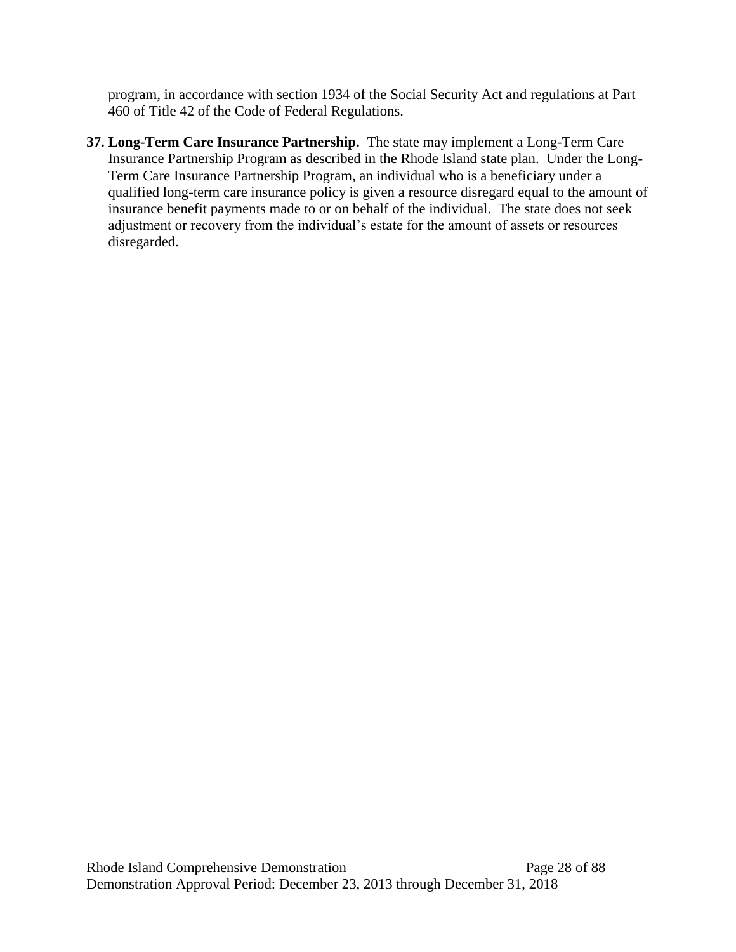program, in accordance with section 1934 of the Social Security Act and regulations at Part 460 of Title 42 of the Code of Federal Regulations.

**37. Long-Term Care Insurance Partnership.** The state may implement a Long-Term Care Insurance Partnership Program as described in the Rhode Island state plan. Under the Long-Term Care Insurance Partnership Program, an individual who is a beneficiary under a qualified long-term care insurance policy is given a resource disregard equal to the amount of insurance benefit payments made to or on behalf of the individual. The state does not seek adjustment or recovery from the individual's estate for the amount of assets or resources disregarded.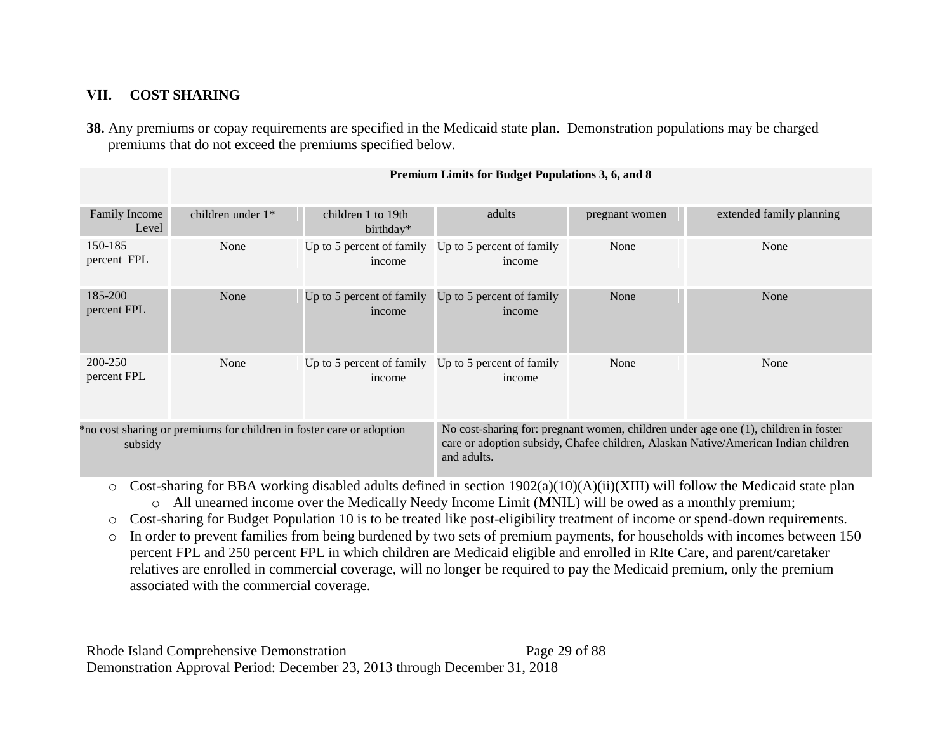# **VII. COST SHARING**

**38.** Any premiums or copay requirements are specified in the Medicaid state plan. Demonstration populations may be charged premiums that do not exceed the premiums specified below.

**Premium Limits for Budget Populations 3, 6, and 8**

| Family Income<br>Level                                                          | children under 1* | children 1 to 19th<br>birthday*                                                                                                                                                          | adults | pregnant women | extended family planning |
|---------------------------------------------------------------------------------|-------------------|------------------------------------------------------------------------------------------------------------------------------------------------------------------------------------------|--------|----------------|--------------------------|
| 150-185<br>percent FPL                                                          | None              | Up to 5 percent of family Up to 5 percent of family<br>income                                                                                                                            | income | None           | None                     |
| 185-200<br>percent FPL                                                          | None              | Up to 5 percent of family Up to 5 percent of family<br>income                                                                                                                            | income | None           | None                     |
| 200-250<br>percent FPL                                                          | None              | Up to 5 percent of family Up to 5 percent of family<br>income                                                                                                                            | income | None           | None                     |
| *no cost sharing or premiums for children in foster care or adoption<br>subsidy |                   | No cost-sharing for: pregnant women, children under age one (1), children in foster<br>care or adoption subsidy, Chafee children, Alaskan Native/American Indian children<br>and adults. |        |                |                          |

- $\circ$  Cost-sharing for BBA working disabled adults defined in section 1902(a)(10)(A)(ii)(XIII) will follow the Medicaid state plan o All unearned income over the Medically Needy Income Limit (MNIL) will be owed as a monthly premium;
- o Cost-sharing for Budget Population 10 is to be treated like post-eligibility treatment of income or spend-down requirements.
- o In order to prevent families from being burdened by two sets of premium payments, for households with incomes between 150 percent FPL and 250 percent FPL in which children are Medicaid eligible and enrolled in RIte Care, and parent/caretaker relatives are enrolled in commercial coverage, will no longer be required to pay the Medicaid premium, only the premium associated with the commercial coverage.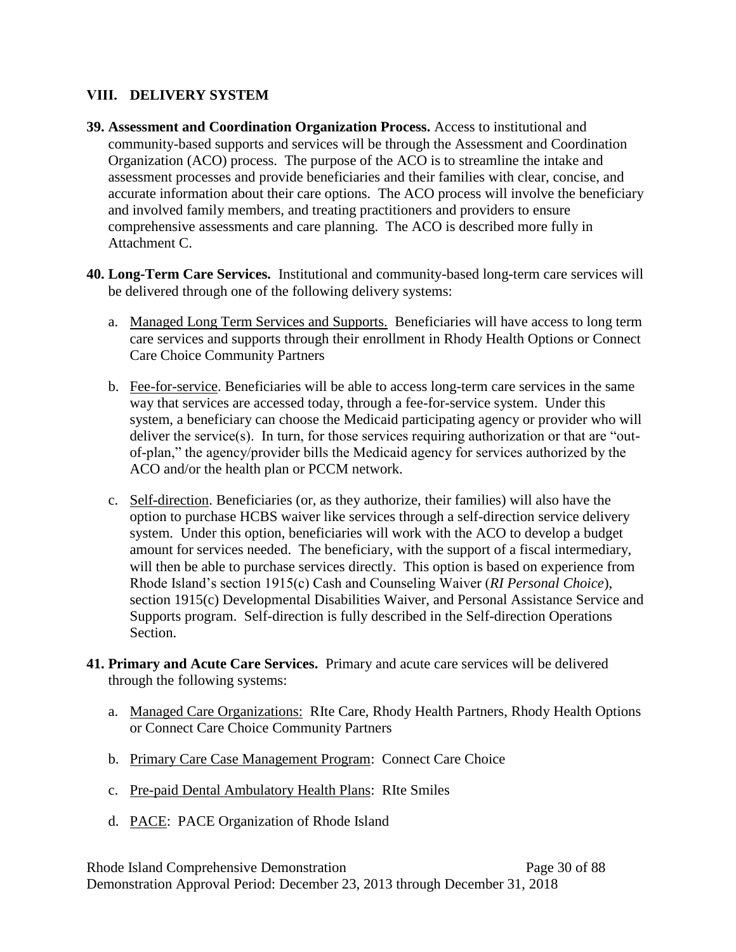#### **VIII. DELIVERY SYSTEM**

- **39. Assessment and Coordination Organization Process.** Access to institutional and community-based supports and services will be through the Assessment and Coordination Organization (ACO) process. The purpose of the ACO is to streamline the intake and assessment processes and provide beneficiaries and their families with clear, concise, and accurate information about their care options. The ACO process will involve the beneficiary and involved family members, and treating practitioners and providers to ensure comprehensive assessments and care planning. The ACO is described more fully in Attachment C.
- **40. Long-Term Care Services.** Institutional and community-based long-term care services will be delivered through one of the following delivery systems:
	- a. Managed Long Term Services and Supports. Beneficiaries will have access to long term care services and supports through their enrollment in Rhody Health Options or Connect Care Choice Community Partners
	- b. Fee-for-service. Beneficiaries will be able to access long-term care services in the same way that services are accessed today, through a fee-for-service system. Under this system, a beneficiary can choose the Medicaid participating agency or provider who will deliver the service(s). In turn, for those services requiring authorization or that are "outof-plan," the agency/provider bills the Medicaid agency for services authorized by the ACO and/or the health plan or PCCM network.
	- c. Self-direction. Beneficiaries (or, as they authorize, their families) will also have the option to purchase HCBS waiver like services through a self-direction service delivery system. Under this option, beneficiaries will work with the ACO to develop a budget amount for services needed. The beneficiary, with the support of a fiscal intermediary, will then be able to purchase services directly. This option is based on experience from Rhode Island's section 1915(c) Cash and Counseling Waiver (*RI Personal Choice*), section 1915(c) Developmental Disabilities Waiver, and Personal Assistance Service and Supports program. Self-direction is fully described in the Self-direction Operations Section.
- **41. Primary and Acute Care Services.** Primary and acute care services will be delivered through the following systems:
	- a. Managed Care Organizations: RIte Care, Rhody Health Partners, Rhody Health Options or Connect Care Choice Community Partners
	- b. Primary Care Case Management Program: Connect Care Choice
	- c. Pre-paid Dental Ambulatory Health Plans: RIte Smiles
	- d. PACE: PACE Organization of Rhode Island

Rhode Island Comprehensive Demonstration Page 30 of 88 Demonstration Approval Period: December 23, 2013 through December 31, 2018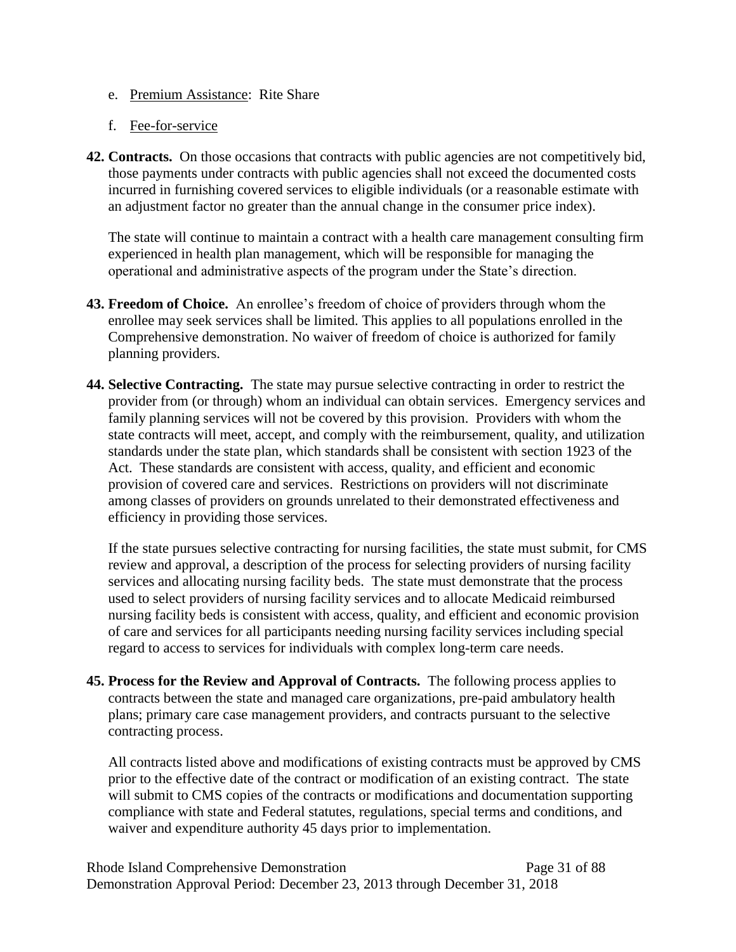- e. Premium Assistance: Rite Share
- f. Fee-for-service
- **42. Contracts.** On those occasions that contracts with public agencies are not competitively bid, those payments under contracts with public agencies shall not exceed the documented costs incurred in furnishing covered services to eligible individuals (or a reasonable estimate with an adjustment factor no greater than the annual change in the consumer price index).

The state will continue to maintain a contract with a health care management consulting firm experienced in health plan management, which will be responsible for managing the operational and administrative aspects of the program under the State's direction.

- **43. Freedom of Choice.** An enrollee's freedom of choice of providers through whom the enrollee may seek services shall be limited. This applies to all populations enrolled in the Comprehensive demonstration. No waiver of freedom of choice is authorized for family planning providers.
- **44. Selective Contracting.** The state may pursue selective contracting in order to restrict the provider from (or through) whom an individual can obtain services. Emergency services and family planning services will not be covered by this provision. Providers with whom the state contracts will meet, accept, and comply with the reimbursement, quality, and utilization standards under the state plan, which standards shall be consistent with section [1923](http://www.ssa.gov/OP_Home/ssact/title19/1923.htm) of the Act. These standards are consistent with access, quality, and efficient and economic provision of covered care and services. Restrictions on providers will not discriminate among classes of providers on grounds unrelated to their demonstrated effectiveness and efficiency in providing those services.

If the state pursues selective contracting for nursing facilities, the state must submit, for CMS review and approval, a description of the process for selecting providers of nursing facility services and allocating nursing facility beds. The state must demonstrate that the process used to select providers of nursing facility services and to allocate Medicaid reimbursed nursing facility beds is consistent with access, quality, and efficient and economic provision of care and services for all participants needing nursing facility services including special regard to access to services for individuals with complex long-term care needs.

**45. Process for the Review and Approval of Contracts.** The following process applies to contracts between the state and managed care organizations, pre-paid ambulatory health plans; primary care case management providers, and contracts pursuant to the selective contracting process.

All contracts listed above and modifications of existing contracts must be approved by CMS prior to the effective date of the contract or modification of an existing contract. The state will submit to CMS copies of the contracts or modifications and documentation supporting compliance with state and Federal statutes, regulations, special terms and conditions, and waiver and expenditure authority 45 days prior to implementation.

Rhode Island Comprehensive Demonstration Page 31 of 88 Demonstration Approval Period: December 23, 2013 through December 31, 2018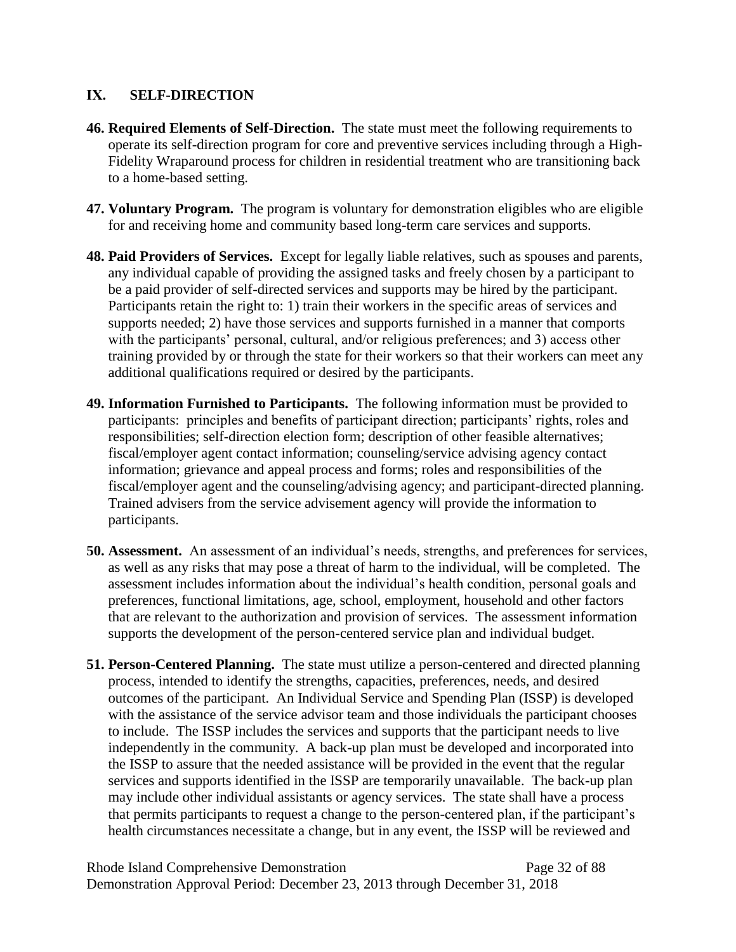#### **IX. SELF-DIRECTION**

- **46. Required Elements of Self-Direction.** The state must meet the following requirements to operate its self-direction program for core and preventive services including through a High-Fidelity Wraparound process for children in residential treatment who are transitioning back to a home-based setting.
- **47. Voluntary Program.** The program is voluntary for demonstration eligibles who are eligible for and receiving home and community based long-term care services and supports.
- **48. Paid Providers of Services.** Except for legally liable relatives, such as spouses and parents, any individual capable of providing the assigned tasks and freely chosen by a participant to be a paid provider of self-directed services and supports may be hired by the participant. Participants retain the right to: 1) train their workers in the specific areas of services and supports needed; 2) have those services and supports furnished in a manner that comports with the participants' personal, cultural, and/or religious preferences; and 3) access other training provided by or through the state for their workers so that their workers can meet any additional qualifications required or desired by the participants.
- **49. Information Furnished to Participants.** The following information must be provided to participants: principles and benefits of participant direction; participants' rights, roles and responsibilities; self-direction election form; description of other feasible alternatives; fiscal/employer agent contact information; counseling/service advising agency contact information; grievance and appeal process and forms; roles and responsibilities of the fiscal/employer agent and the counseling/advising agency; and participant-directed planning. Trained advisers from the service advisement agency will provide the information to participants.
- **50. Assessment.** An assessment of an individual's needs, strengths, and preferences for services, as well as any risks that may pose a threat of harm to the individual, will be completed. The assessment includes information about the individual's health condition, personal goals and preferences, functional limitations, age, school, employment, household and other factors that are relevant to the authorization and provision of services. The assessment information supports the development of the person-centered service plan and individual budget.
- **51. Person-Centered Planning.** The state must utilize a person-centered and directed planning process, intended to identify the strengths, capacities, preferences, needs, and desired outcomes of the participant. An Individual Service and Spending Plan (ISSP) is developed with the assistance of the service advisor team and those individuals the participant chooses to include. The ISSP includes the services and supports that the participant needs to live independently in the community. A back-up plan must be developed and incorporated into the ISSP to assure that the needed assistance will be provided in the event that the regular services and supports identified in the ISSP are temporarily unavailable. The back-up plan may include other individual assistants or agency services. The state shall have a process that permits participants to request a change to the person-centered plan, if the participant's health circumstances necessitate a change, but in any event, the ISSP will be reviewed and

Rhode Island Comprehensive Demonstration Page 32 of 88 Demonstration Approval Period: December 23, 2013 through December 31, 2018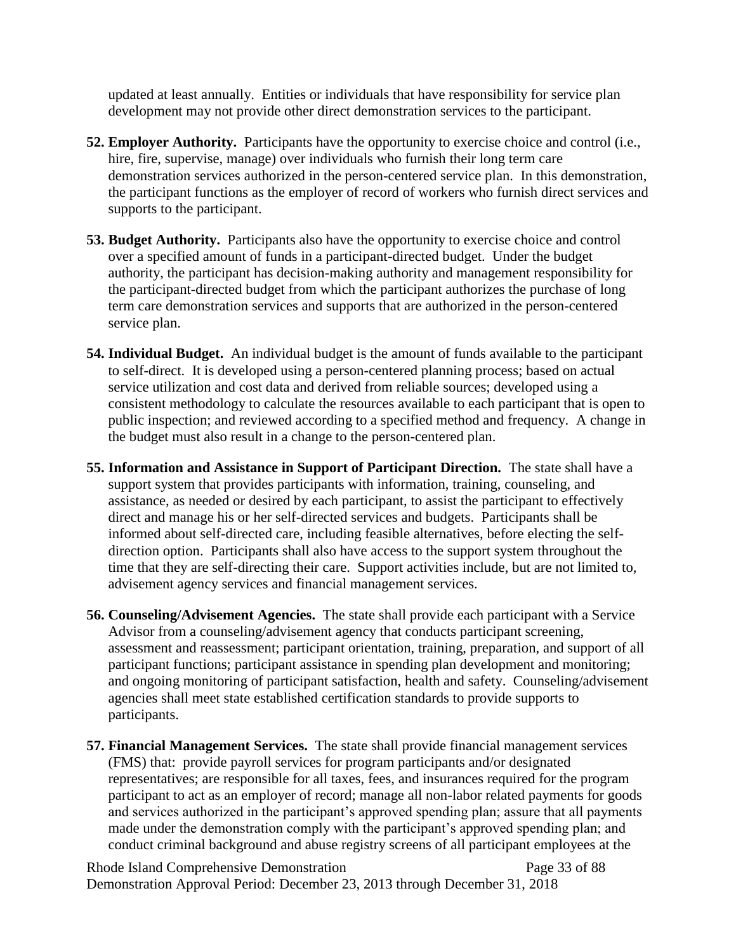updated at least annually. Entities or individuals that have responsibility for service plan development may not provide other direct demonstration services to the participant.

- **52. Employer Authority.** Participants have the opportunity to exercise choice and control (i.e., hire, fire, supervise, manage) over individuals who furnish their long term care demonstration services authorized in the person-centered service plan. In this demonstration, the participant functions as the employer of record of workers who furnish direct services and supports to the participant.
- **53. Budget Authority.** Participants also have the opportunity to exercise choice and control over a specified amount of funds in a participant-directed budget. Under the budget authority, the participant has decision-making authority and management responsibility for the participant-directed budget from which the participant authorizes the purchase of long term care demonstration services and supports that are authorized in the person-centered service plan.
- **54. Individual Budget.** An individual budget is the amount of funds available to the participant to self-direct. It is developed using a person-centered planning process; based on actual service utilization and cost data and derived from reliable sources; developed using a consistent methodology to calculate the resources available to each participant that is open to public inspection; and reviewed according to a specified method and frequency. A change in the budget must also result in a change to the person-centered plan.
- **55. Information and Assistance in Support of Participant Direction.** The state shall have a support system that provides participants with information, training, counseling, and assistance, as needed or desired by each participant, to assist the participant to effectively direct and manage his or her self-directed services and budgets. Participants shall be informed about self-directed care, including feasible alternatives, before electing the selfdirection option. Participants shall also have access to the support system throughout the time that they are self-directing their care. Support activities include, but are not limited to, advisement agency services and financial management services.
- **56. Counseling/Advisement Agencies.** The state shall provide each participant with a Service Advisor from a counseling/advisement agency that conducts participant screening, assessment and reassessment; participant orientation, training, preparation, and support of all participant functions; participant assistance in spending plan development and monitoring; and ongoing monitoring of participant satisfaction, health and safety. Counseling/advisement agencies shall meet state established certification standards to provide supports to participants.
- **57. Financial Management Services.** The state shall provide financial management services (FMS) that: provide payroll services for program participants and/or designated representatives; are responsible for all taxes, fees, and insurances required for the program participant to act as an employer of record; manage all non-labor related payments for goods and services authorized in the participant's approved spending plan; assure that all payments made under the demonstration comply with the participant's approved spending plan; and conduct criminal background and abuse registry screens of all participant employees at the

Rhode Island Comprehensive Demonstration Page 33 of 88 Demonstration Approval Period: December 23, 2013 through December 31, 2018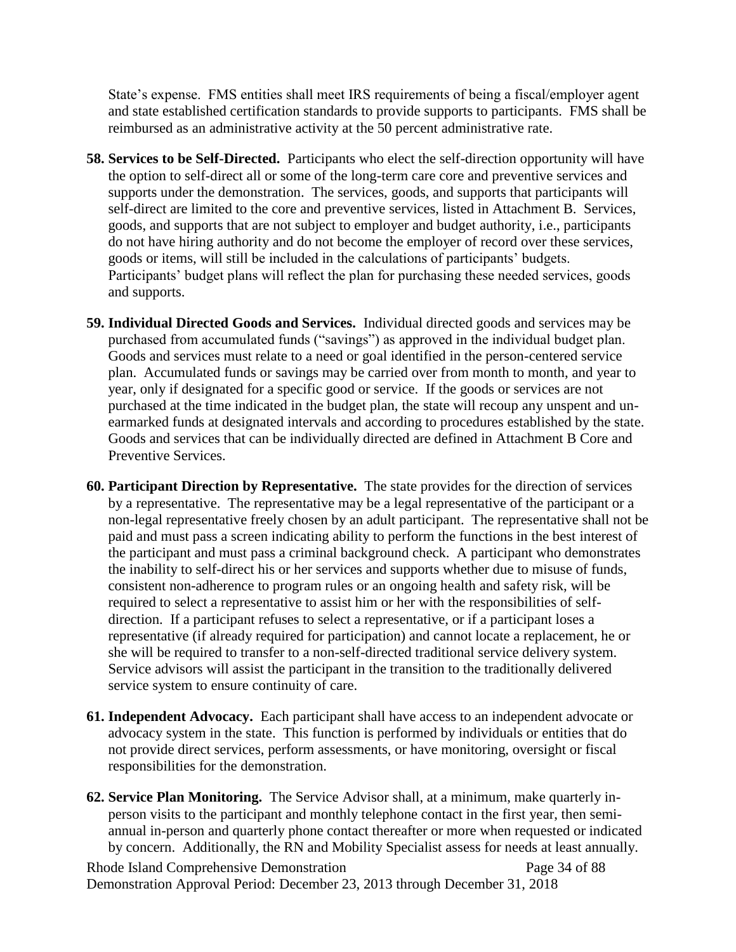State's expense. FMS entities shall meet IRS requirements of being a fiscal/employer agent and state established certification standards to provide supports to participants. FMS shall be reimbursed as an administrative activity at the 50 percent administrative rate.

- **58. Services to be Self-Directed.** Participants who elect the self-direction opportunity will have the option to self-direct all or some of the long-term care core and preventive services and supports under the demonstration. The services, goods, and supports that participants will self-direct are limited to the core and preventive services, listed in Attachment B. Services, goods, and supports that are not subject to employer and budget authority, i.e., participants do not have hiring authority and do not become the employer of record over these services, goods or items, will still be included in the calculations of participants' budgets. Participants' budget plans will reflect the plan for purchasing these needed services, goods and supports.
- **59. Individual Directed Goods and Services.** Individual directed goods and services may be purchased from accumulated funds ("savings") as approved in the individual budget plan. Goods and services must relate to a need or goal identified in the person-centered service plan. Accumulated funds or savings may be carried over from month to month, and year to year, only if designated for a specific good or service. If the goods or services are not purchased at the time indicated in the budget plan, the state will recoup any unspent and unearmarked funds at designated intervals and according to procedures established by the state. Goods and services that can be individually directed are defined in Attachment B Core and Preventive Services.
- **60. Participant Direction by Representative.** The state provides for the direction of services by a representative. The representative may be a legal representative of the participant or a non-legal representative freely chosen by an adult participant. The representative shall not be paid and must pass a screen indicating ability to perform the functions in the best interest of the participant and must pass a criminal background check. A participant who demonstrates the inability to self-direct his or her services and supports whether due to misuse of funds, consistent non-adherence to program rules or an ongoing health and safety risk, will be required to select a representative to assist him or her with the responsibilities of selfdirection. If a participant refuses to select a representative, or if a participant loses a representative (if already required for participation) and cannot locate a replacement, he or she will be required to transfer to a non-self-directed traditional service delivery system. Service advisors will assist the participant in the transition to the traditionally delivered service system to ensure continuity of care.
- **61. Independent Advocacy.** Each participant shall have access to an independent advocate or advocacy system in the state. This function is performed by individuals or entities that do not provide direct services, perform assessments, or have monitoring, oversight or fiscal responsibilities for the demonstration.
- **62. Service Plan Monitoring.** The Service Advisor shall, at a minimum, make quarterly inperson visits to the participant and monthly telephone contact in the first year, then semiannual in-person and quarterly phone contact thereafter or more when requested or indicated by concern. Additionally, the RN and Mobility Specialist assess for needs at least annually.

Rhode Island Comprehensive Demonstration Page 34 of 88 Demonstration Approval Period: December 23, 2013 through December 31, 2018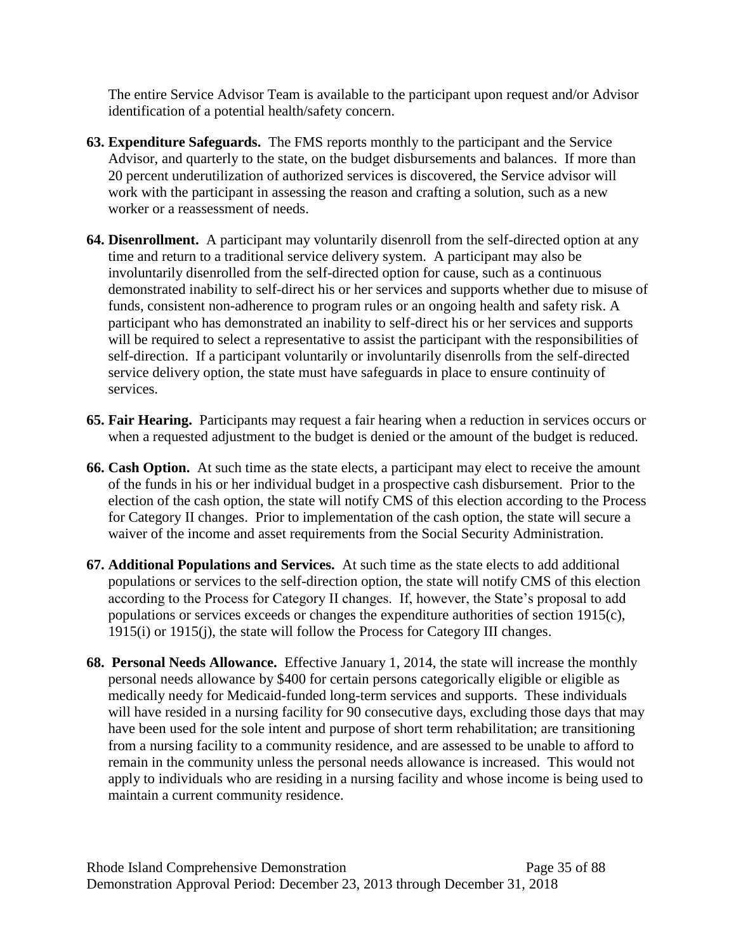The entire Service Advisor Team is available to the participant upon request and/or Advisor identification of a potential health/safety concern.

- **63. Expenditure Safeguards.** The FMS reports monthly to the participant and the Service Advisor, and quarterly to the state, on the budget disbursements and balances. If more than 20 percent underutilization of authorized services is discovered, the Service advisor will work with the participant in assessing the reason and crafting a solution, such as a new worker or a reassessment of needs.
- **64. Disenrollment.** A participant may voluntarily disenroll from the self-directed option at any time and return to a traditional service delivery system. A participant may also be involuntarily disenrolled from the self-directed option for cause, such as a continuous demonstrated inability to self-direct his or her services and supports whether due to misuse of funds, consistent non-adherence to program rules or an ongoing health and safety risk. A participant who has demonstrated an inability to self-direct his or her services and supports will be required to select a representative to assist the participant with the responsibilities of self-direction. If a participant voluntarily or involuntarily disenrolls from the self-directed service delivery option, the state must have safeguards in place to ensure continuity of services.
- **65. Fair Hearing.** Participants may request a fair hearing when a reduction in services occurs or when a requested adjustment to the budget is denied or the amount of the budget is reduced.
- **66. Cash Option.** At such time as the state elects, a participant may elect to receive the amount of the funds in his or her individual budget in a prospective cash disbursement. Prior to the election of the cash option, the state will notify CMS of this election according to the Process for Category II changes. Prior to implementation of the cash option, the state will secure a waiver of the income and asset requirements from the Social Security Administration.
- **67. Additional Populations and Services.** At such time as the state elects to add additional populations or services to the self-direction option, the state will notify CMS of this election according to the Process for Category II changes. If, however, the State's proposal to add populations or services exceeds or changes the expenditure authorities of section 1915(c), 1915(i) or 1915(j), the state will follow the Process for Category III changes.
- **68. Personal Needs Allowance.** Effective January 1, 2014, the state will increase the monthly personal needs allowance by \$400 for certain persons categorically eligible or eligible as medically needy for Medicaid-funded long-term services and supports. These individuals will have resided in a nursing facility for 90 consecutive days, excluding those days that may have been used for the sole intent and purpose of short term rehabilitation; are transitioning from a nursing facility to a community residence, and are assessed to be unable to afford to remain in the community unless the personal needs allowance is increased. This would not apply to individuals who are residing in a nursing facility and whose income is being used to maintain a current community residence.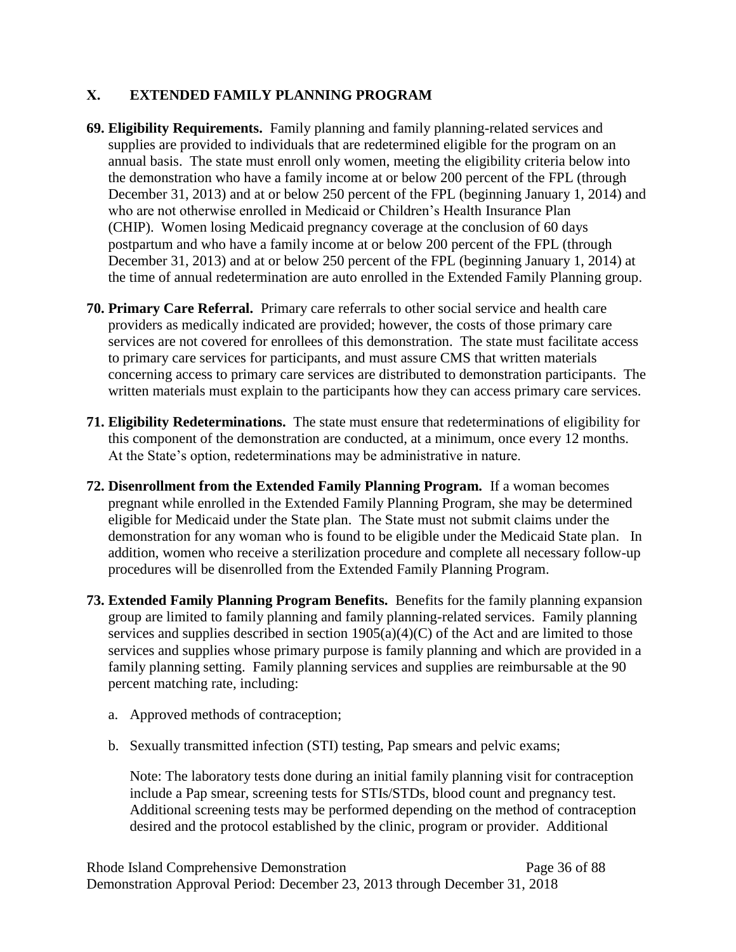#### <span id="page-35-0"></span>**X. EXTENDED FAMILY PLANNING PROGRAM**

- **69. Eligibility Requirements.** Family planning and family planning-related services and supplies are provided to individuals that are redetermined eligible for the program on an annual basis. The state must enroll only women, meeting the eligibility criteria below into the demonstration who have a family income at or below 200 percent of the FPL (through December 31, 2013) and at or below 250 percent of the FPL (beginning January 1, 2014) and who are not otherwise enrolled in Medicaid or Children's Health Insurance Plan (CHIP). Women losing Medicaid pregnancy coverage at the conclusion of 60 days postpartum and who have a family income at or below 200 percent of the FPL (through December 31, 2013) and at or below 250 percent of the FPL (beginning January 1, 2014) at the time of annual redetermination are auto enrolled in the Extended Family Planning group.
- **70. Primary Care Referral.** Primary care referrals to other social service and health care providers as medically indicated are provided; however, the costs of those primary care services are not covered for enrollees of this demonstration. The state must facilitate access to primary care services for participants, and must assure CMS that written materials concerning access to primary care services are distributed to demonstration participants. The written materials must explain to the participants how they can access primary care services.
- **71. Eligibility Redeterminations.** The state must ensure that redeterminations of eligibility for this component of the demonstration are conducted, at a minimum, once every 12 months. At the State's option, redeterminations may be administrative in nature.
- **72. Disenrollment from the Extended Family Planning Program.** If a woman becomes pregnant while enrolled in the Extended Family Planning Program, she may be determined eligible for Medicaid under the State plan. The State must not submit claims under the demonstration for any woman who is found to be eligible under the Medicaid State plan. In addition, women who receive a sterilization procedure and complete all necessary follow-up procedures will be disenrolled from the Extended Family Planning Program.
- **73. Extended Family Planning Program Benefits.** Benefits for the family planning expansion group are limited to family planning and family planning-related services. Family planning services and supplies described in section  $1905(a)(4)(C)$  of the Act and are limited to those services and supplies whose primary purpose is family planning and which are provided in a family planning setting. Family planning services and supplies are reimbursable at the 90 percent matching rate, including:
	- a. Approved methods of contraception;
	- b. Sexually transmitted infection (STI) testing, Pap smears and pelvic exams;

Note: The laboratory tests done during an initial family planning visit for contraception include a Pap smear, screening tests for STIs/STDs, blood count and pregnancy test. Additional screening tests may be performed depending on the method of contraception desired and the protocol established by the clinic, program or provider. Additional

Rhode Island Comprehensive Demonstration Page 36 of 88 Demonstration Approval Period: December 23, 2013 through December 31, 2018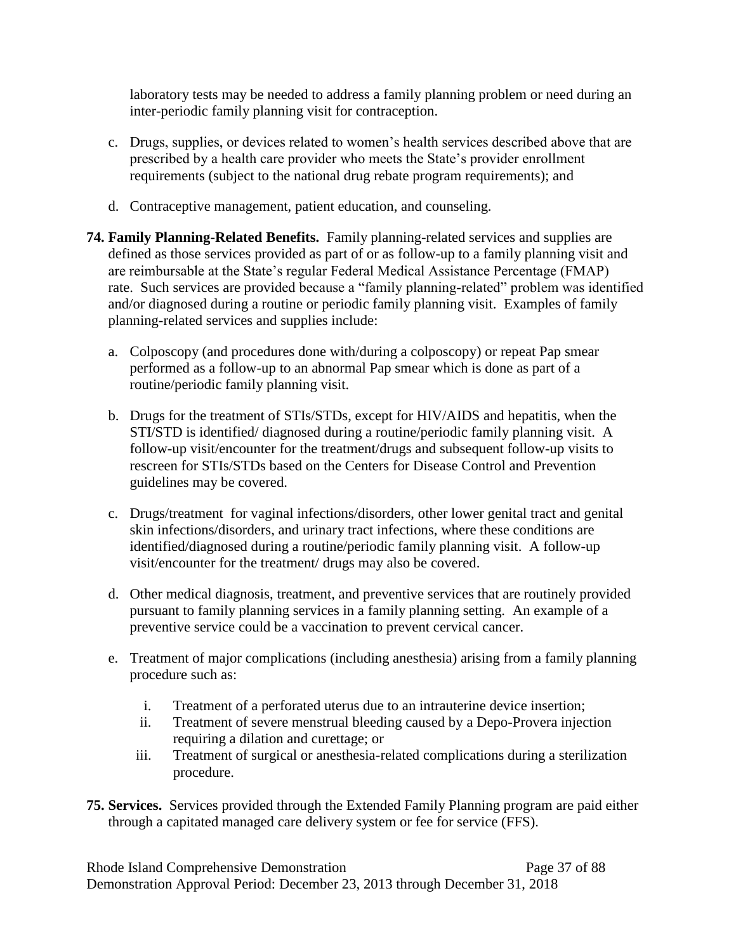laboratory tests may be needed to address a family planning problem or need during an inter-periodic family planning visit for contraception.

- c. Drugs, supplies, or devices related to women's health services described above that are prescribed by a health care provider who meets the State's provider enrollment requirements (subject to the national drug rebate program requirements); and
- d. Contraceptive management, patient education, and counseling.
- **74. Family Planning-Related Benefits.** Family planning-related services and supplies are defined as those services provided as part of or as follow-up to a family planning visit and are reimbursable at the State's regular Federal Medical Assistance Percentage (FMAP) rate. Such services are provided because a "family planning-related" problem was identified and/or diagnosed during a routine or periodic family planning visit. Examples of family planning-related services and supplies include:
	- a. Colposcopy (and procedures done with/during a colposcopy) or repeat Pap smear performed as a follow-up to an abnormal Pap smear which is done as part of a routine/periodic family planning visit.
	- b. Drugs for the treatment of STIs/STDs, except for HIV/AIDS and hepatitis, when the STI/STD is identified/ diagnosed during a routine/periodic family planning visit. A follow-up visit/encounter for the treatment/drugs and subsequent follow-up visits to rescreen for STIs/STDs based on the Centers for Disease Control and Prevention guidelines may be covered.
	- c. Drugs/treatment for vaginal infections/disorders, other lower genital tract and genital skin infections/disorders, and urinary tract infections, where these conditions are identified/diagnosed during a routine/periodic family planning visit. A follow-up visit/encounter for the treatment/ drugs may also be covered.
	- d. Other medical diagnosis, treatment, and preventive services that are routinely provided pursuant to family planning services in a family planning setting. An example of a preventive service could be a vaccination to prevent cervical cancer.
	- e. Treatment of major complications (including anesthesia) arising from a family planning procedure such as:
		- i. Treatment of a perforated uterus due to an intrauterine device insertion;
		- ii. Treatment of severe menstrual bleeding caused by a Depo-Provera injection requiring a dilation and curettage; or
		- iii. Treatment of surgical or anesthesia-related complications during a sterilization procedure.
- **75. Services.** Services provided through the Extended Family Planning program are paid either through a capitated managed care delivery system or fee for service (FFS).

Rhode Island Comprehensive Demonstration Page 37 of 88 Demonstration Approval Period: December 23, 2013 through December 31, 2018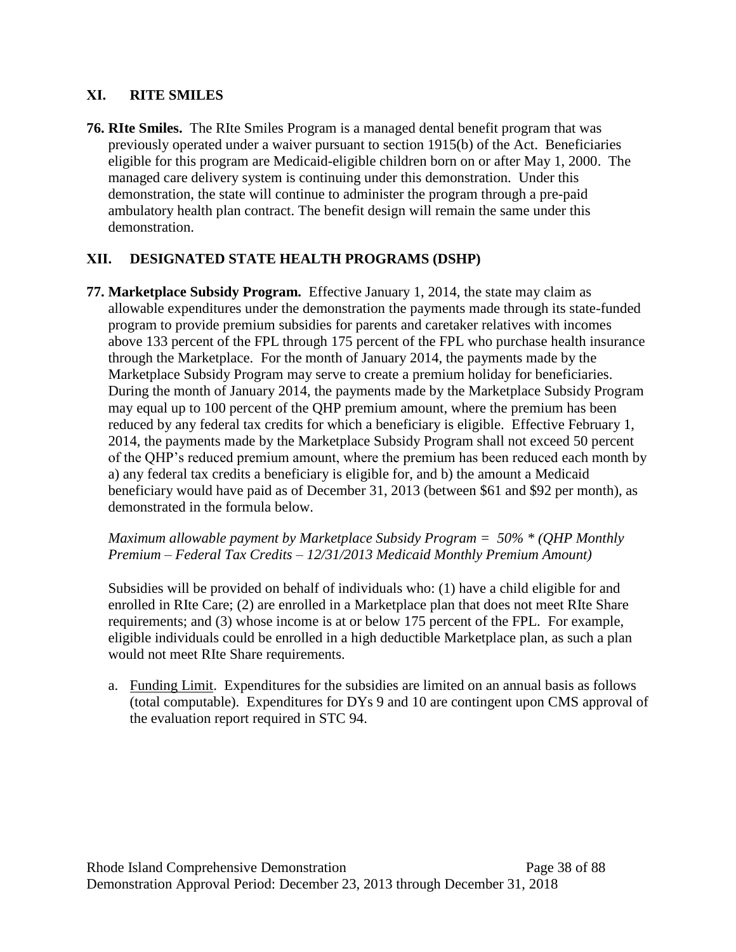## **XI. RITE SMILES**

**76. RIte Smiles.** The RIte Smiles Program is a managed dental benefit program that was previously operated under a waiver pursuant to section 1915(b) of the Act. Beneficiaries eligible for this program are Medicaid-eligible children born on or after May 1, 2000. The managed care delivery system is continuing under this demonstration. Under this demonstration, the state will continue to administer the program through a pre-paid ambulatory health plan contract. The benefit design will remain the same under this demonstration.

# **XII. DESIGNATED STATE HEALTH PROGRAMS (DSHP)**

**77. Marketplace Subsidy Program.** Effective January 1, 2014, the state may claim as allowable expenditures under the demonstration the payments made through its state-funded program to provide premium subsidies for parents and caretaker relatives with incomes above 133 percent of the FPL through 175 percent of the FPL who purchase health insurance through the Marketplace. For the month of January 2014, the payments made by the Marketplace Subsidy Program may serve to create a premium holiday for beneficiaries. During the month of January 2014, the payments made by the Marketplace Subsidy Program may equal up to 100 percent of the QHP premium amount, where the premium has been reduced by any federal tax credits for which a beneficiary is eligible. Effective February 1, 2014, the payments made by the Marketplace Subsidy Program shall not exceed 50 percent of the QHP's reduced premium amount, where the premium has been reduced each month by a) any federal tax credits a beneficiary is eligible for, and b) the amount a Medicaid beneficiary would have paid as of December 31, 2013 (between \$61 and \$92 per month), as demonstrated in the formula below.

*Maximum allowable payment by Marketplace Subsidy Program = 50% \* (QHP Monthly Premium – Federal Tax Credits – 12/31/2013 Medicaid Monthly Premium Amount)*

Subsidies will be provided on behalf of individuals who: (1) have a child eligible for and enrolled in RIte Care; (2) are enrolled in a Marketplace plan that does not meet RIte Share requirements; and (3) whose income is at or below 175 percent of the FPL. For example, eligible individuals could be enrolled in a high deductible Marketplace plan, as such a plan would not meet RIte Share requirements.

a. Funding Limit. Expenditures for the subsidies are limited on an annual basis as follows (total computable). Expenditures for DYs 9 and 10 are contingent upon CMS approval of the evaluation report required in STC [94.](#page-41-0)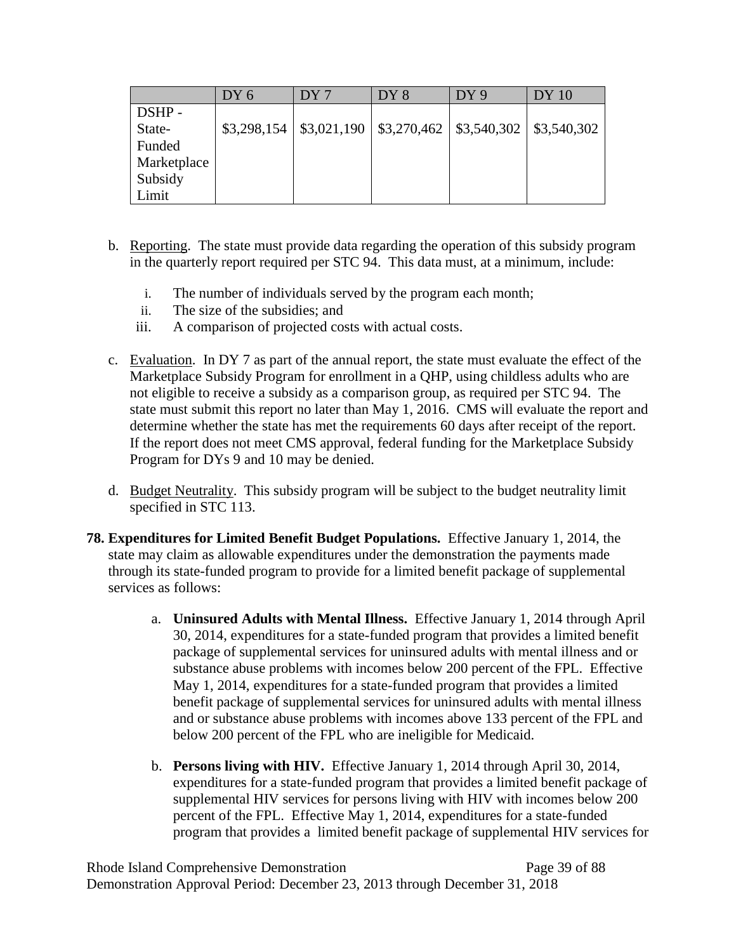|             | DY 6        | DY7 | DY <sub>8</sub>                                     | DY9 | <b>DY</b> 10 |
|-------------|-------------|-----|-----------------------------------------------------|-----|--------------|
| DSHP-       |             |     |                                                     |     |              |
| State-      | \$3,298,154 |     | $$3,021,190$ $$3,270,462$ $$3,540,302$ $$3,540,302$ |     |              |
| Funded      |             |     |                                                     |     |              |
| Marketplace |             |     |                                                     |     |              |
| Subsidy     |             |     |                                                     |     |              |
| Limit       |             |     |                                                     |     |              |

- b. Reporting. The state must provide data regarding the operation of this subsidy program in the quarterly report required per STC [94.](#page-41-0) This data must, at a minimum, include:
	- i. The number of individuals served by the program each month;
	- ii. The size of the subsidies; and
	- iii. A comparison of projected costs with actual costs.
- c. Evaluation. In DY 7 as part of the annual report, the state must evaluate the effect of the Marketplace Subsidy Program for enrollment in a QHP, using childless adults who are not eligible to receive a subsidy as a comparison group, as required per STC [94.](#page-41-0) The state must submit this report no later than May 1, 2016. CMS will evaluate the report and determine whether the state has met the requirements 60 days after receipt of the report. If the report does not meet CMS approval, federal funding for the Marketplace Subsidy Program for DYs 9 and 10 may be denied.
- d. Budget Neutrality. This subsidy program will be subject to the budget neutrality limit specified in STC [113.](#page-50-0)
- **78. Expenditures for Limited Benefit Budget Populations.** Effective January 1, 2014, the state may claim as allowable expenditures under the demonstration the payments made through its state-funded program to provide for a limited benefit package of supplemental services as follows:
	- a. **Uninsured Adults with Mental Illness.** Effective January 1, 2014 through April 30, 2014, expenditures for a state-funded program that provides a limited benefit package of supplemental services for uninsured adults with mental illness and or substance abuse problems with incomes below 200 percent of the FPL. Effective May 1, 2014, expenditures for a state-funded program that provides a limited benefit package of supplemental services for uninsured adults with mental illness and or substance abuse problems with incomes above 133 percent of the FPL and below 200 percent of the FPL who are ineligible for Medicaid.
	- b. **Persons living with HIV.** Effective January 1, 2014 through April 30, 2014, expenditures for a state-funded program that provides a limited benefit package of supplemental HIV services for persons living with HIV with incomes below 200 percent of the FPL. Effective May 1, 2014, expenditures for a state-funded program that provides a limited benefit package of supplemental HIV services for

Rhode Island Comprehensive Demonstration Page 39 of 88 Demonstration Approval Period: December 23, 2013 through December 31, 2018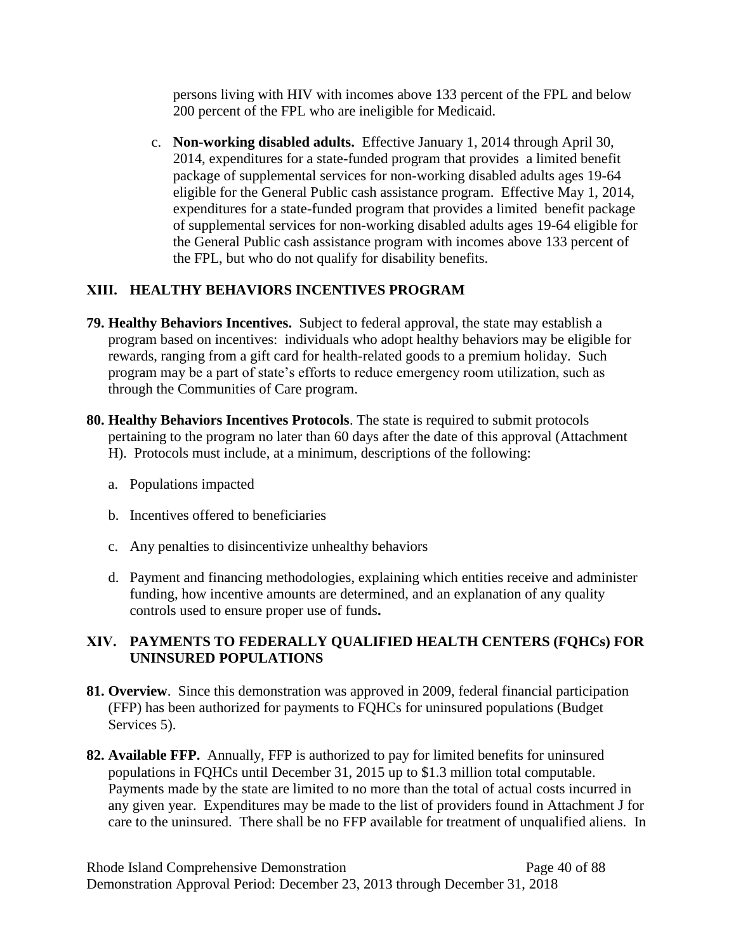persons living with HIV with incomes above 133 percent of the FPL and below 200 percent of the FPL who are ineligible for Medicaid.

c. **Non-working disabled adults.** Effective January 1, 2014 through April 30, 2014, expenditures for a state-funded program that provides a limited benefit package of supplemental services for non-working disabled adults ages 19-64 eligible for the General Public cash assistance program. Effective May 1, 2014, expenditures for a state-funded program that provides a limited benefit package of supplemental services for non-working disabled adults ages 19-64 eligible for the General Public cash assistance program with incomes above 133 percent of the FPL, but who do not qualify for disability benefits.

# <span id="page-39-1"></span>**XIII. HEALTHY BEHAVIORS INCENTIVES PROGRAM**

- **79. Healthy Behaviors Incentives.** Subject to federal approval, the state may establish a program based on incentives: individuals who adopt healthy behaviors may be eligible for rewards, ranging from a gift card for health-related goods to a premium holiday.Such program may be a part of state's efforts to reduce emergency room utilization, such as through the Communities of Care program.
- **80. Healthy Behaviors Incentives Protocols**. The state is required to submit protocols pertaining to the program no later than 60 days after the date of this approval (Attachment H). Protocols must include, at a minimum, descriptions of the following:
	- a. Populations impacted
	- b. Incentives offered to beneficiaries
	- c. Any penalties to disincentivize unhealthy behaviors
	- d. Payment and financing methodologies, explaining which entities receive and administer funding, how incentive amounts are determined, and an explanation of any quality controls used to ensure proper use of funds**.**

# **XIV. PAYMENTS TO FEDERALLY QUALIFIED HEALTH CENTERS (FQHCs) FOR UNINSURED POPULATIONS**

- <span id="page-39-0"></span>**81. Overview**. Since this demonstration was approved in 2009, federal financial participation (FFP) has been authorized for payments to FQHCs for uninsured populations (Budget Services 5).
- **82. Available FFP.** Annually, FFP is authorized to pay for limited benefits for uninsured populations in FQHCs until December 31, 2015 up to \$1.3 million total computable. Payments made by the state are limited to no more than the total of actual costs incurred in any given year. Expenditures may be made to the list of providers found in Attachment J for care to the uninsured. There shall be no FFP available for treatment of unqualified aliens. In

Rhode Island Comprehensive Demonstration Page 40 of 88 Demonstration Approval Period: December 23, 2013 through December 31, 2018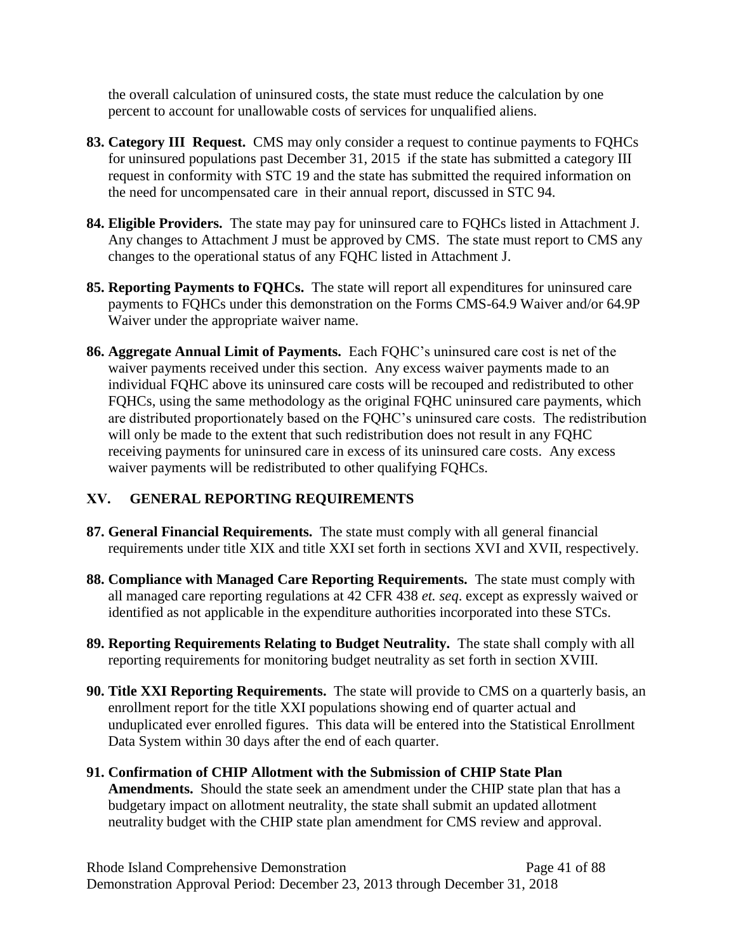the overall calculation of uninsured costs, the state must reduce the calculation by one percent to account for unallowable costs of services for unqualified aliens.

- **83. Category III Request.** CMS may only consider a request to continue payments to FQHCs for uninsured populations past December 31, 2015 if the state has submitted a category III request in conformity with STC [19](#page-11-0) and the state has submitted the required information on the need for uncompensated care in their annual report, discussed in STC [94.](#page-41-0)
- **84. Eligible Providers.** The state may pay for uninsured care to FQHCs listed in Attachment J. Any changes to Attachment J must be approved by CMS. The state must report to CMS any changes to the operational status of any FQHC listed in Attachment J.
- **85. Reporting Payments to FQHCs.** The state will report all expenditures for uninsured care payments to FQHCs under this demonstration on the Forms CMS-64.9 Waiver and/or 64.9P Waiver under the appropriate waiver name.
- **86. Aggregate Annual Limit of Payments.** Each FQHC's uninsured care cost is net of the waiver payments received under this section. Any excess waiver payments made to an individual FQHC above its uninsured care costs will be recouped and redistributed to other FQHCs, using the same methodology as the original FQHC uninsured care payments, which are distributed proportionately based on the FQHC's uninsured care costs. The redistribution will only be made to the extent that such redistribution does not result in any FQHC receiving payments for uninsured care in excess of its uninsured care costs. Any excess waiver payments will be redistributed to other qualifying FQHCs.

# **XV. GENERAL REPORTING REQUIREMENTS**

- **87. General Financial Requirements.** The state must comply with all general financial requirements under title XIX and title XXI set forth in sections [XVI](#page-42-0) and [XVII,](#page-49-0) respectively.
- **88. Compliance with Managed Care Reporting Requirements.** The state must comply with all managed care reporting regulations at 42 CFR 438 *et. seq*. except as expressly waived or identified as not applicable in the expenditure authorities incorporated into these STCs.
- **89. Reporting Requirements Relating to Budget Neutrality.** The state shall comply with all reporting requirements for monitoring budget neutrality as set forth in section [XVIII.](#page-50-1)
- <span id="page-40-0"></span>**90. Title XXI Reporting Requirements.** The state will provide to CMS on a quarterly basis, an enrollment report for the title XXI populations showing end of quarter actual and unduplicated ever enrolled figures. This data will be entered into the Statistical Enrollment Data System within 30 days after the end of each quarter.
- **91. Confirmation of CHIP Allotment with the Submission of CHIP State Plan Amendments.** Should the state seek an amendment under the CHIP state plan that has a budgetary impact on allotment neutrality, the state shall submit an updated allotment neutrality budget with the CHIP state plan amendment for CMS review and approval.

Rhode Island Comprehensive Demonstration Page 41 of 88 Demonstration Approval Period: December 23, 2013 through December 31, 2018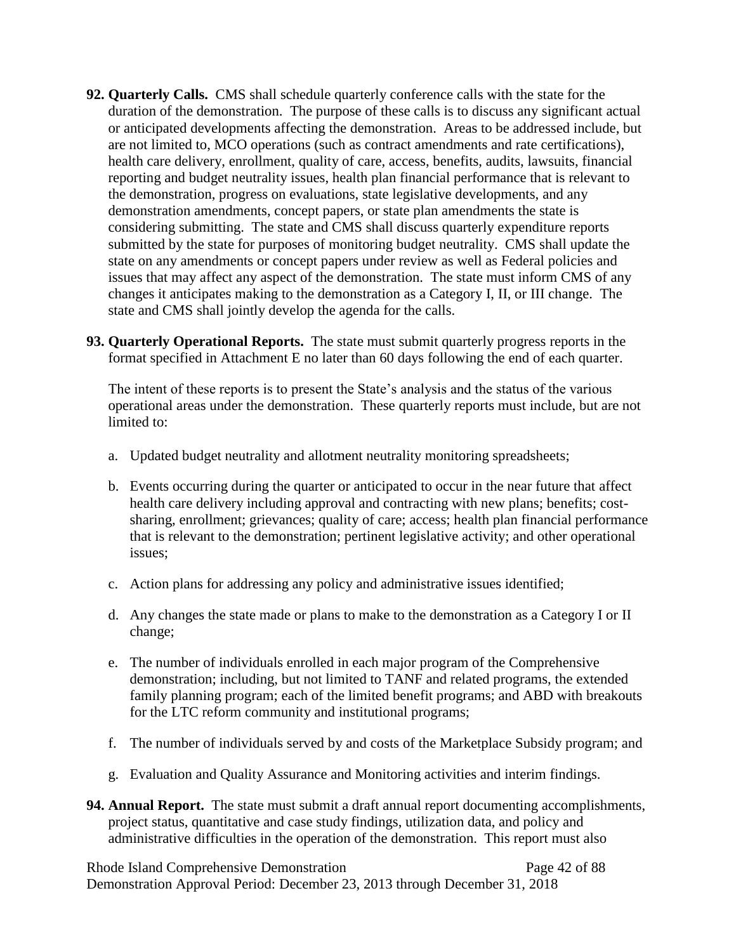- **92. Quarterly Calls.** CMS shall schedule quarterly conference calls with the state for the duration of the demonstration. The purpose of these calls is to discuss any significant actual or anticipated developments affecting the demonstration. Areas to be addressed include, but are not limited to, MCO operations (such as contract amendments and rate certifications), health care delivery, enrollment, quality of care, access, benefits, audits, lawsuits, financial reporting and budget neutrality issues, health plan financial performance that is relevant to the demonstration, progress on evaluations, state legislative developments, and any demonstration amendments, concept papers, or state plan amendments the state is considering submitting. The state and CMS shall discuss quarterly expenditure reports submitted by the state for purposes of monitoring budget neutrality. CMS shall update the state on any amendments or concept papers under review as well as Federal policies and issues that may affect any aspect of the demonstration. The state must inform CMS of any changes it anticipates making to the demonstration as a Category I, II, or III change. The state and CMS shall jointly develop the agenda for the calls.
- <span id="page-41-1"></span>**93. Quarterly Operational Reports.** The state must submit quarterly progress reports in the format specified in Attachment E no later than 60 days following the end of each quarter.

The intent of these reports is to present the State's analysis and the status of the various operational areas under the demonstration. These quarterly reports must include, but are not limited to:

- a. Updated budget neutrality and allotment neutrality monitoring spreadsheets;
- b. Events occurring during the quarter or anticipated to occur in the near future that affect health care delivery including approval and contracting with new plans; benefits; costsharing, enrollment; grievances; quality of care; access; health plan financial performance that is relevant to the demonstration; pertinent legislative activity; and other operational issues;
- c. Action plans for addressing any policy and administrative issues identified;
- d. Any changes the state made or plans to make to the demonstration as a Category I or II change;
- e. The number of individuals enrolled in each major program of the Comprehensive demonstration; including, but not limited to TANF and related programs, the extended family planning program; each of the limited benefit programs; and ABD with breakouts for the LTC reform community and institutional programs;
- f. The number of individuals served by and costs of the Marketplace Subsidy program; and
- g. Evaluation and Quality Assurance and Monitoring activities and interim findings.
- <span id="page-41-0"></span>**94. Annual Report.** The state must submit a draft annual report documenting accomplishments, project status, quantitative and case study findings, utilization data, and policy and administrative difficulties in the operation of the demonstration. This report must also

Rhode Island Comprehensive Demonstration Page 42 of 88 Demonstration Approval Period: December 23, 2013 through December 31, 2018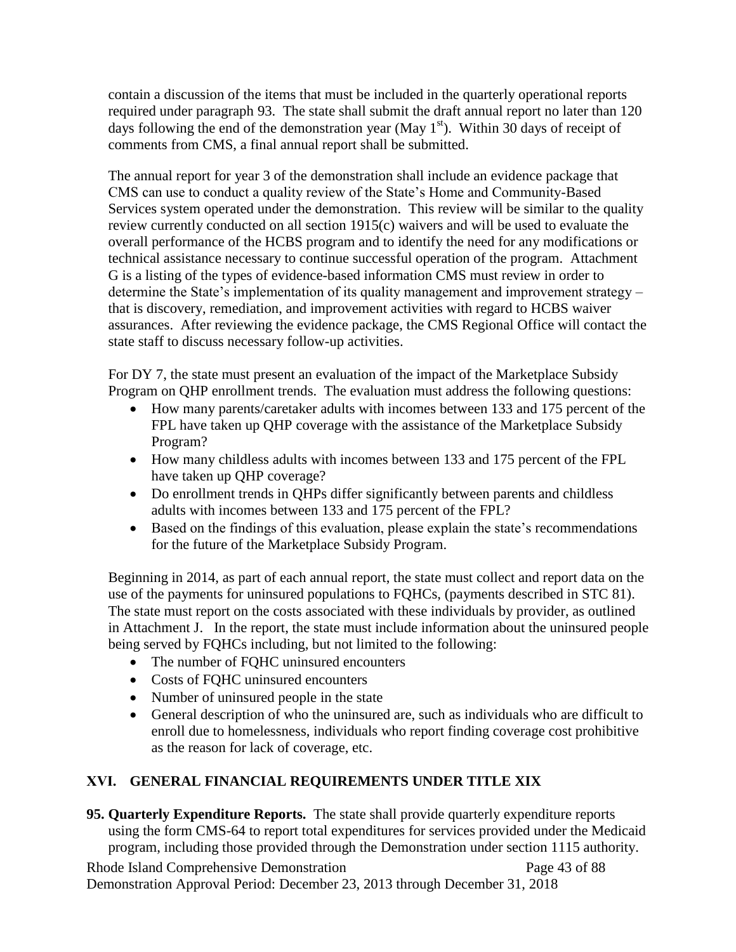contain a discussion of the items that must be included in the quarterly operational reports required under paragraph [93.](#page-41-1) The state shall submit the draft annual report no later than 120 days following the end of the demonstration year (May  $1<sup>st</sup>$ ). Within 30 days of receipt of comments from CMS, a final annual report shall be submitted.

The annual report for year 3 of the demonstration shall include an evidence package that CMS can use to conduct a quality review of the State's Home and Community-Based Services system operated under the demonstration. This review will be similar to the quality review currently conducted on all section 1915(c) waivers and will be used to evaluate the overall performance of the HCBS program and to identify the need for any modifications or technical assistance necessary to continue successful operation of the program. Attachment G is a listing of the types of evidence-based information CMS must review in order to determine the State's implementation of its quality management and improvement strategy – that is discovery, remediation, and improvement activities with regard to HCBS waiver assurances. After reviewing the evidence package, the CMS Regional Office will contact the state staff to discuss necessary follow-up activities.

For DY 7, the state must present an evaluation of the impact of the Marketplace Subsidy Program on QHP enrollment trends. The evaluation must address the following questions:

- How many parents/caretaker adults with incomes between 133 and 175 percent of the FPL have taken up QHP coverage with the assistance of the Marketplace Subsidy Program?
- How many childless adults with incomes between 133 and 175 percent of the FPL have taken up QHP coverage?
- Do enrollment trends in QHPs differ significantly between parents and childless adults with incomes between 133 and 175 percent of the FPL?
- Based on the findings of this evaluation, please explain the state's recommendations for the future of the Marketplace Subsidy Program.

Beginning in 2014, as part of each annual report, the state must collect and report data on the use of the payments for uninsured populations to FQHCs, (payments described in STC [81\)](#page-39-0). The state must report on the costs associated with these individuals by provider, as outlined in Attachment J. In the report, the state must include information about the uninsured people being served by FQHCs including, but not limited to the following:

- The number of FOHC uninsured encounters
- Costs of FQHC uninsured encounters
- Number of uninsured people in the state
- General description of who the uninsured are, such as individuals who are difficult to enroll due to homelessness, individuals who report finding coverage cost prohibitive as the reason for lack of coverage, etc.

# <span id="page-42-0"></span>**XVI. GENERAL FINANCIAL REQUIREMENTS UNDER TITLE XIX**

**95. Quarterly Expenditure Reports.** The state shall provide quarterly expenditure reports using the form CMS-64 to report total expenditures for services provided under the Medicaid program, including those provided through the Demonstration under section 1115 authority.

Rhode Island Comprehensive Demonstration Page 43 of 88 Demonstration Approval Period: December 23, 2013 through December 31, 2018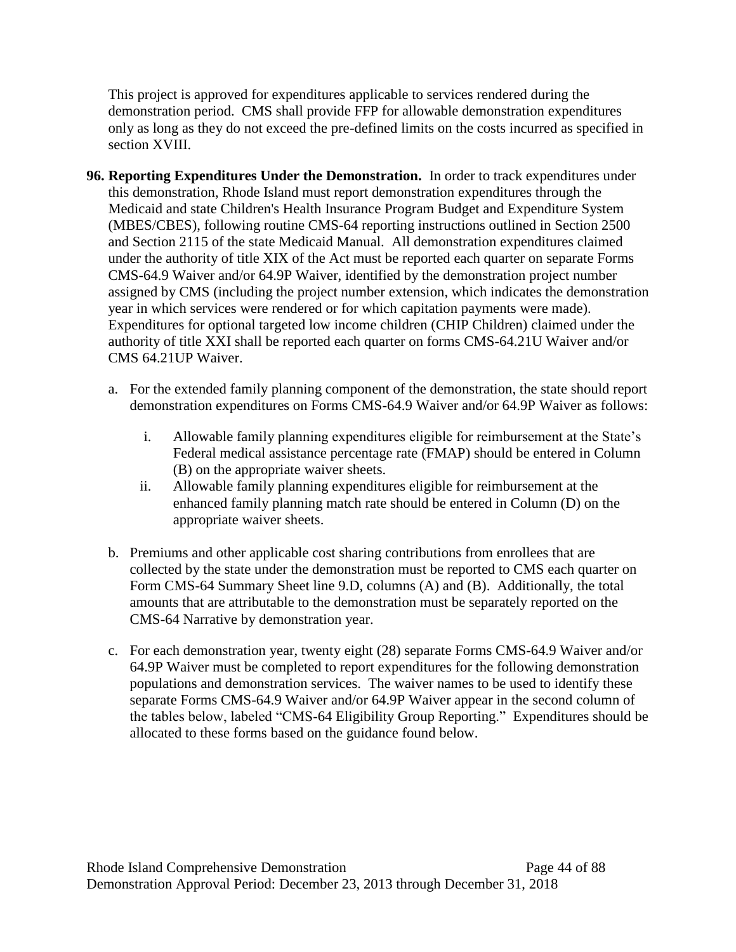This project is approved for expenditures applicable to services rendered during the demonstration period. CMS shall provide FFP for allowable demonstration expenditures only as long as they do not exceed the pre-defined limits on the costs incurred as specified in section [XVIII.](#page-50-1)

- <span id="page-43-0"></span>**96. Reporting Expenditures Under the Demonstration.** In order to track expenditures under this demonstration, Rhode Island must report demonstration expenditures through the Medicaid and state Children's Health Insurance Program Budget and Expenditure System (MBES/CBES), following routine CMS-64 reporting instructions outlined in Section 2500 and Section 2115 of the state Medicaid Manual. All demonstration expenditures claimed under the authority of title XIX of the Act must be reported each quarter on separate Forms CMS-64.9 Waiver and/or 64.9P Waiver, identified by the demonstration project number assigned by CMS (including the project number extension, which indicates the demonstration year in which services were rendered or for which capitation payments were made). Expenditures for optional targeted low income children (CHIP Children) claimed under the authority of title XXI shall be reported each quarter on forms CMS-64.21U Waiver and/or CMS 64.21UP Waiver.
	- a. For the extended family planning component of the demonstration, the state should report demonstration expenditures on Forms CMS-64.9 Waiver and/or 64.9P Waiver as follows:
		- i. Allowable family planning expenditures eligible for reimbursement at the State's Federal medical assistance percentage rate (FMAP) should be entered in Column (B) on the appropriate waiver sheets.
		- ii. Allowable family planning expenditures eligible for reimbursement at the enhanced family planning match rate should be entered in Column (D) on the appropriate waiver sheets.
	- b. Premiums and other applicable cost sharing contributions from enrollees that are collected by the state under the demonstration must be reported to CMS each quarter on Form CMS-64 Summary Sheet line 9.D, columns (A) and (B). Additionally, the total amounts that are attributable to the demonstration must be separately reported on the CMS-64 Narrative by demonstration year.
	- c. For each demonstration year, twenty eight (28) separate Forms CMS-64.9 Waiver and/or 64.9P Waiver must be completed to report expenditures for the following demonstration populations and demonstration services. The waiver names to be used to identify these separate Forms CMS-64.9 Waiver and/or 64.9P Waiver appear in the second column of the tables below, labeled "CMS-64 Eligibility Group Reporting." Expenditures should be allocated to these forms based on the guidance found below.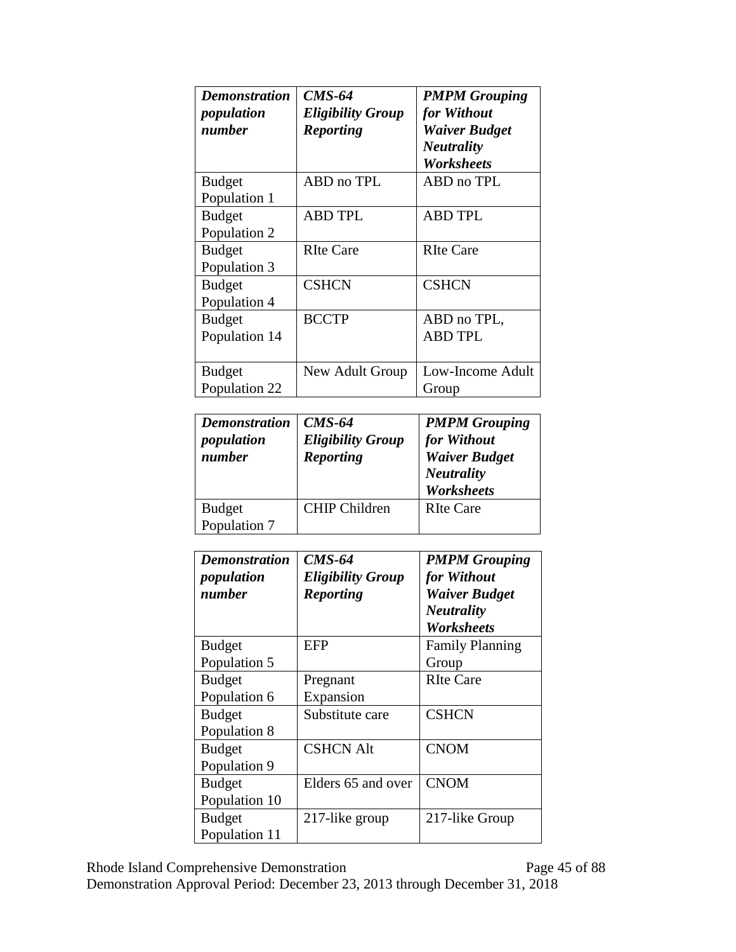| <b>Demonstration</b><br>population<br>number | $CMS-64$<br><b>Eligibility Group</b><br><b>Reporting</b> | <b>PMPM</b> Grouping<br>for Without<br><b>Waiver Budget</b><br><b>Neutrality</b><br><b>Worksheets</b> |
|----------------------------------------------|----------------------------------------------------------|-------------------------------------------------------------------------------------------------------|
| <b>Budget</b>                                | ABD no TPL                                               | ABD no TPL                                                                                            |
| Population 1                                 |                                                          |                                                                                                       |
| <b>Budget</b>                                | <b>ABD TPL</b>                                           | <b>ABD TPL</b>                                                                                        |
| Population 2                                 |                                                          |                                                                                                       |
| <b>Budget</b>                                | <b>RIte Care</b>                                         | <b>RIte Care</b>                                                                                      |
| Population 3                                 |                                                          |                                                                                                       |
| <b>Budget</b>                                | <b>CSHCN</b>                                             | <b>CSHCN</b>                                                                                          |
| Population 4                                 |                                                          |                                                                                                       |
| <b>Budget</b>                                | <b>BCCTP</b>                                             | ABD no TPL,                                                                                           |
| Population 14                                |                                                          | <b>ABD TPL</b>                                                                                        |
|                                              |                                                          |                                                                                                       |
| <b>Budget</b>                                | New Adult Group                                          | Low-Income Adult                                                                                      |
| Population 22                                |                                                          | Group                                                                                                 |

| <b>Demonstration</b><br>population<br>number | $CMS-64$<br><b>Eligibility Group</b><br><b>Reporting</b> | <b>PMPM Grouping</b><br>for Without<br><b>Waiver Budget</b><br><b>Neutrality</b><br><b>Worksheets</b> |
|----------------------------------------------|----------------------------------------------------------|-------------------------------------------------------------------------------------------------------|
| <b>Budget</b><br>Population 7                | CHIP Children                                            | <b>RIte Care</b>                                                                                      |

| <b>Demonstration</b><br>population<br>number | $CMS-64$<br><b>Eligibility Group</b><br><b>Reporting</b> | <b>PMPM</b> Grouping<br>for Without<br><b>Waiver Budget</b><br><b>Neutrality</b><br>Worksheets |
|----------------------------------------------|----------------------------------------------------------|------------------------------------------------------------------------------------------------|
| <b>Budget</b>                                | EFP                                                      | <b>Family Planning</b>                                                                         |
| Population 5                                 |                                                          | Group                                                                                          |
| <b>Budget</b>                                | Pregnant                                                 | <b>RIte Care</b>                                                                               |
| Population 6                                 | Expansion                                                |                                                                                                |
| <b>Budget</b>                                | Substitute care                                          | <b>CSHCN</b>                                                                                   |
| Population 8                                 |                                                          |                                                                                                |
| <b>Budget</b>                                | <b>CSHCN Alt</b>                                         | <b>CNOM</b>                                                                                    |
| Population 9                                 |                                                          |                                                                                                |
| <b>Budget</b>                                | Elders 65 and over                                       | <b>CNOM</b>                                                                                    |
| Population 10                                |                                                          |                                                                                                |
| <b>Budget</b>                                | 217-like group                                           | 217-like Group                                                                                 |
| Population 11                                |                                                          |                                                                                                |

Rhode Island Comprehensive Demonstration Page 45 of 88

Demonstration Approval Period: December 23, 2013 through December 31, 2018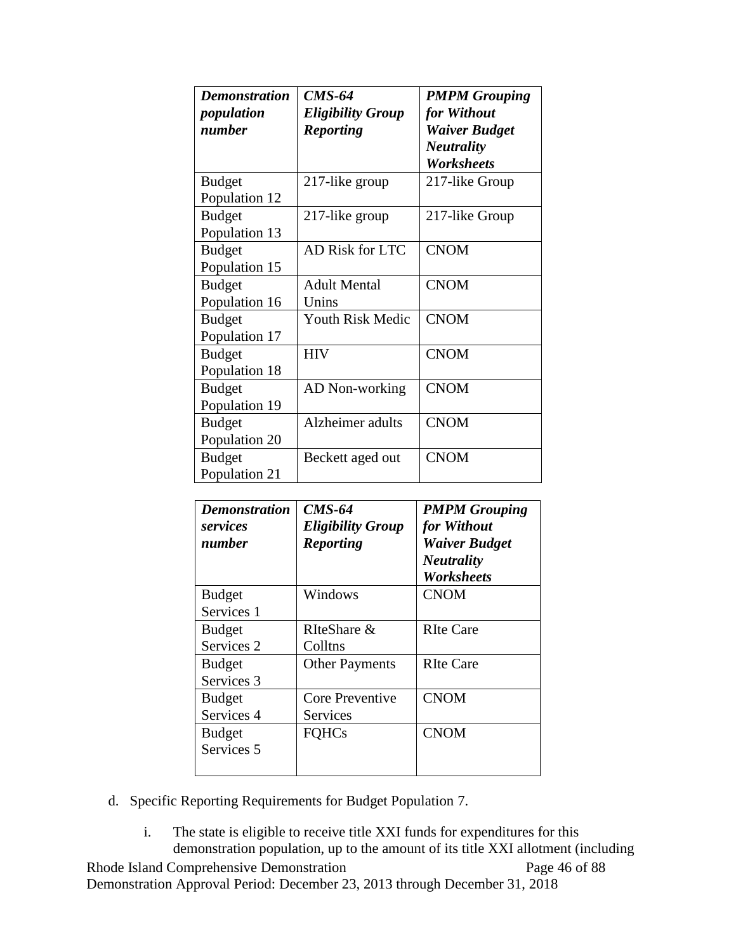| <b>Demonstration</b><br>population<br>number | $CMS-64$<br><b>Eligibility Group</b><br><b>Reporting</b> | <b>PMPM Grouping</b><br>for Without<br><b>Waiver Budget</b><br><b>Neutrality</b><br>Worksheets |
|----------------------------------------------|----------------------------------------------------------|------------------------------------------------------------------------------------------------|
| <b>Budget</b><br>Population 12               | 217-like group                                           | 217-like Group                                                                                 |
| <b>Budget</b><br>Population 13               | 217-like group                                           | 217-like Group                                                                                 |
| <b>Budget</b><br>Population 15               | <b>AD Risk for LTC</b>                                   | <b>CNOM</b>                                                                                    |
| <b>Budget</b><br>Population 16               | <b>Adult Mental</b><br>Unins                             | <b>CNOM</b>                                                                                    |
| <b>Budget</b><br>Population 17               | <b>Youth Risk Medic</b>                                  | <b>CNOM</b>                                                                                    |
| <b>Budget</b><br>Population 18               | <b>HIV</b>                                               | <b>CNOM</b>                                                                                    |
| <b>Budget</b><br>Population 19               | AD Non-working                                           | <b>CNOM</b>                                                                                    |
| <b>Budget</b><br>Population 20               | Alzheimer adults                                         | <b>CNOM</b>                                                                                    |
| <b>Budget</b><br>Population 21               | Beckett aged out                                         | <b>CNOM</b>                                                                                    |

| <b>Demonstration</b><br>services<br>number | $CMS-64$<br><b>Eligibility Group</b><br><b>Reporting</b> | <b>PMPM</b> Grouping<br>for Without<br><b>Waiver Budget</b><br><b>Neutrality</b><br><b>Worksheets</b> |
|--------------------------------------------|----------------------------------------------------------|-------------------------------------------------------------------------------------------------------|
| <b>Budget</b>                              | Windows                                                  | <b>CNOM</b>                                                                                           |
| Services 1                                 |                                                          |                                                                                                       |
| <b>Budget</b>                              | RIteShare &                                              | <b>RIte Care</b>                                                                                      |
| Services 2                                 | Colltns                                                  |                                                                                                       |
| <b>Budget</b>                              | <b>Other Payments</b>                                    | <b>RIte Care</b>                                                                                      |
| Services 3                                 |                                                          |                                                                                                       |
| <b>Budget</b>                              | Core Preventive                                          | <b>CNOM</b>                                                                                           |
| Services 4                                 | Services                                                 |                                                                                                       |
| <b>Budget</b>                              | <b>FOHCs</b>                                             | <b>CNOM</b>                                                                                           |
| Services <sub>5</sub>                      |                                                          |                                                                                                       |
|                                            |                                                          |                                                                                                       |

d. Specific Reporting Requirements for Budget Population 7.

Rhode Island Comprehensive Demonstration Page 46 of 88 Demonstration Approval Period: December 23, 2013 through December 31, 2018 i. The state is eligible to receive title XXI funds for expenditures for this demonstration population, up to the amount of its title XXI allotment (including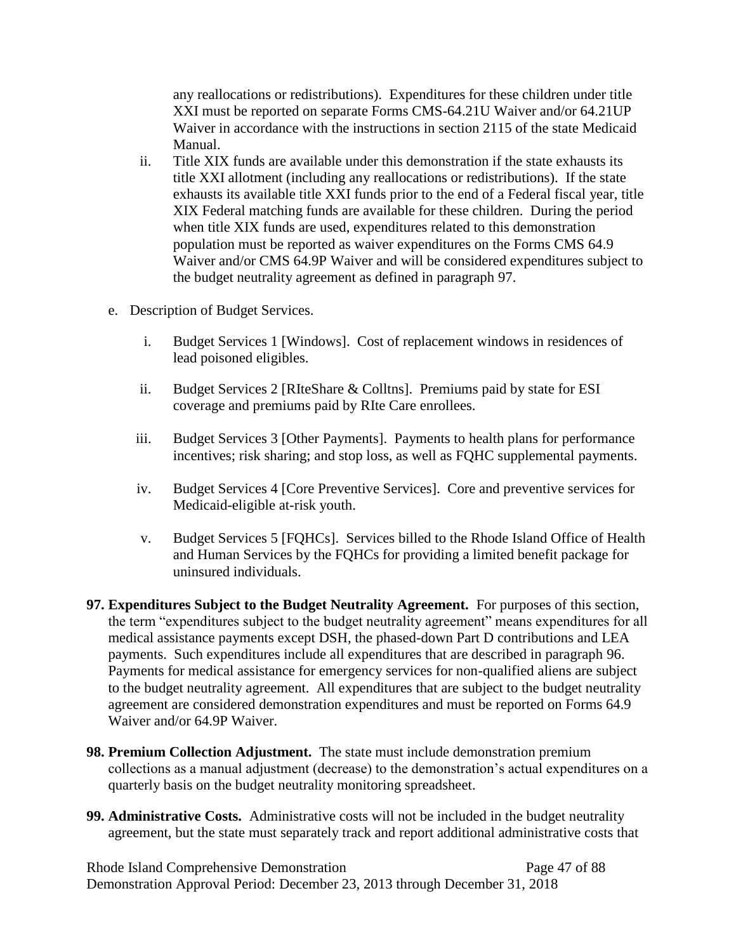any reallocations or redistributions). Expenditures for these children under title XXI must be reported on separate Forms CMS-64.21U Waiver and/or 64.21UP Waiver in accordance with the instructions in section 2115 of the state Medicaid Manual.

- ii. Title XIX funds are available under this demonstration if the state exhausts its title XXI allotment (including any reallocations or redistributions). If the state exhausts its available title XXI funds prior to the end of a Federal fiscal year, title XIX Federal matching funds are available for these children. During the period when title XIX funds are used, expenditures related to this demonstration population must be reported as waiver expenditures on the Forms CMS 64.9 Waiver and/or CMS 64.9P Waiver and will be considered expenditures subject to the budget neutrality agreement as defined in paragraph [97.](#page-46-0)
- e. Description of Budget Services.
	- i. Budget Services 1 [Windows]. Cost of replacement windows in residences of lead poisoned eligibles.
	- ii. Budget Services 2 [RIteShare & Colltns]. Premiums paid by state for ESI coverage and premiums paid by RIte Care enrollees.
	- iii. Budget Services 3 [Other Payments]. Payments to health plans for performance incentives; risk sharing; and stop loss, as well as FQHC supplemental payments.
	- iv. Budget Services 4 [Core Preventive Services]. Core and preventive services for Medicaid-eligible at-risk youth.
	- v. Budget Services 5 [FQHCs]. Services billed to the Rhode Island Office of Health and Human Services by the FQHCs for providing a limited benefit package for uninsured individuals.
- <span id="page-46-0"></span>**97. Expenditures Subject to the Budget Neutrality Agreement.** For purposes of this section, the term "expenditures subject to the budget neutrality agreement" means expenditures for all medical assistance payments except DSH, the phased-down Part D contributions and LEA payments. Such expenditures include all expenditures that are described in paragraph [96.](#page-43-0) Payments for medical assistance for emergency services for non-qualified aliens are subject to the budget neutrality agreement. All expenditures that are subject to the budget neutrality agreement are considered demonstration expenditures and must be reported on Forms 64.9 Waiver and/or 64.9P Waiver.
- **98. Premium Collection Adjustment.** The state must include demonstration premium collections as a manual adjustment (decrease) to the demonstration's actual expenditures on a quarterly basis on the budget neutrality monitoring spreadsheet.
- **99. Administrative Costs.** Administrative costs will not be included in the budget neutrality agreement, but the state must separately track and report additional administrative costs that

Rhode Island Comprehensive Demonstration Page 47 of 88 Demonstration Approval Period: December 23, 2013 through December 31, 2018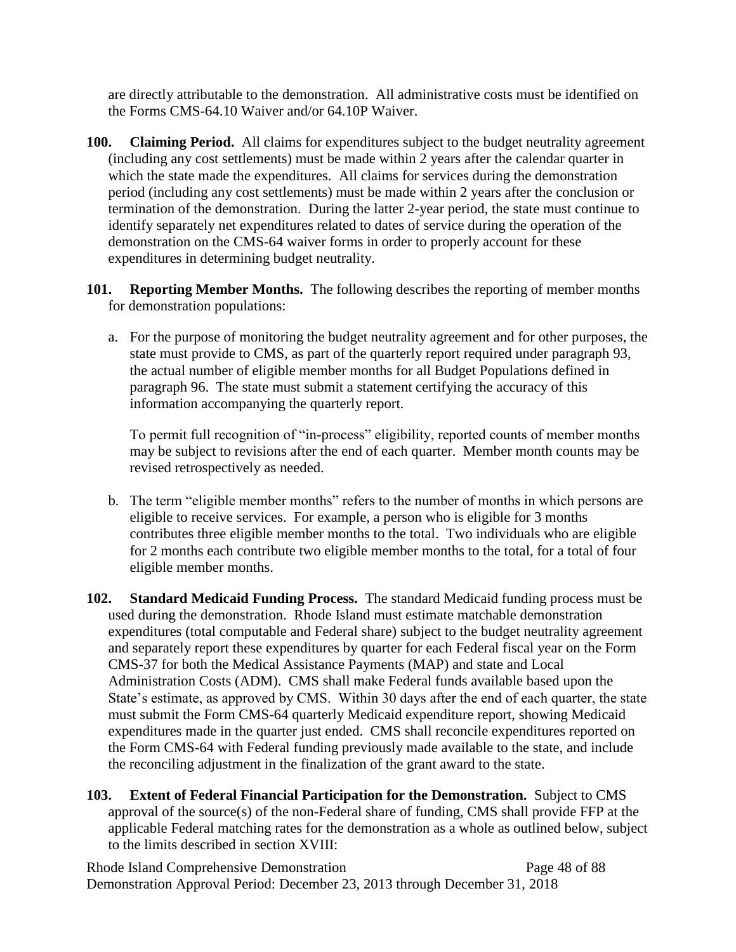are directly attributable to the demonstration. All administrative costs must be identified on the Forms CMS-64.10 Waiver and/or 64.10P Waiver.

- **100. Claiming Period.** All claims for expenditures subject to the budget neutrality agreement (including any cost settlements) must be made within 2 years after the calendar quarter in which the state made the expenditures. All claims for services during the demonstration period (including any cost settlements) must be made within 2 years after the conclusion or termination of the demonstration. During the latter 2-year period, the state must continue to identify separately net expenditures related to dates of service during the operation of the demonstration on the CMS-64 waiver forms in order to properly account for these expenditures in determining budget neutrality.
- <span id="page-47-0"></span>**101. Reporting Member Months.** The following describes the reporting of member months for demonstration populations:
	- a. For the purpose of monitoring the budget neutrality agreement and for other purposes, the state must provide to CMS, as part of the quarterly report required under paragraph [93,](#page-41-1) the actual number of eligible member months for all Budget Populations defined in paragraph [96.](#page-43-0) The state must submit a statement certifying the accuracy of this information accompanying the quarterly report.

To permit full recognition of "in-process" eligibility, reported counts of member months may be subject to revisions after the end of each quarter. Member month counts may be revised retrospectively as needed.

- b. The term "eligible member months" refers to the number of months in which persons are eligible to receive services. For example, a person who is eligible for 3 months contributes three eligible member months to the total. Two individuals who are eligible for 2 months each contribute two eligible member months to the total, for a total of four eligible member months.
- **102. Standard Medicaid Funding Process.** The standard Medicaid funding process must be used during the demonstration. Rhode Island must estimate matchable demonstration expenditures (total computable and Federal share) subject to the budget neutrality agreement and separately report these expenditures by quarter for each Federal fiscal year on the Form CMS-37 for both the Medical Assistance Payments (MAP) and state and Local Administration Costs (ADM). CMS shall make Federal funds available based upon the State's estimate, as approved by CMS. Within 30 days after the end of each quarter, the state must submit the Form CMS-64 quarterly Medicaid expenditure report, showing Medicaid expenditures made in the quarter just ended. CMS shall reconcile expenditures reported on the Form CMS-64 with Federal funding previously made available to the state, and include the reconciling adjustment in the finalization of the grant award to the state.
- **103. Extent of Federal Financial Participation for the Demonstration.** Subject to CMS approval of the source(s) of the non-Federal share of funding, CMS shall provide FFP at the applicable Federal matching rates for the demonstration as a whole as outlined below, subject to the limits described in section [XVIII:](#page-50-1)

Rhode Island Comprehensive Demonstration Page 48 of 88 Demonstration Approval Period: December 23, 2013 through December 31, 2018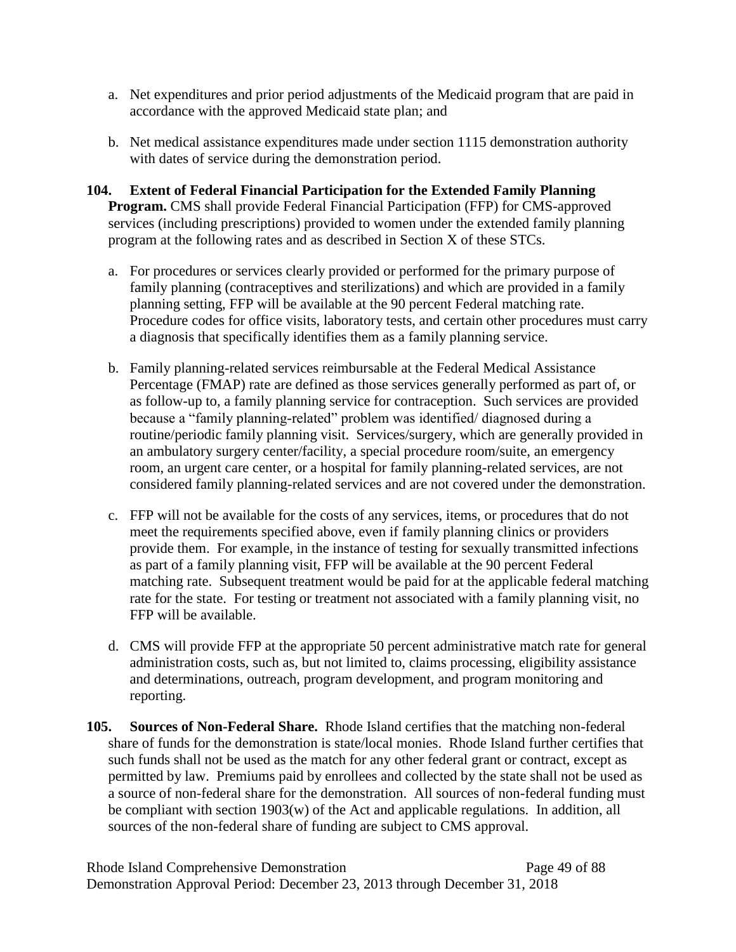- a. Net expenditures and prior period adjustments of the Medicaid program that are paid in accordance with the approved Medicaid state plan; and
- b. Net medical assistance expenditures made under section 1115 demonstration authority with dates of service during the demonstration period.

## **104. Extent of Federal Financial Participation for the Extended Family Planning Program.** CMS shall provide Federal Financial Participation (FFP) for CMS-approved services (including prescriptions) provided to women under the extended family planning program at the following rates and as described in Section [X](#page-0-0) of these STCs.

- a. For procedures or services clearly provided or performed for the primary purpose of family planning (contraceptives and sterilizations) and which are provided in a family planning setting, FFP will be available at the 90 percent Federal matching rate. Procedure codes for office visits, laboratory tests, and certain other procedures must carry a diagnosis that specifically identifies them as a family planning service.
- b. Family planning-related services reimbursable at the Federal Medical Assistance Percentage (FMAP) rate are defined as those services generally performed as part of, or as follow-up to, a family planning service for contraception. Such services are provided because a "family planning-related" problem was identified/ diagnosed during a routine/periodic family planning visit. Services/surgery, which are generally provided in an ambulatory surgery center/facility, a special procedure room/suite, an emergency room, an urgent care center, or a hospital for family planning-related services, are not considered family planning-related services and are not covered under the demonstration.
- c. FFP will not be available for the costs of any services, items, or procedures that do not meet the requirements specified above, even if family planning clinics or providers provide them. For example, in the instance of testing for sexually transmitted infections as part of a family planning visit, FFP will be available at the 90 percent Federal matching rate. Subsequent treatment would be paid for at the applicable federal matching rate for the state. For testing or treatment not associated with a family planning visit, no FFP will be available.
- d. CMS will provide FFP at the appropriate 50 percent administrative match rate for general administration costs, such as, but not limited to, claims processing, eligibility assistance and determinations, outreach, program development, and program monitoring and reporting.
- **105. Sources of Non-Federal Share.** Rhode Island certifies that the matching non-federal share of funds for the demonstration is state/local monies. Rhode Island further certifies that such funds shall not be used as the match for any other federal grant or contract, except as permitted by law. Premiums paid by enrollees and collected by the state shall not be used as a source of non-federal share for the demonstration. All sources of non-federal funding must be compliant with section 1903(w) of the Act and applicable regulations. In addition, all sources of the non-federal share of funding are subject to CMS approval.

Rhode Island Comprehensive Demonstration Page 49 of 88 Demonstration Approval Period: December 23, 2013 through December 31, 2018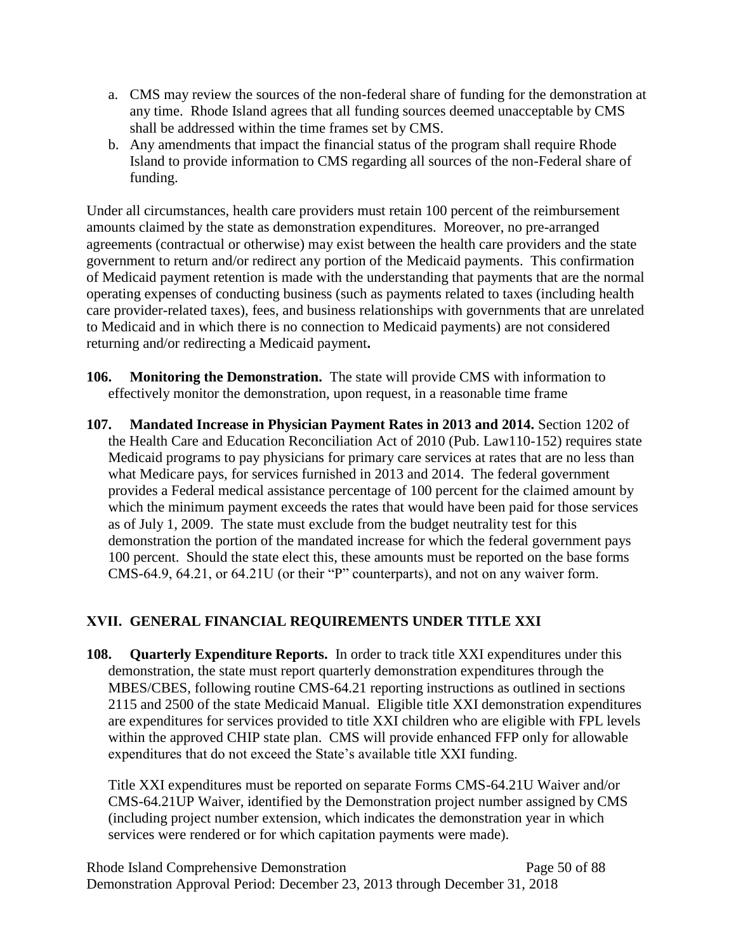- a. CMS may review the sources of the non-federal share of funding for the demonstration at any time. Rhode Island agrees that all funding sources deemed unacceptable by CMS shall be addressed within the time frames set by CMS.
- b. Any amendments that impact the financial status of the program shall require Rhode Island to provide information to CMS regarding all sources of the non-Federal share of funding.

Under all circumstances, health care providers must retain 100 percent of the reimbursement amounts claimed by the state as demonstration expenditures. Moreover, no pre-arranged agreements (contractual or otherwise) may exist between the health care providers and the state government to return and/or redirect any portion of the Medicaid payments. This confirmation of Medicaid payment retention is made with the understanding that payments that are the normal operating expenses of conducting business (such as payments related to taxes (including health care provider-related taxes), fees, and business relationships with governments that are unrelated to Medicaid and in which there is no connection to Medicaid payments) are not considered returning and/or redirecting a Medicaid payment**.**

- **106. Monitoring the Demonstration.** The state will provide CMS with information to effectively monitor the demonstration, upon request, in a reasonable time frame
- **107. Mandated Increase in Physician Payment Rates in 2013 and 2014.** Section 1202 of the Health Care and Education Reconciliation Act of 2010 (Pub. Law110-152) requires state Medicaid programs to pay physicians for primary care services at rates that are no less than what Medicare pays, for services furnished in 2013 and 2014. The federal government provides a Federal medical assistance percentage of 100 percent for the claimed amount by which the minimum payment exceeds the rates that would have been paid for those services as of July 1, 2009. The state must exclude from the budget neutrality test for this demonstration the portion of the mandated increase for which the federal government pays 100 percent. Should the state elect this, these amounts must be reported on the base forms CMS-64.9, 64.21, or 64.21U (or their "P" counterparts), and not on any waiver form.

# <span id="page-49-0"></span>**XVII. GENERAL FINANCIAL REQUIREMENTS UNDER TITLE XXI**

<span id="page-49-1"></span>**108. Quarterly Expenditure Reports.** In order to track title XXI expenditures under this demonstration, the state must report quarterly demonstration expenditures through the MBES/CBES, following routine CMS-64.21 reporting instructions as outlined in sections 2115 and 2500 of the state Medicaid Manual. Eligible title XXI demonstration expenditures are expenditures for services provided to title XXI children who are eligible with FPL levels within the approved CHIP state plan. CMS will provide enhanced FFP only for allowable expenditures that do not exceed the State's available title XXI funding.

Title XXI expenditures must be reported on separate Forms CMS-64.21U Waiver and/or CMS-64.21UP Waiver, identified by the Demonstration project number assigned by CMS (including project number extension, which indicates the demonstration year in which services were rendered or for which capitation payments were made).

Rhode Island Comprehensive Demonstration Page 50 of 88 Demonstration Approval Period: December 23, 2013 through December 31, 2018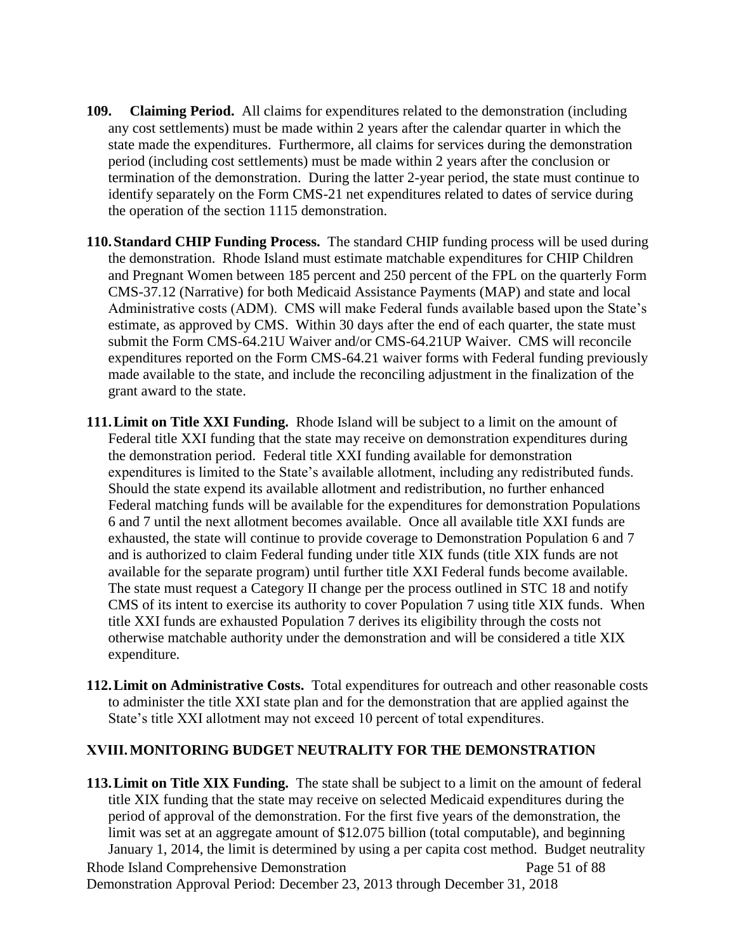- **109. Claiming Period.** All claims for expenditures related to the demonstration (including any cost settlements) must be made within 2 years after the calendar quarter in which the state made the expenditures. Furthermore, all claims for services during the demonstration period (including cost settlements) must be made within 2 years after the conclusion or termination of the demonstration. During the latter 2-year period, the state must continue to identify separately on the Form CMS-21 net expenditures related to dates of service during the operation of the section 1115 demonstration.
- **110.Standard CHIP Funding Process.** The standard CHIP funding process will be used during the demonstration. Rhode Island must estimate matchable expenditures for CHIP Children and Pregnant Women between 185 percent and 250 percent of the FPL on the quarterly Form CMS-37.12 (Narrative) for both Medicaid Assistance Payments (MAP) and state and local Administrative costs (ADM). CMS will make Federal funds available based upon the State's estimate, as approved by CMS. Within 30 days after the end of each quarter, the state must submit the Form CMS-64.21U Waiver and/or CMS-64.21UP Waiver. CMS will reconcile expenditures reported on the Form CMS-64.21 waiver forms with Federal funding previously made available to the state, and include the reconciling adjustment in the finalization of the grant award to the state.
- **111.Limit on Title XXI Funding.** Rhode Island will be subject to a limit on the amount of Federal title XXI funding that the state may receive on demonstration expenditures during the demonstration period. Federal title XXI funding available for demonstration expenditures is limited to the State's available allotment, including any redistributed funds. Should the state expend its available allotment and redistribution, no further enhanced Federal matching funds will be available for the expenditures for demonstration Populations 6 and 7 until the next allotment becomes available. Once all available title XXI funds are exhausted, the state will continue to provide coverage to Demonstration Population 6 and 7 and is authorized to claim Federal funding under title XIX funds (title XIX funds are not available for the separate program) until further title XXI Federal funds become available. The state must request a Category II change per the process outlined in STC [18](#page-9-0) and notify CMS of its intent to exercise its authority to cover Population 7 using title XIX funds. When title XXI funds are exhausted Population 7 derives its eligibility through the costs not otherwise matchable authority under the demonstration and will be considered a title XIX expenditure.
- **112.Limit on Administrative Costs.** Total expenditures for outreach and other reasonable costs to administer the title XXI state plan and for the demonstration that are applied against the State's title XXI allotment may not exceed 10 percent of total expenditures.

## <span id="page-50-1"></span>**XVIII.MONITORING BUDGET NEUTRALITY FOR THE DEMONSTRATION**

<span id="page-50-0"></span>Rhode Island Comprehensive Demonstration Page 51 of 88 Demonstration Approval Period: December 23, 2013 through December 31, 2018 **113.Limit on Title XIX Funding.** The state shall be subject to a limit on the amount of federal title XIX funding that the state may receive on selected Medicaid expenditures during the period of approval of the demonstration. For the first five years of the demonstration, the limit was set at an aggregate amount of \$12.075 billion (total computable), and beginning January 1, 2014, the limit is determined by using a per capita cost method. Budget neutrality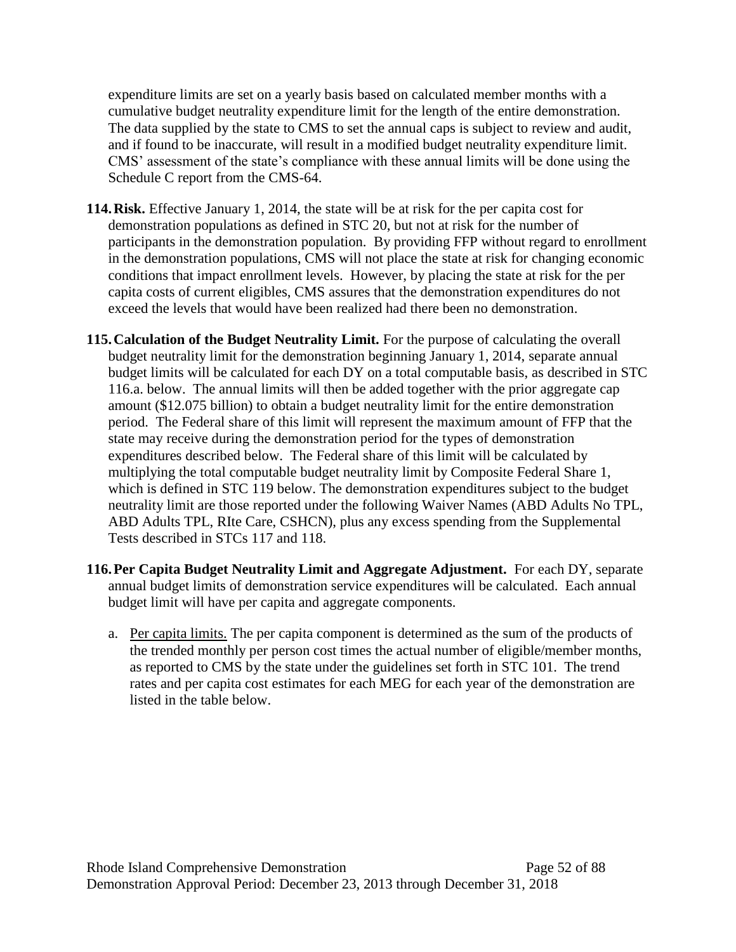expenditure limits are set on a yearly basis based on calculated member months with a cumulative budget neutrality expenditure limit for the length of the entire demonstration. The data supplied by the state to CMS to set the annual caps is subject to review and audit, and if found to be inaccurate, will result in a modified budget neutrality expenditure limit. CMS' assessment of the state's compliance with these annual limits will be done using the Schedule C report from the CMS-64.

- **114.Risk.** Effective January 1, 2014, the state will be at risk for the per capita cost for demonstration populations as defined in STC [20,](#page-13-0) but not at risk for the number of participants in the demonstration population. By providing FFP without regard to enrollment in the demonstration populations, CMS will not place the state at risk for changing economic conditions that impact enrollment levels. However, by placing the state at risk for the per capita costs of current eligibles, CMS assures that the demonstration expenditures do not exceed the levels that would have been realized had there been no demonstration.
- **115.Calculation of the Budget Neutrality Limit.** For the purpose of calculating the overall budget neutrality limit for the demonstration beginning January 1, 2014, separate annual budget limits will be calculated for each DY on a total computable basis, as described in STC [116.](#page-51-0)a. below. The annual limits will then be added together with the prior aggregate cap amount (\$12.075 billion) to obtain a budget neutrality limit for the entire demonstration period. The Federal share of this limit will represent the maximum amount of FFP that the state may receive during the demonstration period for the types of demonstration expenditures described below. The Federal share of this limit will be calculated by multiplying the total computable budget neutrality limit by Composite Federal Share 1, which is defined in STC [119](#page-53-0) below. The demonstration expenditures subject to the budget neutrality limit are those reported under the following Waiver Names (ABD Adults No TPL, ABD Adults TPL, RIte Care, CSHCN), plus any excess spending from the Supplemental Tests described in STCs [117](#page-52-0) and [118.](#page-53-1)
- <span id="page-51-0"></span>**116.Per Capita Budget Neutrality Limit and Aggregate Adjustment.** For each DY, separate annual budget limits of demonstration service expenditures will be calculated. Each annual budget limit will have per capita and aggregate components.
	- a. Per capita limits. The per capita component is determined as the sum of the products of the trended monthly per person cost times the actual number of eligible/member months, as reported to CMS by the state under the guidelines set forth in STC [101.](#page-47-0) The trend rates and per capita cost estimates for each MEG for each year of the demonstration are listed in the table below.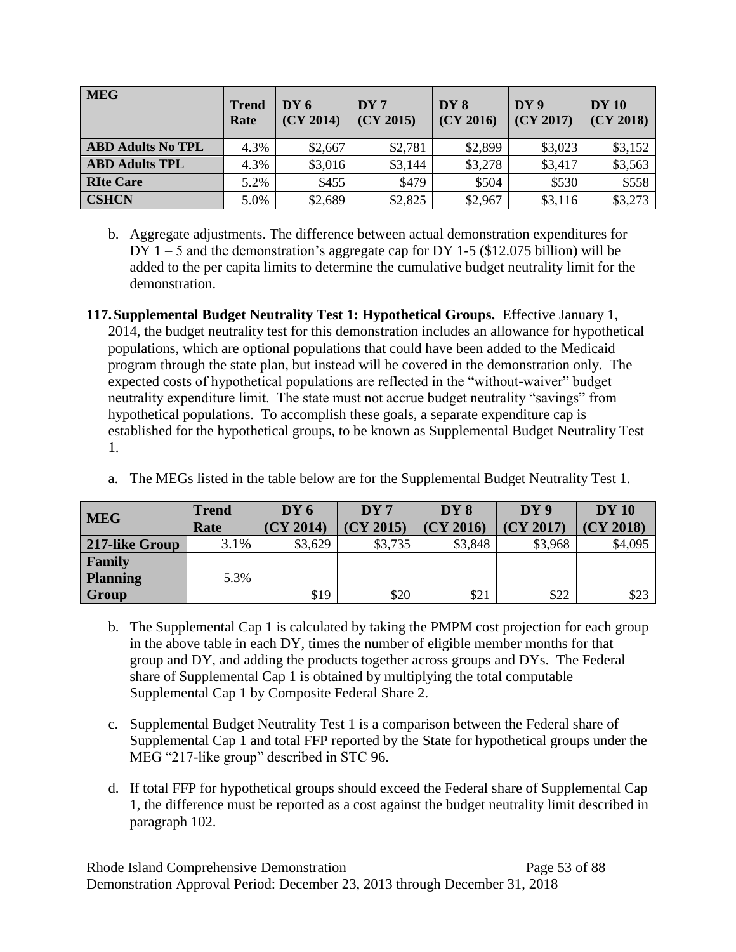| <b>MEG</b>               | <b>Trend</b><br>Rate | DY 6<br>(CY 2014) | DY 7<br>(CY 2015) | DY 8<br>(CY 2016) | DY9<br>(CY 2017) | <b>DY 10</b><br>(CY 2018) |
|--------------------------|----------------------|-------------------|-------------------|-------------------|------------------|---------------------------|
| <b>ABD Adults No TPL</b> | 4.3%                 | \$2,667           | \$2,781           | \$2,899           | \$3,023          | \$3,152                   |
| <b>ABD Adults TPL</b>    | 4.3%                 | \$3,016           | \$3,144           | \$3,278           | \$3,417          | \$3,563                   |
| <b>RIte Care</b>         | 5.2%                 | \$455             | \$479             | \$504             | \$530            | \$558                     |
| <b>CSHCN</b>             | 5.0%                 | \$2,689           | \$2,825           | \$2,967           | \$3,116          | \$3,273                   |

- b. Aggregate adjustments. The difference between actual demonstration expenditures for DY 1 – 5 and the demonstration's aggregate cap for DY 1-5 (\$12.075 billion) will be added to the per capita limits to determine the cumulative budget neutrality limit for the demonstration.
- <span id="page-52-0"></span>**117.Supplemental Budget Neutrality Test 1: Hypothetical Groups.** Effective January 1, 2014, the budget neutrality test for this demonstration includes an allowance for hypothetical populations, which are optional populations that could have been added to the Medicaid program through the state plan, but instead will be covered in the demonstration only. The expected costs of hypothetical populations are reflected in the "without-waiver" budget neutrality expenditure limit. The state must not accrue budget neutrality "savings" from hypothetical populations. To accomplish these goals, a separate expenditure cap is established for the hypothetical groups, to be known as Supplemental Budget Neutrality Test 1.

| <b>MEG</b>      | Trend | DY6       | DY 7      | DY 8      | DY9       | <b>DY 10</b> |
|-----------------|-------|-----------|-----------|-----------|-----------|--------------|
|                 | Rate  | (CY 2014) | (CY 2015) | (CY 2016) | (CY 2017) | (CY 2018)    |
| 217-like Group  | 3.1%  | \$3,629   | \$3,735   | \$3,848   | \$3,968   | \$4,095      |
| Family          |       |           |           |           |           |              |
| <b>Planning</b> | 5.3%  |           |           |           |           |              |
| Group           |       | \$19      | \$20      | \$21      | \$22      | \$23         |

a. The MEGs listed in the table below are for the Supplemental Budget Neutrality Test 1.

- b. The Supplemental Cap 1 is calculated by taking the PMPM cost projection for each group in the above table in each DY, times the number of eligible member months for that group and DY, and adding the products together across groups and DYs. The Federal share of Supplemental Cap 1 is obtained by multiplying the total computable Supplemental Cap 1 by Composite Federal Share 2.
- c. Supplemental Budget Neutrality Test 1 is a comparison between the Federal share of Supplemental Cap 1 and total FFP reported by the State for hypothetical groups under the MEG "217-like group" described in STC [96.](#page-43-0)
- d. If total FFP for hypothetical groups should exceed the Federal share of Supplemental Cap 1, the difference must be reported as a cost against the budget neutrality limit described in paragraph 102.

Rhode Island Comprehensive Demonstration Page 53 of 88 Demonstration Approval Period: December 23, 2013 through December 31, 2018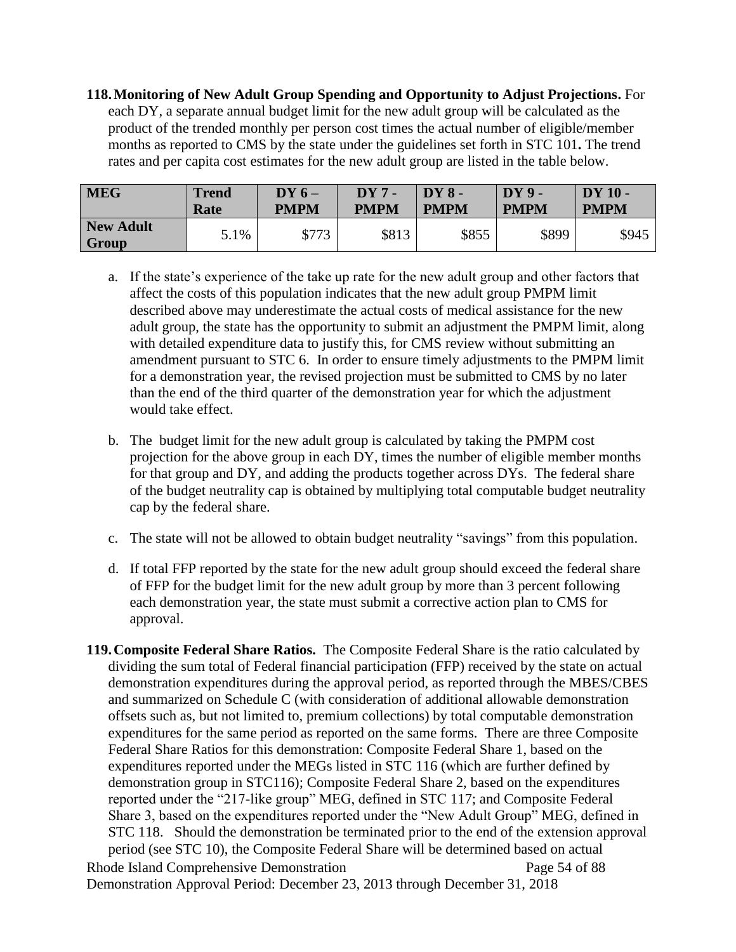<span id="page-53-1"></span>**118.Monitoring of New Adult Group Spending and Opportunity to Adjust Projections.** For each DY, a separate annual budget limit for the new adult group will be calculated as the product of the trended monthly per person cost times the actual number of eligible/member months as reported to CMS by the state under the guidelines set forth in STC [101](#page-47-0)**.** The trend rates and per capita cost estimates for the new adult group are listed in the table below.

| <b>MEG</b>                | <b>Trend</b> | $DY6-$      | $DY7 -$     | $DY8-$      | DY 9 -      | $DY10-$     |
|---------------------------|--------------|-------------|-------------|-------------|-------------|-------------|
|                           | Rate         | <b>PMPM</b> | <b>PMPM</b> | <b>PMPM</b> | <b>PMPM</b> | <b>PMPM</b> |
| <b>New Adult</b><br>Group | 5.1%         | \$773       | \$813       | \$855       | \$899       | \$945       |

- a. If the state's experience of the take up rate for the new adult group and other factors that affect the costs of this population indicates that the new adult group PMPM limit described above may underestimate the actual costs of medical assistance for the new adult group, the state has the opportunity to submit an adjustment the PMPM limit, along with detailed expenditure data to justify this, for CMS review without submitting an amendment pursuant to STC [6.](#page-4-0) In order to ensure timely adjustments to the PMPM limit for a demonstration year, the revised projection must be submitted to CMS by no later than the end of the third quarter of the demonstration year for which the adjustment would take effect.
- b. The budget limit for the new adult group is calculated by taking the PMPM cost projection for the above group in each DY, times the number of eligible member months for that group and DY, and adding the products together across DYs. The federal share of the budget neutrality cap is obtained by multiplying total computable budget neutrality cap by the federal share.
- c. The state will not be allowed to obtain budget neutrality "savings" from this population.
- d. If total FFP reported by the state for the new adult group should exceed the federal share of FFP for the budget limit for the new adult group by more than 3 percent following each demonstration year, the state must submit a corrective action plan to CMS for approval.

<span id="page-53-0"></span>Rhode Island Comprehensive Demonstration Page 54 of 88 Demonstration Approval Period: December 23, 2013 through December 31, 2018 **119.Composite Federal Share Ratios.** The Composite Federal Share is the ratio calculated by dividing the sum total of Federal financial participation (FFP) received by the state on actual demonstration expenditures during the approval period, as reported through the MBES/CBES and summarized on Schedule C (with consideration of additional allowable demonstration offsets such as, but not limited to, premium collections) by total computable demonstration expenditures for the same period as reported on the same forms. There are three Composite Federal Share Ratios for this demonstration: Composite Federal Share 1, based on the expenditures reported under the MEGs listed in STC [116](#page-51-0) (which are further defined by demonstration group in ST[C116\)](#page-51-0); Composite Federal Share 2, based on the expenditures reported under the "217-like group" MEG, defined in STC [117;](#page-52-0) and Composite Federal Share 3, based on the expenditures reported under the "New Adult Group" MEG, defined in STC [118.](#page-53-1) Should the demonstration be terminated prior to the end of the extension approval period (see STC [10\)](#page-8-0), the Composite Federal Share will be determined based on actual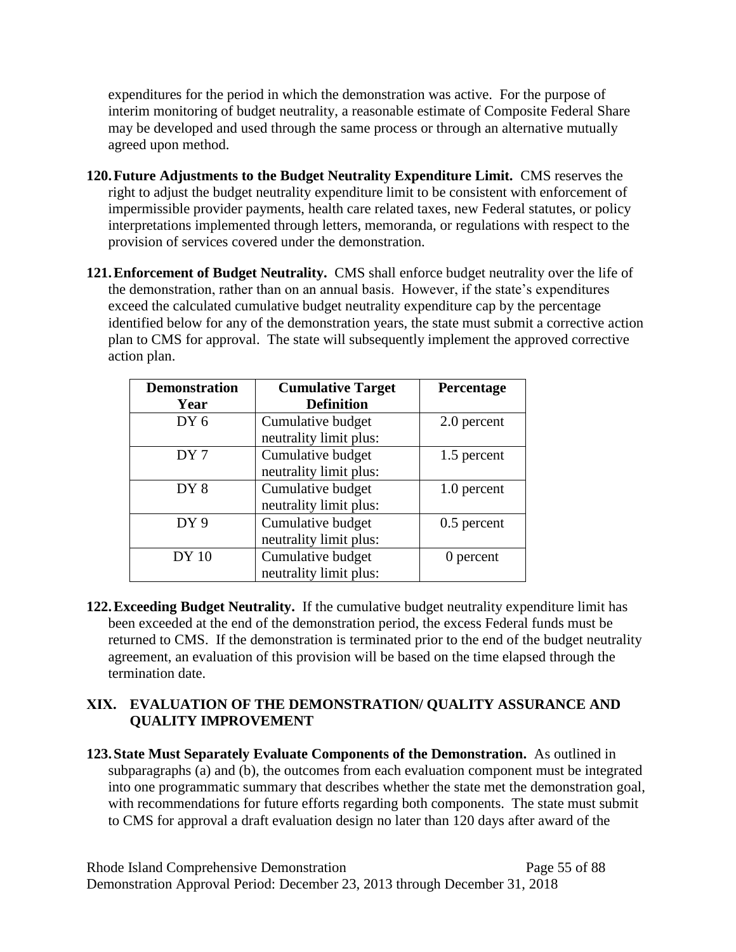expenditures for the period in which the demonstration was active. For the purpose of interim monitoring of budget neutrality, a reasonable estimate of Composite Federal Share may be developed and used through the same process or through an alternative mutually agreed upon method.

- **120.Future Adjustments to the Budget Neutrality Expenditure Limit.** CMS reserves the right to adjust the budget neutrality expenditure limit to be consistent with enforcement of impermissible provider payments, health care related taxes, new Federal statutes, or policy interpretations implemented through letters, memoranda, or regulations with respect to the provision of services covered under the demonstration.
- **121.Enforcement of Budget Neutrality.** CMS shall enforce budget neutrality over the life of the demonstration, rather than on an annual basis. However, if the state's expenditures exceed the calculated cumulative budget neutrality expenditure cap by the percentage identified below for any of the demonstration years, the state must submit a corrective action plan to CMS for approval. The state will subsequently implement the approved corrective action plan.

| <b>Demonstration</b> | <b>Cumulative Target</b> | Percentage    |
|----------------------|--------------------------|---------------|
| Year                 | <b>Definition</b>        |               |
| DY <sub>6</sub>      | Cumulative budget        | 2.0 percent   |
|                      | neutrality limit plus:   |               |
| DY 7                 | Cumulative budget        | 1.5 percent   |
|                      | neutrality limit plus:   |               |
| DY <sub>8</sub>      | Cumulative budget        | 1.0 percent   |
|                      | neutrality limit plus:   |               |
| DY <sub>9</sub>      | Cumulative budget        | $0.5$ percent |
|                      | neutrality limit plus:   |               |
| <b>DY 10</b>         | Cumulative budget        | 0 percent     |
|                      | neutrality limit plus:   |               |

**122.Exceeding Budget Neutrality.** If the cumulative budget neutrality expenditure limit has been exceeded at the end of the demonstration period, the excess Federal funds must be returned to CMS. If the demonstration is terminated prior to the end of the budget neutrality agreement, an evaluation of this provision will be based on the time elapsed through the termination date.

## <span id="page-54-1"></span>**XIX. EVALUATION OF THE DEMONSTRATION/ QUALITY ASSURANCE AND QUALITY IMPROVEMENT**

<span id="page-54-0"></span>**123.State Must Separately Evaluate Components of the Demonstration.** As outlined in subparagraphs (a) and (b), the outcomes from each evaluation component must be integrated into one programmatic summary that describes whether the state met the demonstration goal, with recommendations for future efforts regarding both components. The state must submit to CMS for approval a draft evaluation design no later than 120 days after award of the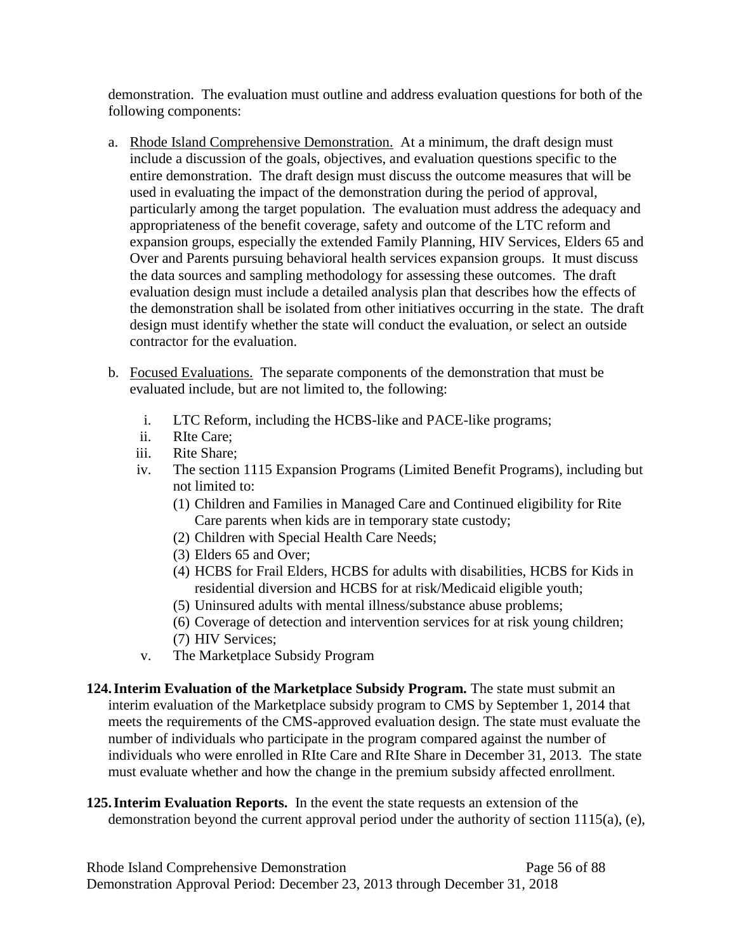demonstration. The evaluation must outline and address evaluation questions for both of the following components:

- a. Rhode Island Comprehensive Demonstration.At a minimum, the draft design must include a discussion of the goals, objectives, and evaluation questions specific to the entire demonstration. The draft design must discuss the outcome measures that will be used in evaluating the impact of the demonstration during the period of approval, particularly among the target population. The evaluation must address the adequacy and appropriateness of the benefit coverage, safety and outcome of the LTC reform and expansion groups, especially the extended Family Planning, HIV Services, Elders 65 and Over and Parents pursuing behavioral health services expansion groups. It must discuss the data sources and sampling methodology for assessing these outcomes. The draft evaluation design must include a detailed analysis plan that describes how the effects of the demonstration shall be isolated from other initiatives occurring in the state. The draft design must identify whether the state will conduct the evaluation, or select an outside contractor for the evaluation.
- b. Focused Evaluations.The separate components of the demonstration that must be evaluated include, but are not limited to, the following:
	- i. LTC Reform, including the HCBS-like and PACE-like programs;
	- ii. RIte Care;
	- iii. Rite Share;
	- iv. The section 1115 Expansion Programs (Limited Benefit Programs), including but not limited to:
		- (1) Children and Families in Managed Care and Continued eligibility for Rite Care parents when kids are in temporary state custody;
		- (2) Children with Special Health Care Needs;
		- (3) Elders 65 and Over;
		- (4) HCBS for Frail Elders, HCBS for adults with disabilities, HCBS for Kids in residential diversion and HCBS for at risk/Medicaid eligible youth;
		- (5) Uninsured adults with mental illness/substance abuse problems;
		- (6) Coverage of detection and intervention services for at risk young children; (7) HIV Services;
	- v. The Marketplace Subsidy Program

<span id="page-55-0"></span>**124.Interim Evaluation of the Marketplace Subsidy Program.** The state must submit an interim evaluation of the Marketplace subsidy program to CMS by September 1, 2014 that meets the requirements of the CMS-approved evaluation design. The state must evaluate the number of individuals who participate in the program compared against the number of individuals who were enrolled in RIte Care and RIte Share in December 31, 2013. The state must evaluate whether and how the change in the premium subsidy affected enrollment.

**125.Interim Evaluation Reports.** In the event the state requests an extension of the demonstration beyond the current approval period under the authority of section 1115(a), (e),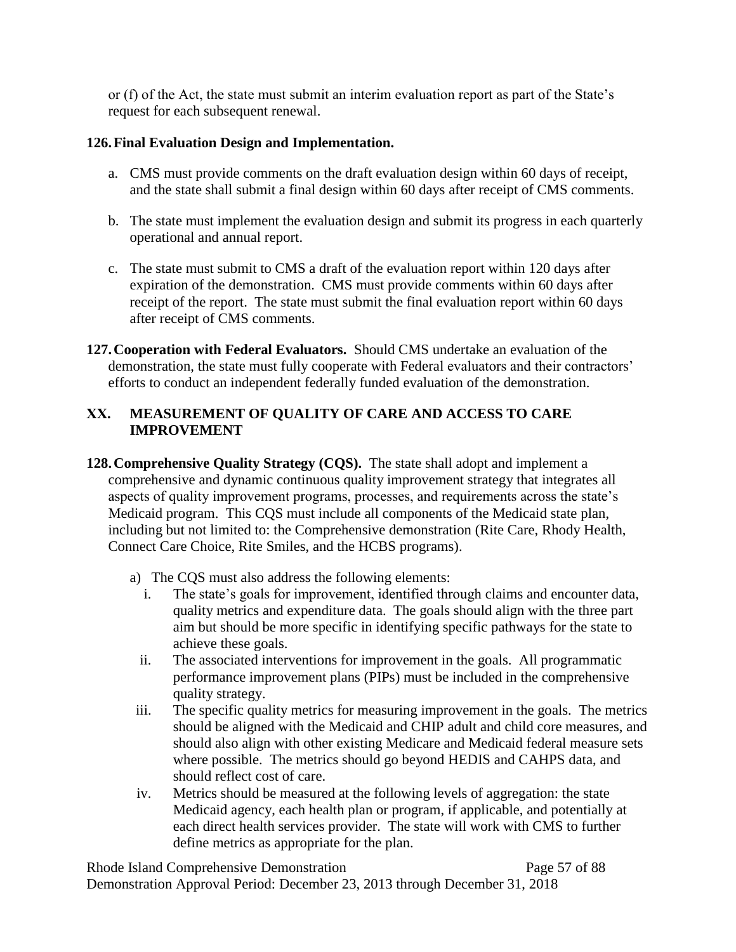or (f) of the Act, the state must submit an interim evaluation report as part of the State's request for each subsequent renewal.

## **126.Final Evaluation Design and Implementation.**

- a. CMS must provide comments on the draft evaluation design within 60 days of receipt, and the state shall submit a final design within 60 days after receipt of CMS comments.
- b. The state must implement the evaluation design and submit its progress in each quarterly operational and annual report.
- c. The state must submit to CMS a draft of the evaluation report within 120 days after expiration of the demonstration. CMS must provide comments within 60 days after receipt of the report. The state must submit the final evaluation report within 60 days after receipt of CMS comments.
- **127.Cooperation with Federal Evaluators.** Should CMS undertake an evaluation of the demonstration, the state must fully cooperate with Federal evaluators and their contractors' efforts to conduct an independent federally funded evaluation of the demonstration.

# **XX. MEASUREMENT OF QUALITY OF CARE AND ACCESS TO CARE IMPROVEMENT**

- **128.Comprehensive Quality Strategy (CQS).** The state shall adopt and implement a comprehensive and dynamic continuous quality improvement strategy that integrates all aspects of quality improvement programs, processes, and requirements across the state's Medicaid program. This CQS must include all components of the Medicaid state plan, including but not limited to: the Comprehensive demonstration (Rite Care, Rhody Health, Connect Care Choice, Rite Smiles, and the HCBS programs).
	- a) The CQS must also address the following elements:
		- i. The state's goals for improvement, identified through claims and encounter data, quality metrics and expenditure data. The goals should align with the three part aim but should be more specific in identifying specific pathways for the state to achieve these goals.
		- ii. The associated interventions for improvement in the goals. All programmatic performance improvement plans (PIPs) must be included in the comprehensive quality strategy.
	- iii. The specific quality metrics for measuring improvement in the goals. The metrics should be aligned with the Medicaid and CHIP adult and child core measures, and should also align with other existing Medicare and Medicaid federal measure sets where possible. The metrics should go beyond HEDIS and CAHPS data, and should reflect cost of care.
	- iv. Metrics should be measured at the following levels of aggregation: the state Medicaid agency, each health plan or program, if applicable, and potentially at each direct health services provider. The state will work with CMS to further define metrics as appropriate for the plan.

Rhode Island Comprehensive Demonstration Page 57 of 88 Demonstration Approval Period: December 23, 2013 through December 31, 2018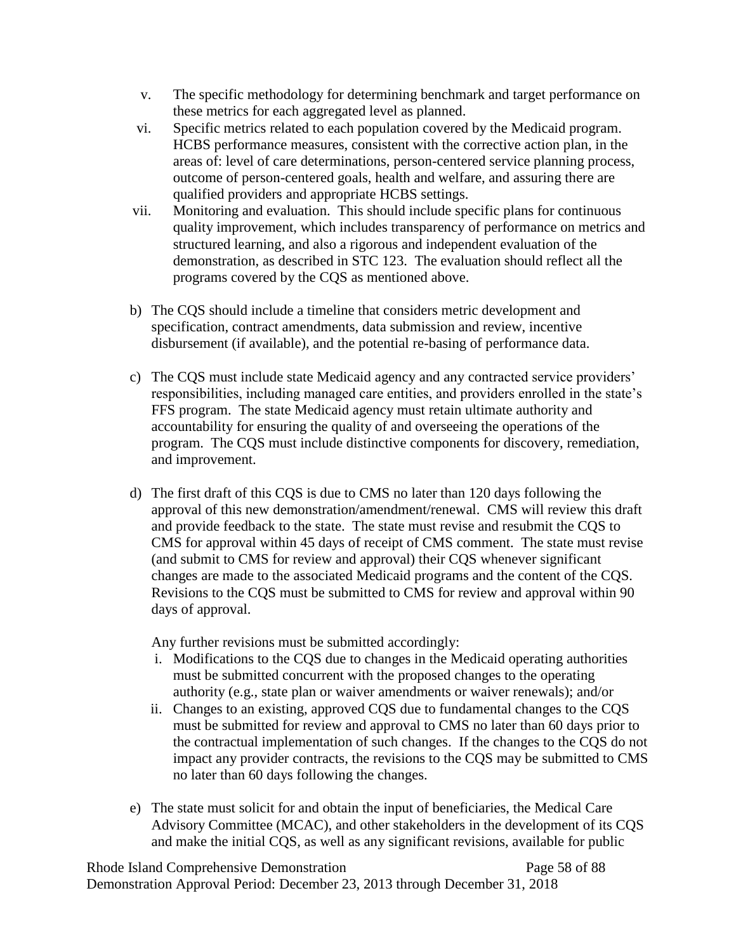- v. The specific methodology for determining benchmark and target performance on these metrics for each aggregated level as planned.
- vi. Specific metrics related to each population covered by the Medicaid program. HCBS performance measures, consistent with the corrective action plan, in the areas of: level of care determinations, person-centered service planning process, outcome of person-centered goals, health and welfare, and assuring there are qualified providers and appropriate HCBS settings.
- vii. Monitoring and evaluation. This should include specific plans for continuous quality improvement, which includes transparency of performance on metrics and structured learning, and also a rigorous and independent evaluation of the demonstration, as described in STC [123.](#page-54-0) The evaluation should reflect all the programs covered by the CQS as mentioned above.
- b) The CQS should include a timeline that considers metric development and specification, contract amendments, data submission and review, incentive disbursement (if available), and the potential re-basing of performance data.
- c) The CQS must include state Medicaid agency and any contracted service providers' responsibilities, including managed care entities, and providers enrolled in the state's FFS program. The state Medicaid agency must retain ultimate authority and accountability for ensuring the quality of and overseeing the operations of the program. The CQS must include distinctive components for discovery, remediation, and improvement.
- d) The first draft of this CQS is due to CMS no later than 120 days following the approval of this new demonstration/amendment/renewal. CMS will review this draft and provide feedback to the state. The state must revise and resubmit the CQS to CMS for approval within 45 days of receipt of CMS comment. The state must revise (and submit to CMS for review and approval) their CQS whenever significant changes are made to the associated Medicaid programs and the content of the CQS. Revisions to the CQS must be submitted to CMS for review and approval within 90 days of approval.

Any further revisions must be submitted accordingly:

- i. Modifications to the CQS due to changes in the Medicaid operating authorities must be submitted concurrent with the proposed changes to the operating authority (e.g., state plan or waiver amendments or waiver renewals); and/or
- ii. Changes to an existing, approved CQS due to fundamental changes to the CQS must be submitted for review and approval to CMS no later than 60 days prior to the contractual implementation of such changes. If the changes to the CQS do not impact any provider contracts, the revisions to the CQS may be submitted to CMS no later than 60 days following the changes.
- e) The state must solicit for and obtain the input of beneficiaries, the Medical Care Advisory Committee (MCAC), and other stakeholders in the development of its CQS and make the initial CQS, as well as any significant revisions, available for public

Rhode Island Comprehensive Demonstration Page 58 of 88 Demonstration Approval Period: December 23, 2013 through December 31, 2018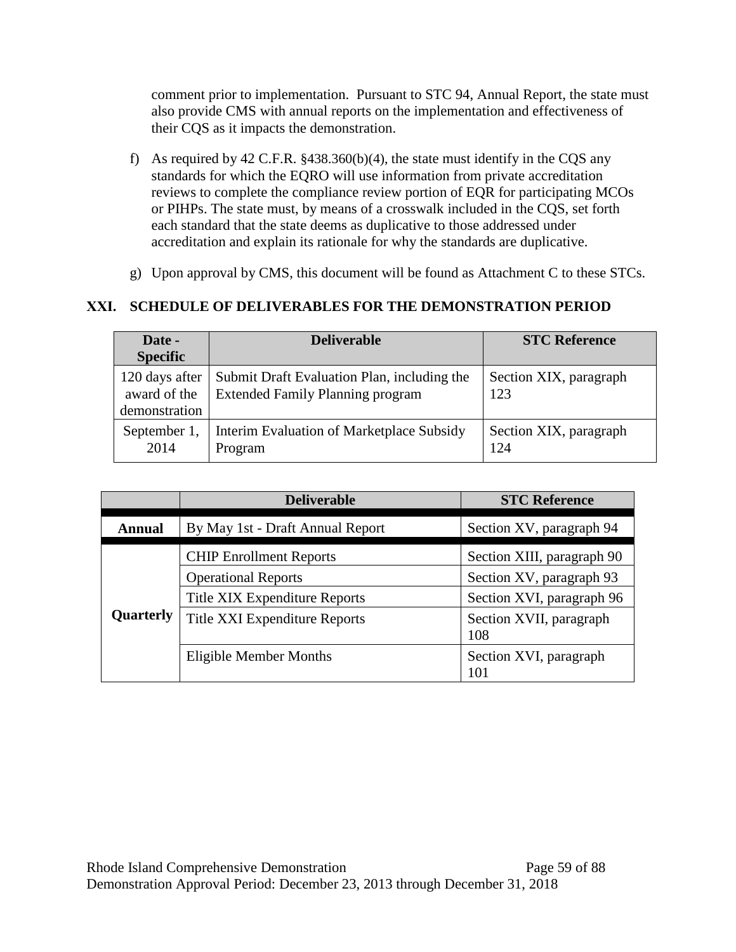comment prior to implementation. Pursuant to STC [94,](#page-41-0) Annual Report, the state must also provide CMS with annual reports on the implementation and effectiveness of their CQS as it impacts the demonstration.

- f) As required by 42 C.F.R. §438.360(b)(4), the state must identify in the CQS any standards for which the EQRO will use information from private accreditation reviews to complete the compliance review portion of EQR for participating MCOs or PIHPs. The state must, by means of a crosswalk included in the CQS, set forth each standard that the state deems as duplicative to those addressed under accreditation and explain its rationale for why the standards are duplicative.
- g) Upon approval by CMS, this document will be found as Attachment C to these STCs.

# **XXI. SCHEDULE OF DELIVERABLES FOR THE DEMONSTRATION PERIOD**

| Date -<br><b>Specific</b>                       | <b>Deliverable</b>                                                                     | <b>STC Reference</b>          |
|-------------------------------------------------|----------------------------------------------------------------------------------------|-------------------------------|
| 120 days after<br>award of the<br>demonstration | Submit Draft Evaluation Plan, including the<br><b>Extended Family Planning program</b> | Section XIX, paragraph<br>123 |
| September 1,<br>2014                            | Interim Evaluation of Marketplace Subsidy<br>Program                                   | Section XIX, paragraph<br>124 |

|           | <b>Deliverable</b>                   | <b>STC Reference</b>           |
|-----------|--------------------------------------|--------------------------------|
| Annual    | By May 1st - Draft Annual Report     | Section XV, paragraph 94       |
|           | <b>CHIP Enrollment Reports</b>       | Section XIII, paragraph 90     |
|           | <b>Operational Reports</b>           | Section XV, paragraph 93       |
|           | <b>Title XIX Expenditure Reports</b> | Section XVI, paragraph 96      |
| Quarterly | <b>Title XXI Expenditure Reports</b> | Section XVII, paragraph<br>108 |
|           | Eligible Member Months               | Section XVI, paragraph<br>101  |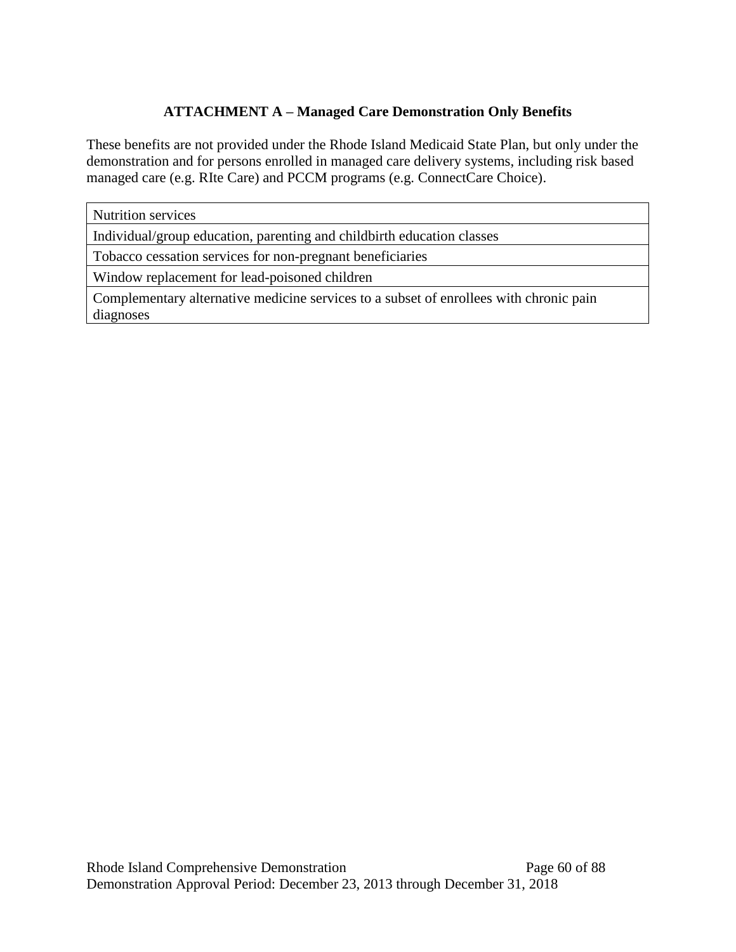# **ATTACHMENT A – Managed Care Demonstration Only Benefits**

These benefits are not provided under the Rhode Island Medicaid State Plan, but only under the demonstration and for persons enrolled in managed care delivery systems, including risk based managed care (e.g. RIte Care) and PCCM programs (e.g. ConnectCare Choice).

Nutrition services

Individual/group education, parenting and childbirth education classes

Tobacco cessation services for non-pregnant beneficiaries

Window replacement for lead-poisoned children

Complementary alternative medicine services to a subset of enrollees with chronic pain diagnoses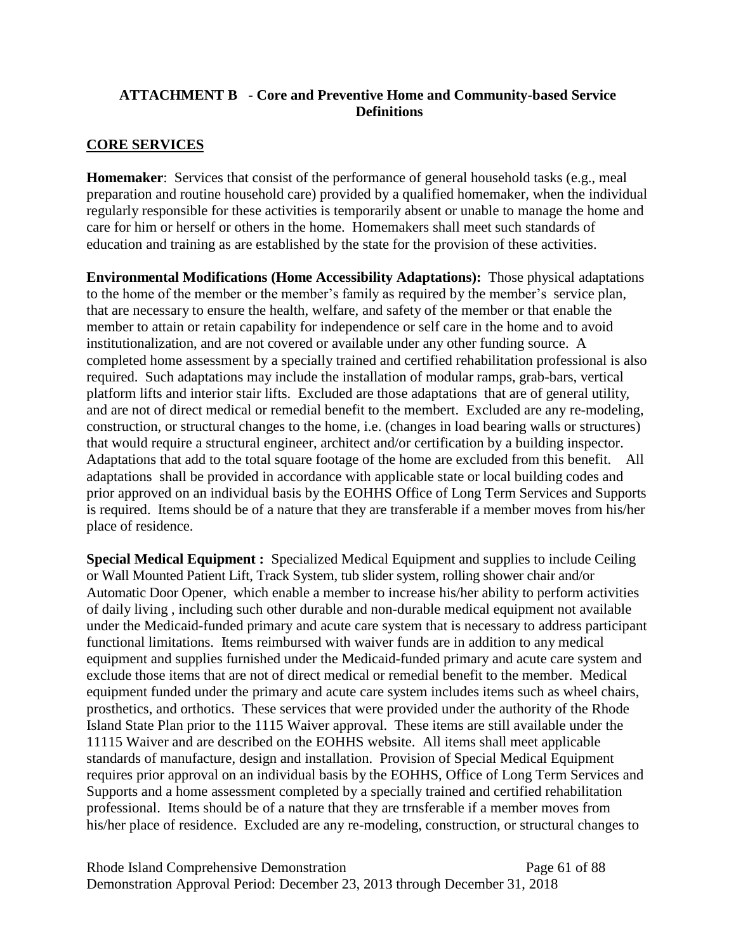# **ATTACHMENT B - Core and Preventive Home and Community-based Service Definitions**

## **CORE SERVICES**

**Homemaker**: Services that consist of the performance of general household tasks (e.g., meal preparation and routine household care) provided by a qualified homemaker, when the individual regularly responsible for these activities is temporarily absent or unable to manage the home and care for him or herself or others in the home. Homemakers shall meet such standards of education and training as are established by the state for the provision of these activities.

**Environmental Modifications (Home Accessibility Adaptations):** Those physical adaptations to the home of the member or the member's family as required by the member's service plan, that are necessary to ensure the health, welfare, and safety of the member or that enable the member to attain or retain capability for independence or self care in the home and to avoid institutionalization, and are not covered or available under any other funding source. A completed home assessment by a specially trained and certified rehabilitation professional is also required. Such adaptations may include the installation of modular ramps, grab-bars, vertical platform lifts and interior stair lifts. Excluded are those adaptations that are of general utility, and are not of direct medical or remedial benefit to the membert. Excluded are any re-modeling, construction, or structural changes to the home, i.e. (changes in load bearing walls or structures) that would require a structural engineer, architect and/or certification by a building inspector. Adaptations that add to the total square footage of the home are excluded from this benefit. All adaptations shall be provided in accordance with applicable state or local building codes and prior approved on an individual basis by the EOHHS Office of Long Term Services and Supports is required. Items should be of a nature that they are transferable if a member moves from his/her place of residence.

**Special Medical Equipment :** Specialized Medical Equipment and supplies to include Ceiling or Wall Mounted Patient Lift, Track System, tub slider system, rolling shower chair and/or Automatic Door Opener, which enable a member to increase his/her ability to perform activities of daily living , including such other durable and non-durable medical equipment not available under the Medicaid-funded primary and acute care system that is necessary to address participant functional limitations. Items reimbursed with waiver funds are in addition to any medical equipment and supplies furnished under the Medicaid-funded primary and acute care system and exclude those items that are not of direct medical or remedial benefit to the member. Medical equipment funded under the primary and acute care system includes items such as wheel chairs, prosthetics, and orthotics. These services that were provided under the authority of the Rhode Island State Plan prior to the 1115 Waiver approval. These items are still available under the 11115 Waiver and are described on the EOHHS website. All items shall meet applicable standards of manufacture, design and installation. Provision of Special Medical Equipment requires prior approval on an individual basis by the EOHHS, Office of Long Term Services and Supports and a home assessment completed by a specially trained and certified rehabilitation professional. Items should be of a nature that they are trnsferable if a member moves from his/her place of residence. Excluded are any re-modeling, construction, or structural changes to

Rhode Island Comprehensive Demonstration Page 61 of 88 Demonstration Approval Period: December 23, 2013 through December 31, 2018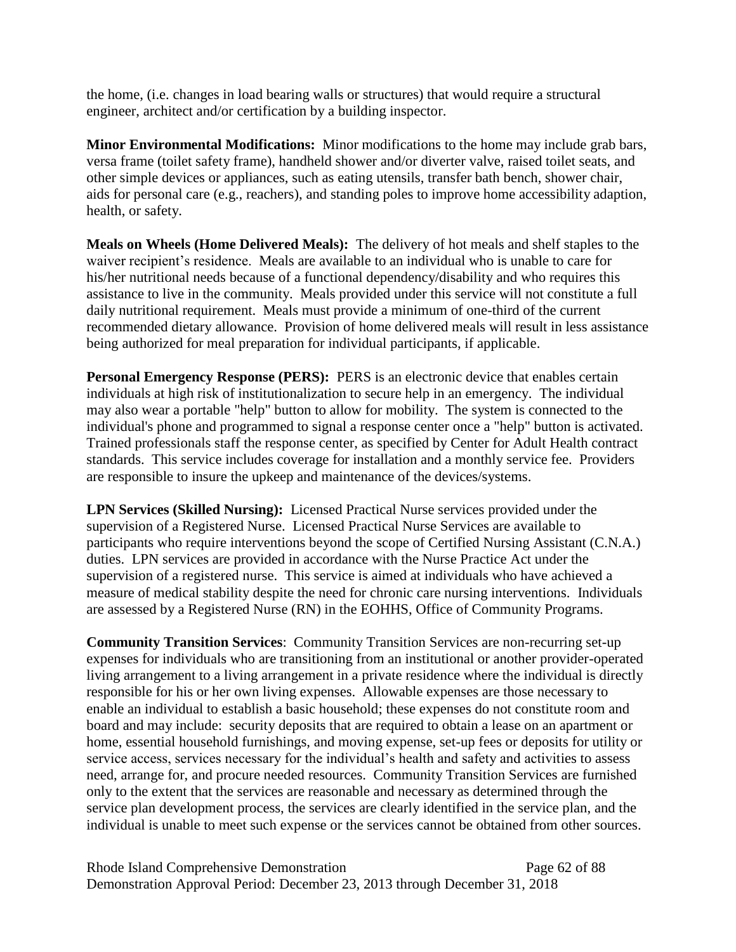the home, (i.e. changes in load bearing walls or structures) that would require a structural engineer, architect and/or certification by a building inspector.

**Minor Environmental Modifications:** Minor modifications to the home may include grab bars, versa frame (toilet safety frame), handheld shower and/or diverter valve, raised toilet seats, and other simple devices or appliances, such as eating utensils, transfer bath bench, shower chair, aids for personal care (e.g., reachers), and standing poles to improve home accessibility adaption, health, or safety.

**Meals on Wheels (Home Delivered Meals):** The delivery of hot meals and shelf staples to the waiver recipient's residence. Meals are available to an individual who is unable to care for his/her nutritional needs because of a functional dependency/disability and who requires this assistance to live in the community. Meals provided under this service will not constitute a full daily nutritional requirement. Meals must provide a minimum of one-third of the current recommended dietary allowance. Provision of home delivered meals will result in less assistance being authorized for meal preparation for individual participants, if applicable.

**Personal Emergency Response (PERS):** PERS is an electronic device that enables certain individuals at high risk of institutionalization to secure help in an emergency. The individual may also wear a portable "help" button to allow for mobility. The system is connected to the individual's phone and programmed to signal a response center once a "help" button is activated. Trained professionals staff the response center, as specified by Center for Adult Health contract standards. This service includes coverage for installation and a monthly service fee. Providers are responsible to insure the upkeep and maintenance of the devices/systems.

**LPN Services (Skilled Nursing):** Licensed Practical Nurse services provided under the supervision of a Registered Nurse. Licensed Practical Nurse Services are available to participants who require interventions beyond the scope of Certified Nursing Assistant (C.N.A.) duties. LPN services are provided in accordance with the Nurse Practice Act under the supervision of a registered nurse. This service is aimed at individuals who have achieved a measure of medical stability despite the need for chronic care nursing interventions. Individuals are assessed by a Registered Nurse (RN) in the EOHHS, Office of Community Programs.

**Community Transition Services**: Community Transition Services are non-recurring set-up expenses for individuals who are transitioning from an institutional or another provider-operated living arrangement to a living arrangement in a private residence where the individual is directly responsible for his or her own living expenses. Allowable expenses are those necessary to enable an individual to establish a basic household; these expenses do not constitute room and board and may include: security deposits that are required to obtain a lease on an apartment or home, essential household furnishings, and moving expense, set-up fees or deposits for utility or service access, services necessary for the individual's health and safety and activities to assess need, arrange for, and procure needed resources. Community Transition Services are furnished only to the extent that the services are reasonable and necessary as determined through the service plan development process, the services are clearly identified in the service plan, and the individual is unable to meet such expense or the services cannot be obtained from other sources.

Rhode Island Comprehensive Demonstration Page 62 of 88 Demonstration Approval Period: December 23, 2013 through December 31, 2018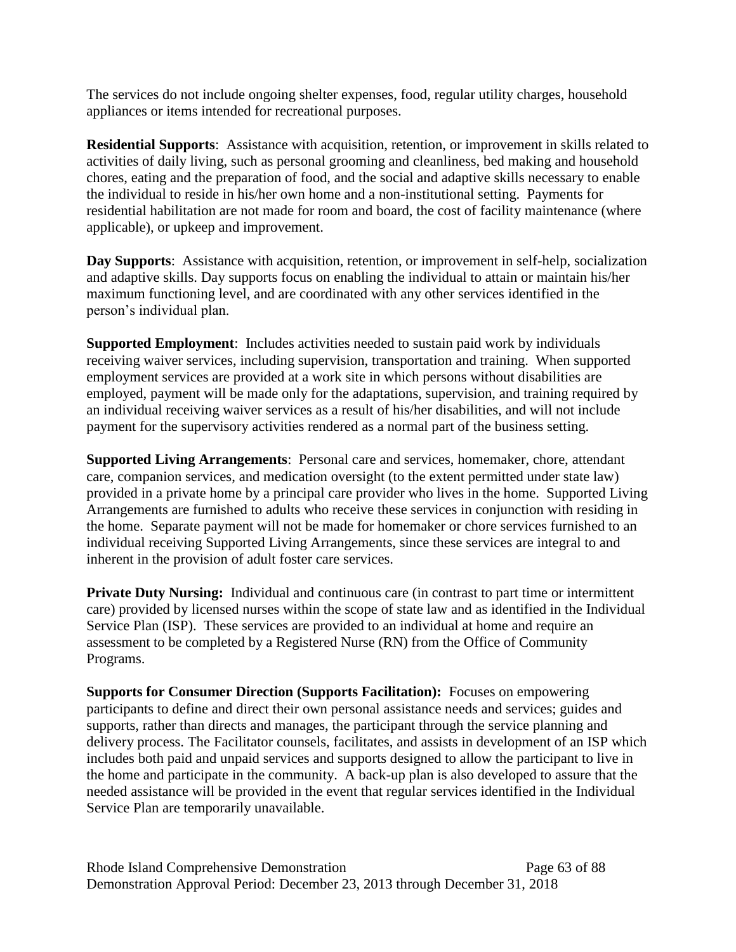The services do not include ongoing shelter expenses, food, regular utility charges, household appliances or items intended for recreational purposes.

**Residential Supports**: Assistance with acquisition, retention, or improvement in skills related to activities of daily living, such as personal grooming and cleanliness, bed making and household chores, eating and the preparation of food, and the social and adaptive skills necessary to enable the individual to reside in his/her own home and a non-institutional setting. Payments for residential habilitation are not made for room and board, the cost of facility maintenance (where applicable), or upkeep and improvement.

**Day Supports:** Assistance with acquisition, retention, or improvement in self-help, socialization and adaptive skills. Day supports focus on enabling the individual to attain or maintain his/her maximum functioning level, and are coordinated with any other services identified in the person's individual plan.

**Supported Employment**: Includes activities needed to sustain paid work by individuals receiving waiver services, including supervision, transportation and training. When supported employment services are provided at a work site in which persons without disabilities are employed, payment will be made only for the adaptations, supervision, and training required by an individual receiving waiver services as a result of his/her disabilities, and will not include payment for the supervisory activities rendered as a normal part of the business setting.

**Supported Living Arrangements**: Personal care and services, homemaker, chore, attendant care, companion services, and medication oversight (to the extent permitted under state law) provided in a private home by a principal care provider who lives in the home. Supported Living Arrangements are furnished to adults who receive these services in conjunction with residing in the home. Separate payment will not be made for homemaker or chore services furnished to an individual receiving Supported Living Arrangements, since these services are integral to and inherent in the provision of adult foster care services.

**Private Duty Nursing:** Individual and continuous care (in contrast to part time or intermittent care) provided by licensed nurses within the scope of state law and as identified in the Individual Service Plan (ISP). These services are provided to an individual at home and require an assessment to be completed by a Registered Nurse (RN) from the Office of Community Programs.

**Supports for Consumer Direction (Supports Facilitation):** Focuses on empowering participants to define and direct their own personal assistance needs and services; guides and supports, rather than directs and manages, the participant through the service planning and delivery process. The Facilitator counsels, facilitates, and assists in development of an ISP which includes both paid and unpaid services and supports designed to allow the participant to live in the home and participate in the community. A back-up plan is also developed to assure that the needed assistance will be provided in the event that regular services identified in the Individual Service Plan are temporarily unavailable.

Rhode Island Comprehensive Demonstration Page 63 of 88 Demonstration Approval Period: December 23, 2013 through December 31, 2018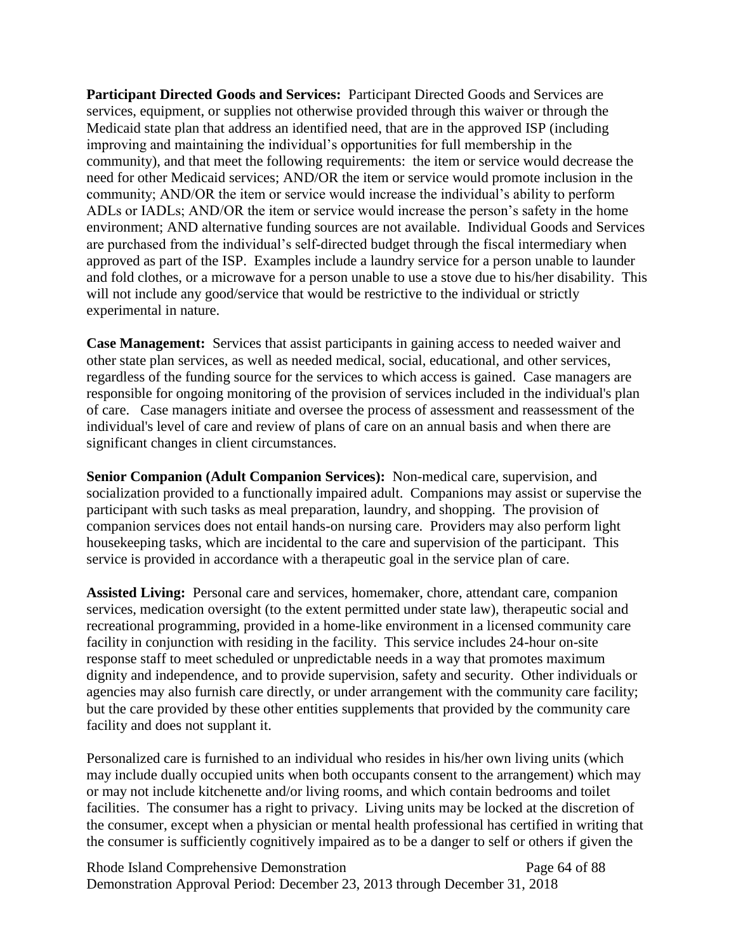**Participant Directed Goods and Services:** Participant Directed Goods and Services are services, equipment, or supplies not otherwise provided through this waiver or through the Medicaid state plan that address an identified need, that are in the approved ISP (including improving and maintaining the individual's opportunities for full membership in the community), and that meet the following requirements: the item or service would decrease the need for other Medicaid services; AND/OR the item or service would promote inclusion in the community; AND/OR the item or service would increase the individual's ability to perform ADLs or IADLs; AND/OR the item or service would increase the person's safety in the home environment; AND alternative funding sources are not available. Individual Goods and Services are purchased from the individual's self-directed budget through the fiscal intermediary when approved as part of the ISP. Examples include a laundry service for a person unable to launder and fold clothes, or a microwave for a person unable to use a stove due to his/her disability. This will not include any good/service that would be restrictive to the individual or strictly experimental in nature.

**Case Management:** Services that assist participants in gaining access to needed waiver and other state plan services, as well as needed medical, social, educational, and other services, regardless of the funding source for the services to which access is gained. Case managers are responsible for ongoing monitoring of the provision of services included in the individual's plan of care. Case managers initiate and oversee the process of assessment and reassessment of the individual's level of care and review of plans of care on an annual basis and when there are significant changes in client circumstances.

**Senior Companion (Adult Companion Services):** Non-medical care, supervision, and socialization provided to a functionally impaired adult. Companions may assist or supervise the participant with such tasks as meal preparation, laundry, and shopping. The provision of companion services does not entail hands-on nursing care. Providers may also perform light housekeeping tasks, which are incidental to the care and supervision of the participant. This service is provided in accordance with a therapeutic goal in the service plan of care.

**Assisted Living:** Personal care and services, homemaker, chore, attendant care, companion services, medication oversight (to the extent permitted under state law), therapeutic social and recreational programming, provided in a home-like environment in a licensed community care facility in conjunction with residing in the facility. This service includes 24-hour on-site response staff to meet scheduled or unpredictable needs in a way that promotes maximum dignity and independence, and to provide supervision, safety and security. Other individuals or agencies may also furnish care directly, or under arrangement with the community care facility; but the care provided by these other entities supplements that provided by the community care facility and does not supplant it.

Personalized care is furnished to an individual who resides in his/her own living units (which may include dually occupied units when both occupants consent to the arrangement) which may or may not include kitchenette and/or living rooms, and which contain bedrooms and toilet facilities. The consumer has a right to privacy. Living units may be locked at the discretion of the consumer, except when a physician or mental health professional has certified in writing that the consumer is sufficiently cognitively impaired as to be a danger to self or others if given the

Rhode Island Comprehensive Demonstration Page 64 of 88 Demonstration Approval Period: December 23, 2013 through December 31, 2018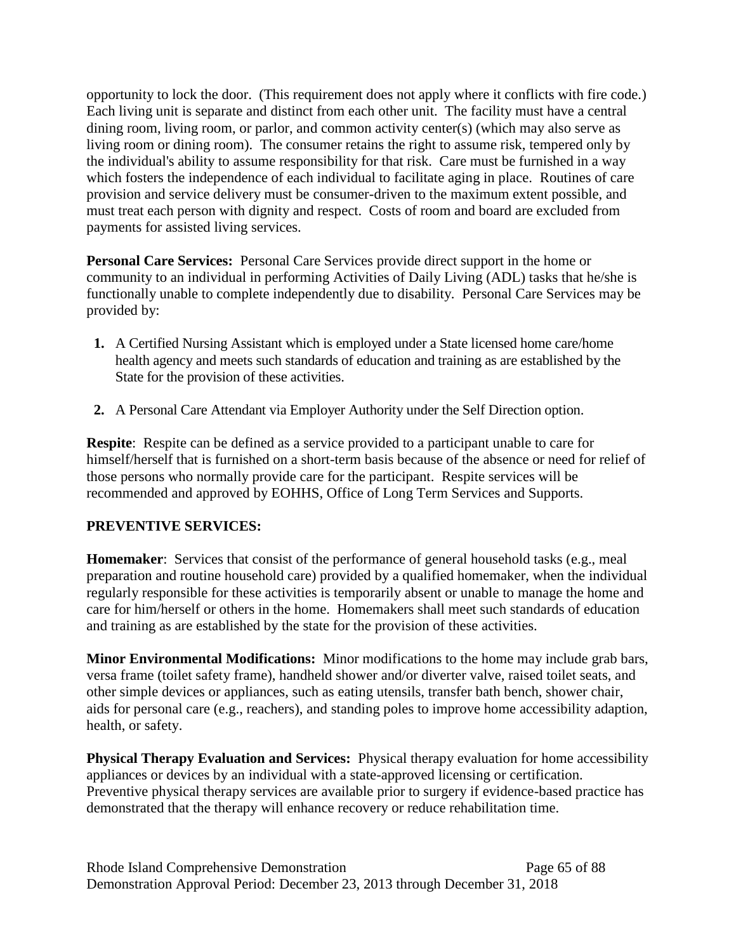opportunity to lock the door. (This requirement does not apply where it conflicts with fire code.) Each living unit is separate and distinct from each other unit. The facility must have a central dining room, living room, or parlor, and common activity center(s) (which may also serve as living room or dining room). The consumer retains the right to assume risk, tempered only by the individual's ability to assume responsibility for that risk. Care must be furnished in a way which fosters the independence of each individual to facilitate aging in place. Routines of care provision and service delivery must be consumer-driven to the maximum extent possible, and must treat each person with dignity and respect. Costs of room and board are excluded from payments for assisted living services.

**Personal Care Services:** Personal Care Services provide direct support in the home or community to an individual in performing Activities of Daily Living (ADL) tasks that he/she is functionally unable to complete independently due to disability. Personal Care Services may be provided by:

- **1.** A Certified Nursing Assistant which is employed under a State licensed home care/home health agency and meets such standards of education and training as are established by the State for the provision of these activities.
- **2.** A Personal Care Attendant via Employer Authority under the Self Direction option.

**Respite:** Respite can be defined as a service provided to a participant unable to care for himself/herself that is furnished on a short-term basis because of the absence or need for relief of those persons who normally provide care for the participant. Respite services will be recommended and approved by EOHHS, Office of Long Term Services and Supports.

## **PREVENTIVE SERVICES:**

**Homemaker**: Services that consist of the performance of general household tasks (e.g., meal preparation and routine household care) provided by a qualified homemaker, when the individual regularly responsible for these activities is temporarily absent or unable to manage the home and care for him/herself or others in the home. Homemakers shall meet such standards of education and training as are established by the state for the provision of these activities.

**Minor Environmental Modifications:** Minor modifications to the home may include grab bars, versa frame (toilet safety frame), handheld shower and/or diverter valve, raised toilet seats, and other simple devices or appliances, such as eating utensils, transfer bath bench, shower chair, aids for personal care (e.g., reachers), and standing poles to improve home accessibility adaption, health, or safety.

**Physical Therapy Evaluation and Services:** Physical therapy evaluation for home accessibility appliances or devices by an individual with a state-approved licensing or certification. Preventive physical therapy services are available prior to surgery if evidence-based practice has demonstrated that the therapy will enhance recovery or reduce rehabilitation time.

Rhode Island Comprehensive Demonstration Page 65 of 88 Demonstration Approval Period: December 23, 2013 through December 31, 2018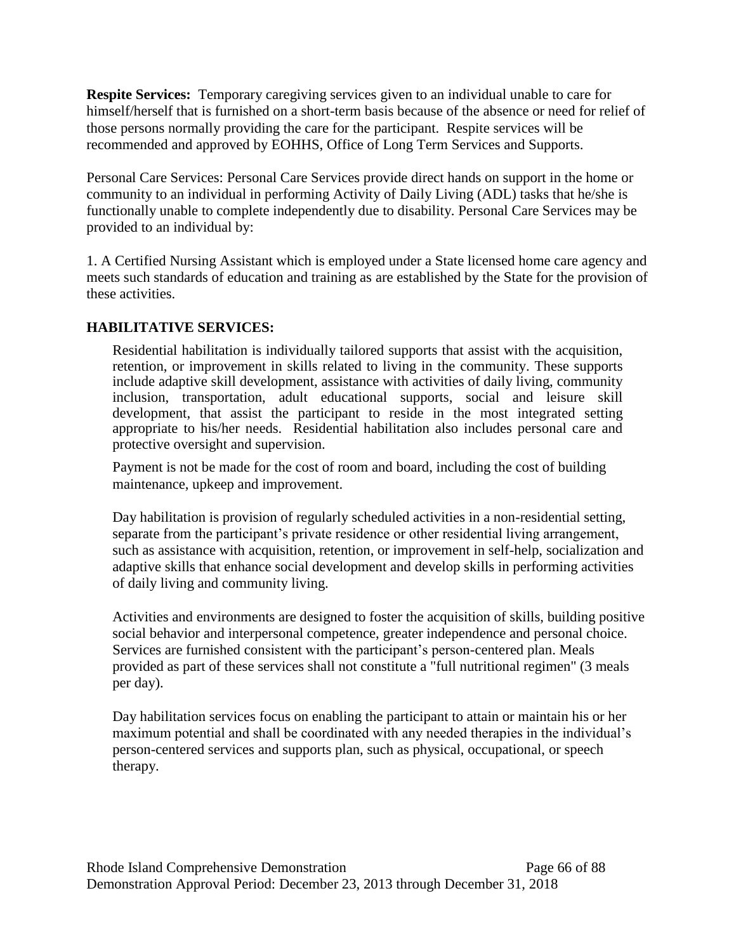**Respite Services:** Temporary caregiving services given to an individual unable to care for himself/herself that is furnished on a short-term basis because of the absence or need for relief of those persons normally providing the care for the participant. Respite services will be recommended and approved by EOHHS, Office of Long Term Services and Supports.

Personal Care Services: Personal Care Services provide direct hands on support in the home or community to an individual in performing Activity of Daily Living (ADL) tasks that he/she is functionally unable to complete independently due to disability. Personal Care Services may be provided to an individual by:

1. A Certified Nursing Assistant which is employed under a State licensed home care agency and meets such standards of education and training as are established by the State for the provision of these activities.

# **HABILITATIVE SERVICES:**

Residential habilitation is individually tailored supports that assist with the acquisition, retention, or improvement in skills related to living in the community. These supports include adaptive skill development, assistance with activities of daily living, community inclusion, transportation, adult educational supports, social and leisure skill development, that assist the participant to reside in the most integrated setting appropriate to his/her needs. Residential habilitation also includes personal care and protective oversight and supervision.

Payment is not be made for the cost of room and board, including the cost of building maintenance, upkeep and improvement.

Day habilitation is provision of regularly scheduled activities in a non-residential setting, separate from the participant's private residence or other residential living arrangement, such as assistance with acquisition, retention, or improvement in self-help, socialization and adaptive skills that enhance social development and develop skills in performing activities of daily living and community living.

Activities and environments are designed to foster the acquisition of skills, building positive social behavior and interpersonal competence, greater independence and personal choice. Services are furnished consistent with the participant's person-centered plan. Meals provided as part of these services shall not constitute a "full nutritional regimen" (3 meals per day).

Day habilitation services focus on enabling the participant to attain or maintain his or her maximum potential and shall be coordinated with any needed therapies in the individual's person-centered services and supports plan, such as physical, occupational, or speech therapy.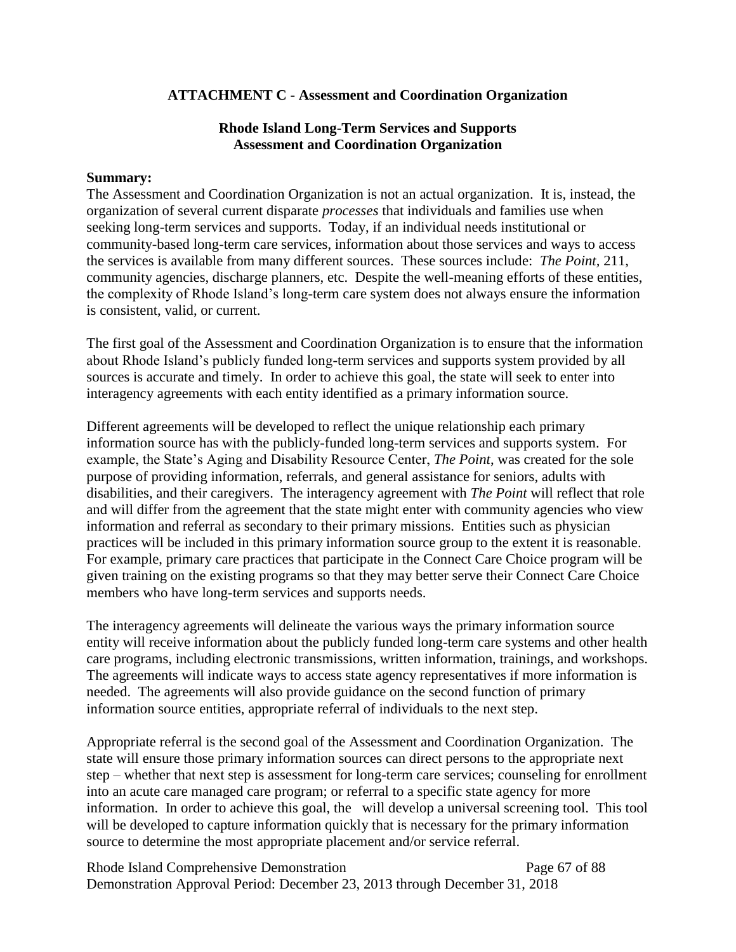### **ATTACHMENT C - Assessment and Coordination Organization**

### **Rhode Island Long-Term Services and Supports Assessment and Coordination Organization**

### **Summary:**

The Assessment and Coordination Organization is not an actual organization. It is, instead, the organization of several current disparate *processes* that individuals and families use when seeking long-term services and supports. Today, if an individual needs institutional or community-based long-term care services, information about those services and ways to access the services is available from many different sources. These sources include: *The Point,* 211, community agencies, discharge planners, etc. Despite the well-meaning efforts of these entities, the complexity of Rhode Island's long-term care system does not always ensure the information is consistent, valid, or current.

The first goal of the Assessment and Coordination Organization is to ensure that the information about Rhode Island's publicly funded long-term services and supports system provided by all sources is accurate and timely. In order to achieve this goal, the state will seek to enter into interagency agreements with each entity identified as a primary information source.

Different agreements will be developed to reflect the unique relationship each primary information source has with the publicly-funded long-term services and supports system. For example, the State's Aging and Disability Resource Center, *The Point*, was created for the sole purpose of providing information, referrals, and general assistance for seniors, adults with disabilities, and their caregivers. The interagency agreement with *The Point* will reflect that role and will differ from the agreement that the state might enter with community agencies who view information and referral as secondary to their primary missions. Entities such as physician practices will be included in this primary information source group to the extent it is reasonable. For example, primary care practices that participate in the Connect Care Choice program will be given training on the existing programs so that they may better serve their Connect Care Choice members who have long-term services and supports needs.

The interagency agreements will delineate the various ways the primary information source entity will receive information about the publicly funded long-term care systems and other health care programs, including electronic transmissions, written information, trainings, and workshops. The agreements will indicate ways to access state agency representatives if more information is needed. The agreements will also provide guidance on the second function of primary information source entities, appropriate referral of individuals to the next step.

Appropriate referral is the second goal of the Assessment and Coordination Organization. The state will ensure those primary information sources can direct persons to the appropriate next step – whether that next step is assessment for long-term care services; counseling for enrollment into an acute care managed care program; or referral to a specific state agency for more information. In order to achieve this goal, the will develop a universal screening tool. This tool will be developed to capture information quickly that is necessary for the primary information source to determine the most appropriate placement and/or service referral.

Rhode Island Comprehensive Demonstration Page 67 of 88 Demonstration Approval Period: December 23, 2013 through December 31, 2018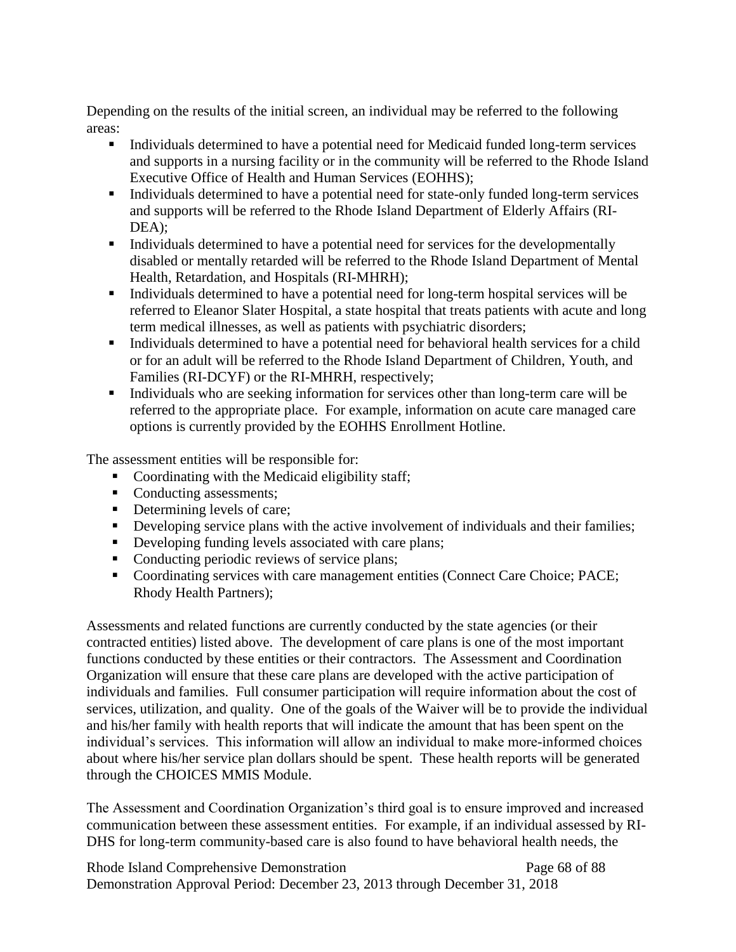Depending on the results of the initial screen, an individual may be referred to the following areas:

- **Individuals determined to have a potential need for Medicaid funded long-term services** and supports in a nursing facility or in the community will be referred to the Rhode Island Executive Office of Health and Human Services (EOHHS);
- Individuals determined to have a potential need for state-only funded long-term services and supports will be referred to the Rhode Island Department of Elderly Affairs (RI-DEA);
- Individuals determined to have a potential need for services for the developmentally disabled or mentally retarded will be referred to the Rhode Island Department of Mental Health, Retardation, and Hospitals (RI-MHRH);
- Individuals determined to have a potential need for long-term hospital services will be referred to Eleanor Slater Hospital, a state hospital that treats patients with acute and long term medical illnesses, as well as patients with psychiatric disorders;
- Individuals determined to have a potential need for behavioral health services for a child or for an adult will be referred to the Rhode Island Department of Children, Youth, and Families (RI-DCYF) or the RI-MHRH, respectively;
- Individuals who are seeking information for services other than long-term care will be referred to the appropriate place. For example, information on acute care managed care options is currently provided by the EOHHS Enrollment Hotline.

The assessment entities will be responsible for:

- Coordinating with the Medicaid eligibility staff;
- Conducting assessments;
- Determining levels of care;
- Developing service plans with the active involvement of individuals and their families;
- Developing funding levels associated with care plans;
- Conducting periodic reviews of service plans;
- Coordinating services with care management entities (Connect Care Choice; PACE; Rhody Health Partners);

Assessments and related functions are currently conducted by the state agencies (or their contracted entities) listed above. The development of care plans is one of the most important functions conducted by these entities or their contractors. The Assessment and Coordination Organization will ensure that these care plans are developed with the active participation of individuals and families. Full consumer participation will require information about the cost of services, utilization, and quality. One of the goals of the Waiver will be to provide the individual and his/her family with health reports that will indicate the amount that has been spent on the individual's services. This information will allow an individual to make more-informed choices about where his/her service plan dollars should be spent. These health reports will be generated through the CHOICES MMIS Module.

The Assessment and Coordination Organization's third goal is to ensure improved and increased communication between these assessment entities. For example, if an individual assessed by RI-DHS for long-term community-based care is also found to have behavioral health needs, the

Rhode Island Comprehensive Demonstration Page 68 of 88 Demonstration Approval Period: December 23, 2013 through December 31, 2018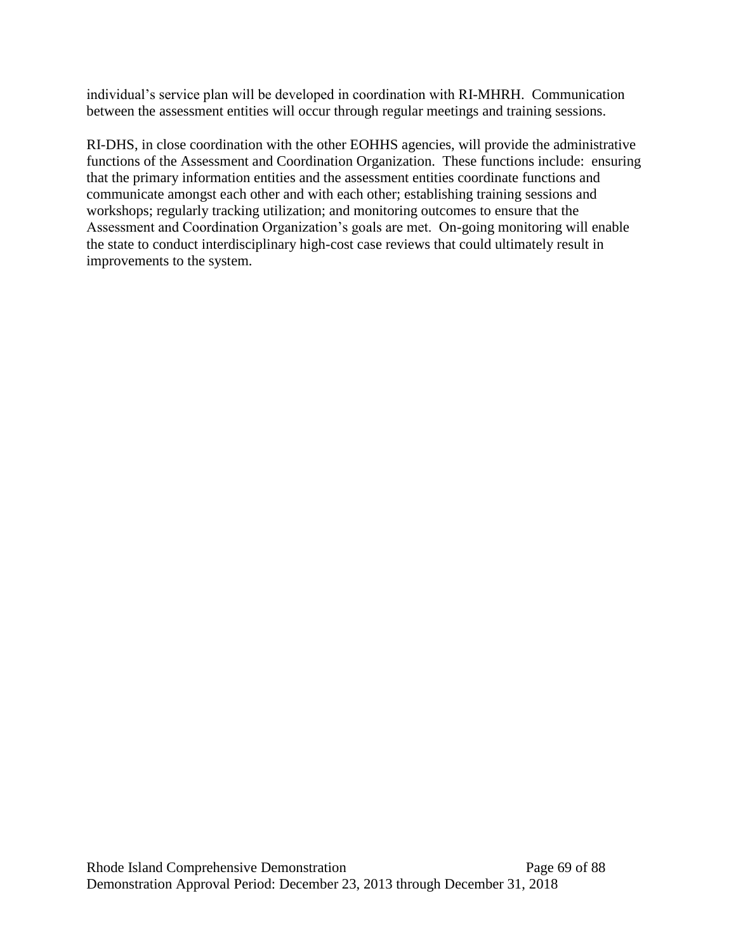individual's service plan will be developed in coordination with RI-MHRH. Communication between the assessment entities will occur through regular meetings and training sessions.

RI-DHS, in close coordination with the other EOHHS agencies, will provide the administrative functions of the Assessment and Coordination Organization. These functions include: ensuring that the primary information entities and the assessment entities coordinate functions and communicate amongst each other and with each other; establishing training sessions and workshops; regularly tracking utilization; and monitoring outcomes to ensure that the Assessment and Coordination Organization's goals are met. On-going monitoring will enable the state to conduct interdisciplinary high-cost case reviews that could ultimately result in improvements to the system.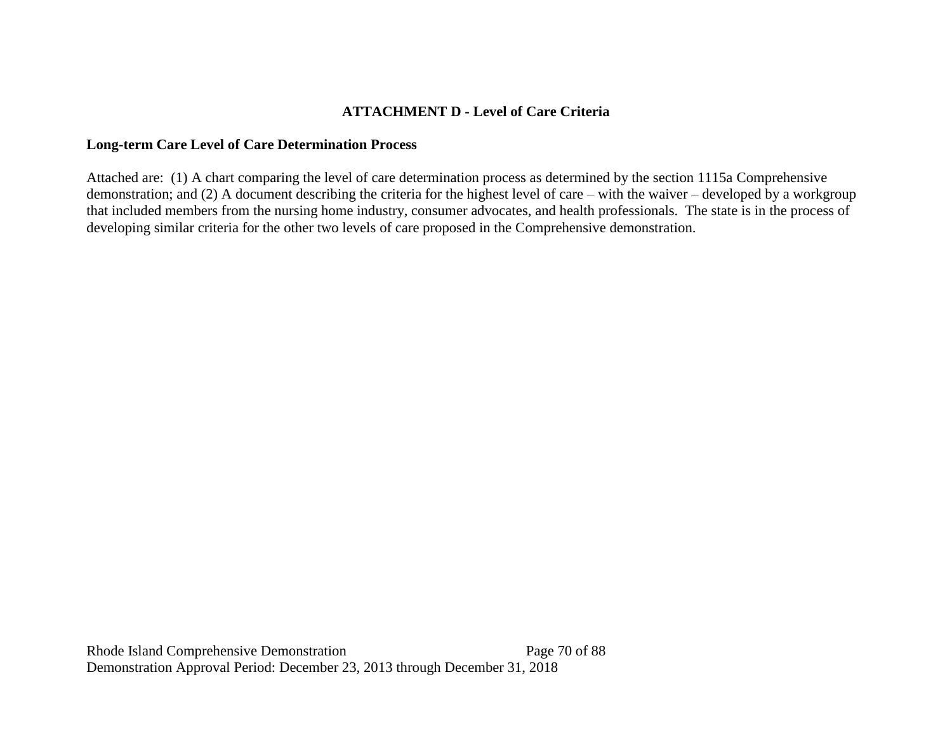# **ATTACHMENT D - Level of Care Criteria**

### **Long-term Care Level of Care Determination Process**

Attached are: (1) A chart comparing the level of care determination process as determined by the section 1115a Comprehensive demonstration; and (2) A document describing the criteria for the highest level of care – with the waiver – developed by a workgroup that included members from the nursing home industry, consumer advocates, and health professionals. The state is in the process of developing similar criteria for the other two levels of care proposed in the Comprehensive demonstration.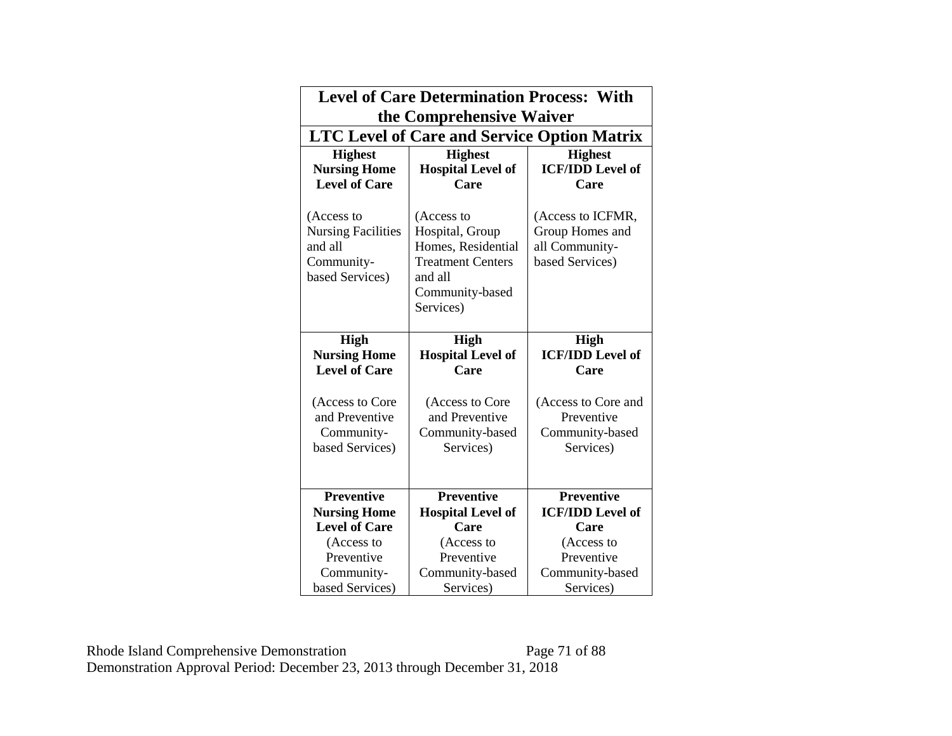| <b>Level of Care Determination Process: With</b>                                    |                                                                                                                            |                                                                           |  |  |
|-------------------------------------------------------------------------------------|----------------------------------------------------------------------------------------------------------------------------|---------------------------------------------------------------------------|--|--|
| the Comprehensive Waiver                                                            |                                                                                                                            |                                                                           |  |  |
| <b>LTC Level of Care and Service Option Matrix</b>                                  |                                                                                                                            |                                                                           |  |  |
| <b>Highest</b>                                                                      | <b>Highest</b>                                                                                                             | <b>Highest</b>                                                            |  |  |
| <b>Nursing Home</b>                                                                 | <b>Hospital Level of</b>                                                                                                   | <b>ICF/IDD Level of</b>                                                   |  |  |
| <b>Level of Care</b>                                                                | Care                                                                                                                       | Care                                                                      |  |  |
| (Access to<br><b>Nursing Facilities</b><br>and all<br>Community-<br>based Services) | (Access to<br>Hospital, Group<br>Homes, Residential<br><b>Treatment Centers</b><br>and all<br>Community-based<br>Services) | (Access to ICFMR,<br>Group Homes and<br>all Community-<br>based Services) |  |  |
| <b>High</b>                                                                         | <b>High</b>                                                                                                                | <b>High</b>                                                               |  |  |
| <b>Nursing Home</b>                                                                 | <b>Hospital Level of</b>                                                                                                   | <b>ICF/IDD Level of</b>                                                   |  |  |
| <b>Level of Care</b>                                                                | Care                                                                                                                       | Care                                                                      |  |  |
| (Access to Core<br>and Preventive<br>Community-<br>based Services)                  | (Access to Core<br>and Preventive<br>Community-based<br>Services)                                                          | (Access to Core and<br>Preventive<br>Community-based<br>Services)         |  |  |
| <b>Preventive</b>                                                                   | <b>Preventive</b>                                                                                                          | <b>Preventive</b>                                                         |  |  |
| <b>Nursing Home</b>                                                                 | <b>Hospital Level of</b>                                                                                                   | <b>ICF/IDD Level of</b>                                                   |  |  |
| <b>Level of Care</b>                                                                | Care                                                                                                                       | Care                                                                      |  |  |
| (Access to                                                                          | (Access to                                                                                                                 | (Access to                                                                |  |  |
| Preventive                                                                          | Preventive                                                                                                                 | Preventive                                                                |  |  |
| Community-                                                                          | Community-based                                                                                                            | Community-based                                                           |  |  |
| based Services)                                                                     | Services)                                                                                                                  | Services)                                                                 |  |  |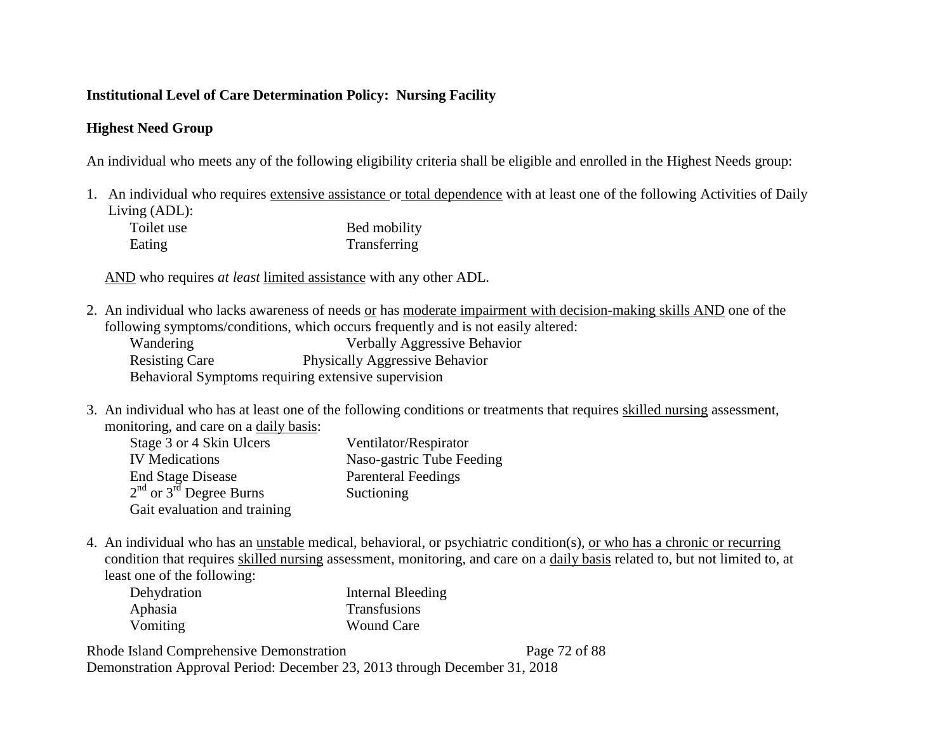## **Institutional Level of Care Determination Policy: Nursing Facility**

## **Highest Need Group**

An individual who meets any of the following eligibility criteria shall be eligible and enrolled in the Highest Needs group:

1. An individual who requires extensive assistance or total dependence with at least one of the following Activities of Daily Living (ADL):

| Toilet use | Bed mobility |
|------------|--------------|
| Eating     | Transferring |

AND who requires *at least* limited assistance with any other ADL.

- 2. An individual who lacks awareness of needs or has moderate impairment with decision-making skills AND one of the following symptoms/conditions, which occurs frequently and is not easily altered: Wandering Verbally Aggressive Behavior Resisting Care Physically Aggressive Behavior Behavioral Symptoms requiring extensive supervision
- 3. An individual who has at least one of the following conditions or treatments that requires skilled nursing assessment, monitoring, and care on a daily basis:

| Stage 3 or 4 Skin Ulcers     | Ventilator/Respirator      |
|------------------------------|----------------------------|
| <b>IV</b> Medications        | Naso-gastric Tube Feeding  |
| <b>End Stage Disease</b>     | <b>Parenteral Feedings</b> |
| $2nd$ or $3rd$ Degree Burns  | Suctioning                 |
| Gait evaluation and training |                            |

4. An individual who has an unstable medical, behavioral, or psychiatric condition(s), or who has a chronic or recurring condition that requires skilled nursing assessment, monitoring, and care on a daily basis related to, but not limited to, at least one of the following:

| Dehydration | Internal Bleeding |
|-------------|-------------------|
| Aphasia     | Transfusions      |
| Vomiting    | <b>Wound Care</b> |

Rhode Island Comprehensive Demonstration Page 72 of 88

Demonstration Approval Period: December 23, 2013 through December 31, 2018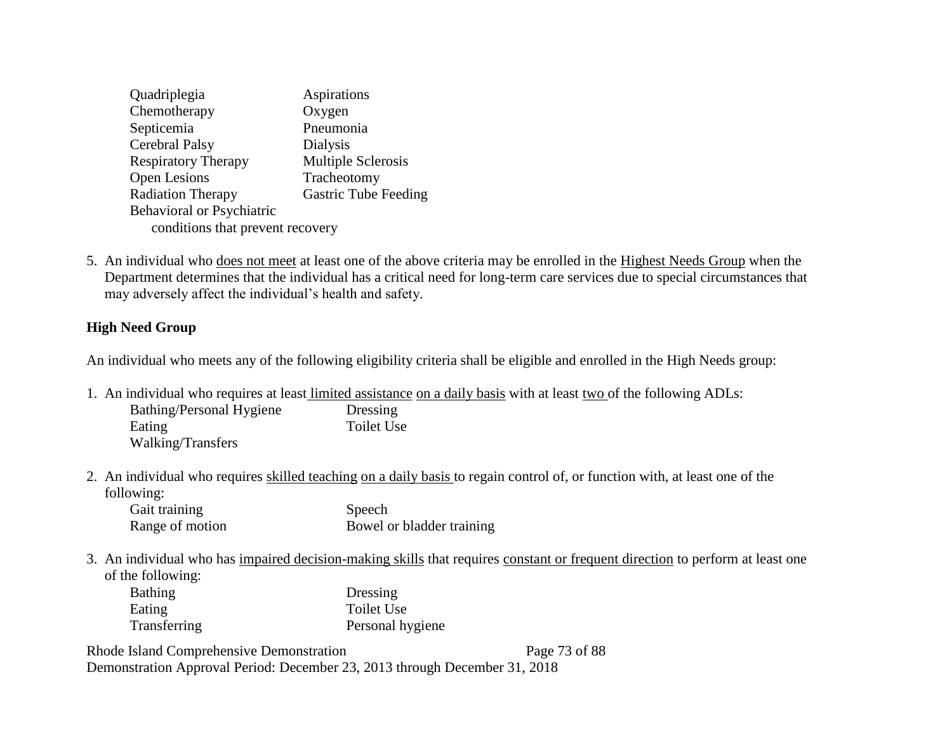| Quadriplegia                     | Aspirations                 |
|----------------------------------|-----------------------------|
| Chemotherapy                     | Oxygen                      |
| Septicemia                       | Pneumonia                   |
| Cerebral Palsy                   | Dialysis                    |
| <b>Respiratory Therapy</b>       | <b>Multiple Sclerosis</b>   |
| Open Lesions                     | Tracheotomy                 |
| <b>Radiation Therapy</b>         | <b>Gastric Tube Feeding</b> |
| <b>Behavioral or Psychiatric</b> |                             |
| conditions that prevent recovery |                             |
|                                  |                             |

5. An individual who does not meet at least one of the above criteria may be enrolled in the Highest Needs Group when the Department determines that the individual has a critical need for long-term care services due to special circumstances that may adversely affect the individual's health and safety.

#### **High Need Group**

An individual who meets any of the following eligibility criteria shall be eligible and enrolled in the High Needs group:

- 1. An individual who requires at least limited assistance on a daily basis with at least two of the following ADLs:
	- Bathing/Personal Hygiene Dressing Eating Toilet Use Walking/Transfers
- 2. An individual who requires skilled teaching on a daily basis to regain control of, or function with, at least one of the following:

| Gait training   | Speech                    |
|-----------------|---------------------------|
| Range of motion | Bowel or bladder training |

3. An individual who has impaired decision-making skills that requires constant or frequent direction to perform at least one of the following:

| <b>Bathing</b> | Dressing         |
|----------------|------------------|
| Eating         | Toilet Use       |
| Transferring   | Personal hygiene |

Rhode Island Comprehensive Demonstration Page 73 of 88

Demonstration Approval Period: December 23, 2013 through December 31, 2018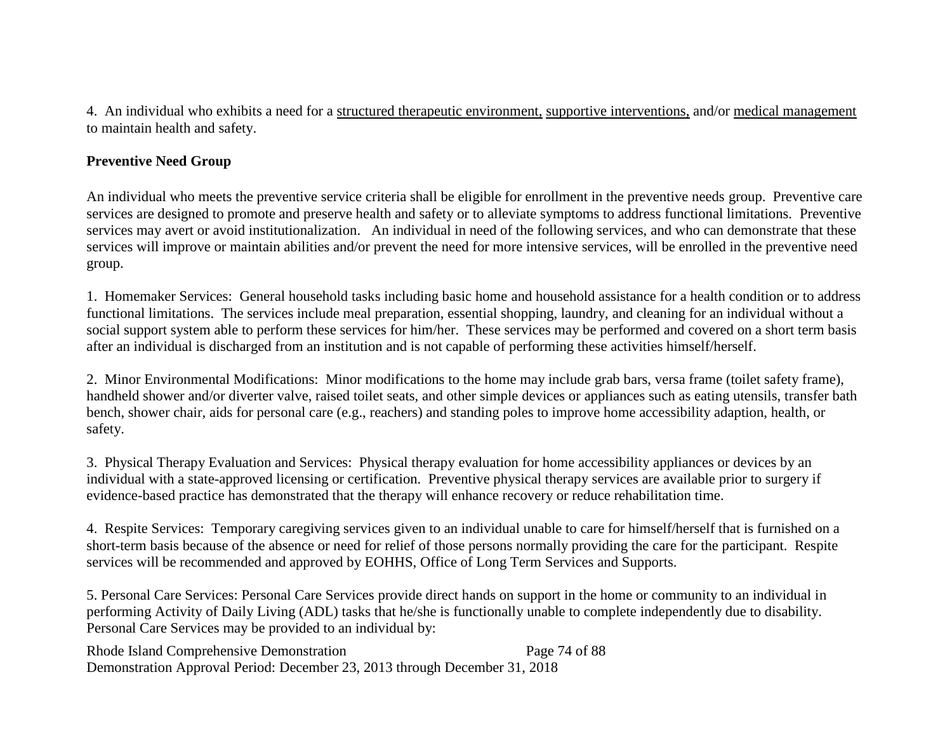4. An individual who exhibits a need for a structured therapeutic environment, supportive interventions, and/or medical management to maintain health and safety.

#### **Preventive Need Group**

An individual who meets the preventive service criteria shall be eligible for enrollment in the preventive needs group. Preventive care services are designed to promote and preserve health and safety or to alleviate symptoms to address functional limitations. Preventive services may avert or avoid institutionalization. An individual in need of the following services, and who can demonstrate that these services will improve or maintain abilities and/or prevent the need for more intensive services, will be enrolled in the preventive need group.

1. Homemaker Services: General household tasks including basic home and household assistance for a health condition or to address functional limitations. The services include meal preparation, essential shopping, laundry, and cleaning for an individual without a social support system able to perform these services for him/her. These services may be performed and covered on a short term basis after an individual is discharged from an institution and is not capable of performing these activities himself/herself.

2. Minor Environmental Modifications: Minor modifications to the home may include grab bars, versa frame (toilet safety frame), handheld shower and/or diverter valve, raised toilet seats, and other simple devices or appliances such as eating utensils, transfer bath bench, shower chair, aids for personal care (e.g., reachers) and standing poles to improve home accessibility adaption, health, or safety.

3. Physical Therapy Evaluation and Services: Physical therapy evaluation for home accessibility appliances or devices by an individual with a state-approved licensing or certification. Preventive physical therapy services are available prior to surgery if evidence-based practice has demonstrated that the therapy will enhance recovery or reduce rehabilitation time.

4. Respite Services: Temporary caregiving services given to an individual unable to care for himself/herself that is furnished on a short-term basis because of the absence or need for relief of those persons normally providing the care for the participant. Respite services will be recommended and approved by EOHHS, Office of Long Term Services and Supports.

5. Personal Care Services: Personal Care Services provide direct hands on support in the home or community to an individual in performing Activity of Daily Living (ADL) tasks that he/she is functionally unable to complete independently due to disability. Personal Care Services may be provided to an individual by:

Rhode Island Comprehensive Demonstration Page 74 of 88 Demonstration Approval Period: December 23, 2013 through December 31, 2018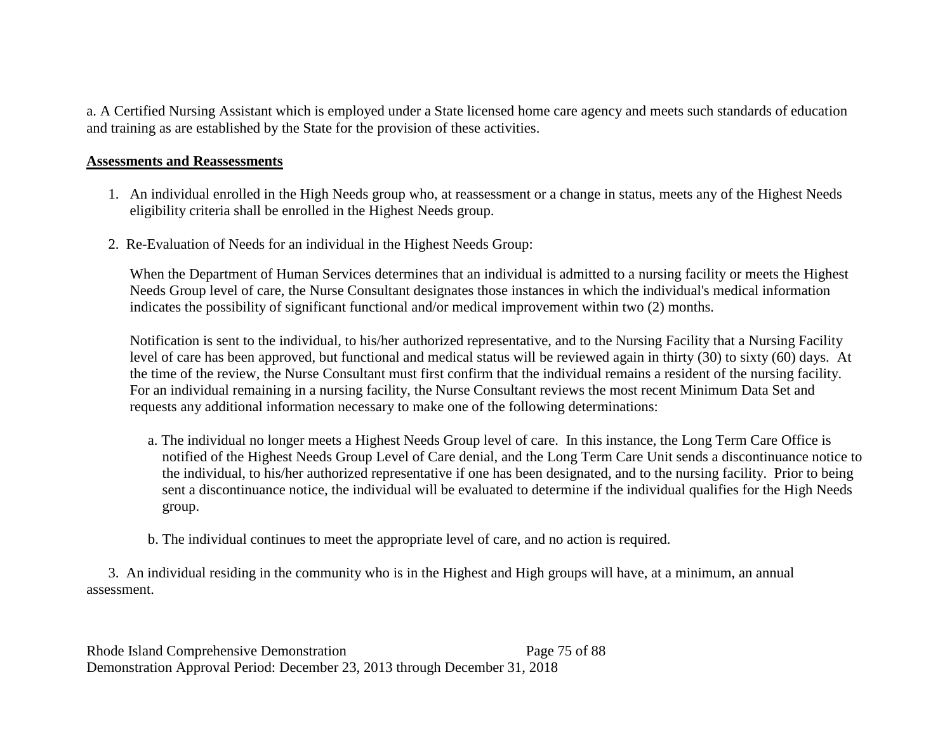a. A Certified Nursing Assistant which is employed under a State licensed home care agency and meets such standards of education and training as are established by the State for the provision of these activities.

#### **Assessments and Reassessments**

- 1. An individual enrolled in the High Needs group who, at reassessment or a change in status, meets any of the Highest Needs eligibility criteria shall be enrolled in the Highest Needs group.
- 2. Re-Evaluation of Needs for an individual in the Highest Needs Group:

When the Department of Human Services determines that an individual is admitted to a nursing facility or meets the Highest Needs Group level of care, the Nurse Consultant designates those instances in which the individual's medical information indicates the possibility of significant functional and/or medical improvement within two (2) months.

Notification is sent to the individual, to his/her authorized representative, and to the Nursing Facility that a Nursing Facility level of care has been approved, but functional and medical status will be reviewed again in thirty (30) to sixty (60) days. At the time of the review, the Nurse Consultant must first confirm that the individual remains a resident of the nursing facility. For an individual remaining in a nursing facility, the Nurse Consultant reviews the most recent Minimum Data Set and requests any additional information necessary to make one of the following determinations:

- a. The individual no longer meets a Highest Needs Group level of care. In this instance, the Long Term Care Office is notified of the Highest Needs Group Level of Care denial, and the Long Term Care Unit sends a discontinuance notice to the individual, to his/her authorized representative if one has been designated, and to the nursing facility. Prior to being sent a discontinuance notice, the individual will be evaluated to determine if the individual qualifies for the High Needs group.
- b. The individual continues to meet the appropriate level of care, and no action is required.

3. An individual residing in the community who is in the Highest and High groups will have, at a minimum, an annual assessment.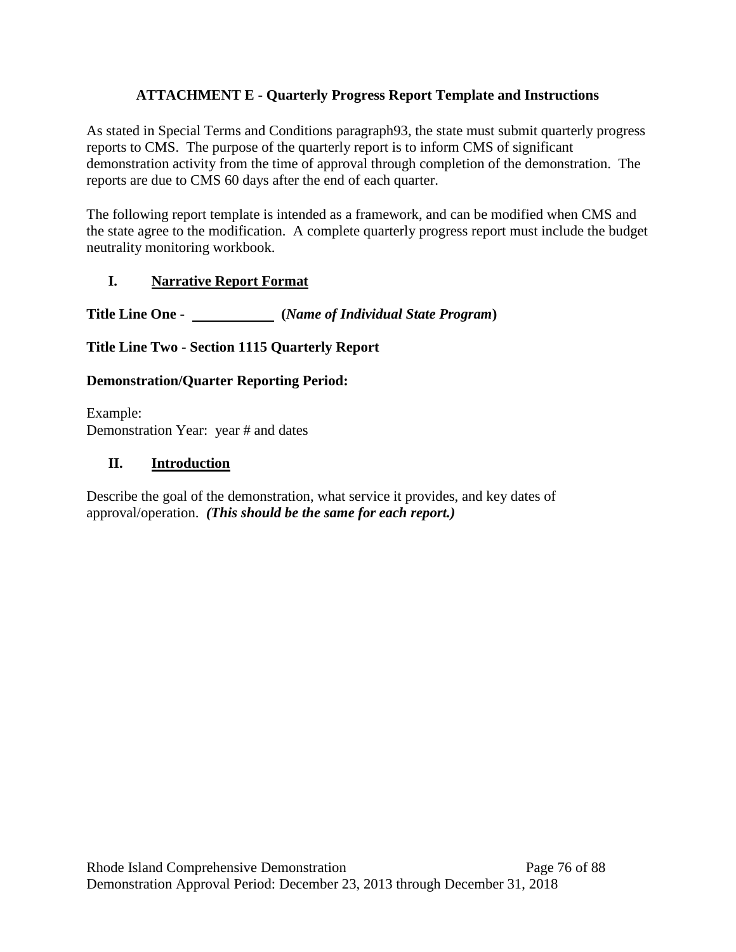### **ATTACHMENT E - Quarterly Progress Report Template and Instructions**

As stated in Special Terms and Conditions paragrap[h93,](#page-41-0) the state must submit quarterly progress reports to CMS. The purpose of the quarterly report is to inform CMS of significant demonstration activity from the time of approval through completion of the demonstration. The reports are due to CMS 60 days after the end of each quarter.

The following report template is intended as a framework, and can be modified when CMS and the state agree to the modification. A complete quarterly progress report must include the budget neutrality monitoring workbook.

#### **I. Narrative Report Format**

**Title Line One - (***Name of Individual State Program***)**

#### **Title Line Two - Section 1115 Quarterly Report**

#### **Demonstration/Quarter Reporting Period:**

Example: Demonstration Year: year # and dates

#### **II. Introduction**

Describe the goal of the demonstration, what service it provides, and key dates of approval/operation. *(This should be the same for each report.)*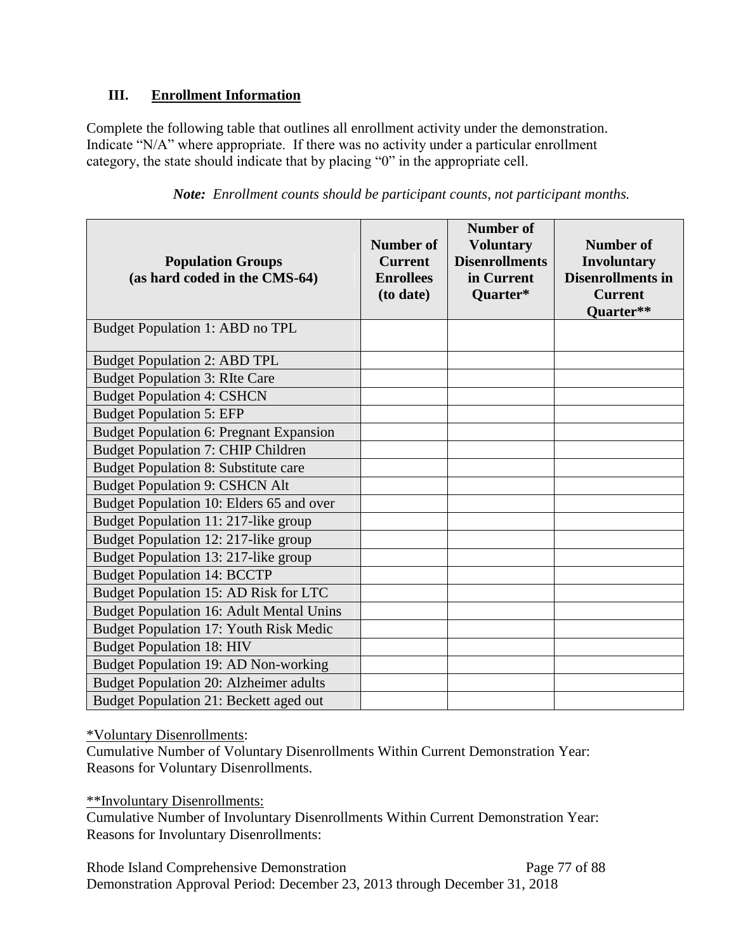#### **III. Enrollment Information**

Complete the following table that outlines all enrollment activity under the demonstration. Indicate "N/A" where appropriate. If there was no activity under a particular enrollment category, the state should indicate that by placing "0" in the appropriate cell.

| <b>Population Groups</b><br>(as hard coded in the CMS-64) | Number of<br><b>Current</b><br><b>Enrollees</b><br>(to date) | <b>Number of</b><br><b>Voluntary</b><br><b>Disenrollments</b><br>in Current<br>Quarter* | <b>Number of</b><br>Involuntary<br><b>Disenrollments in</b><br><b>Current</b><br>Quarter** |
|-----------------------------------------------------------|--------------------------------------------------------------|-----------------------------------------------------------------------------------------|--------------------------------------------------------------------------------------------|
| Budget Population 1: ABD no TPL                           |                                                              |                                                                                         |                                                                                            |
| <b>Budget Population 2: ABD TPL</b>                       |                                                              |                                                                                         |                                                                                            |
| <b>Budget Population 3: RIte Care</b>                     |                                                              |                                                                                         |                                                                                            |
| <b>Budget Population 4: CSHCN</b>                         |                                                              |                                                                                         |                                                                                            |
| <b>Budget Population 5: EFP</b>                           |                                                              |                                                                                         |                                                                                            |
| <b>Budget Population 6: Pregnant Expansion</b>            |                                                              |                                                                                         |                                                                                            |
| <b>Budget Population 7: CHIP Children</b>                 |                                                              |                                                                                         |                                                                                            |
| <b>Budget Population 8: Substitute care</b>               |                                                              |                                                                                         |                                                                                            |
| <b>Budget Population 9: CSHCN Alt</b>                     |                                                              |                                                                                         |                                                                                            |
| Budget Population 10: Elders 65 and over                  |                                                              |                                                                                         |                                                                                            |
| Budget Population 11: 217-like group                      |                                                              |                                                                                         |                                                                                            |
| Budget Population 12: 217-like group                      |                                                              |                                                                                         |                                                                                            |
| Budget Population 13: 217-like group                      |                                                              |                                                                                         |                                                                                            |
| <b>Budget Population 14: BCCTP</b>                        |                                                              |                                                                                         |                                                                                            |
| Budget Population 15: AD Risk for LTC                     |                                                              |                                                                                         |                                                                                            |
| <b>Budget Population 16: Adult Mental Unins</b>           |                                                              |                                                                                         |                                                                                            |
| Budget Population 17: Youth Risk Medic                    |                                                              |                                                                                         |                                                                                            |
| <b>Budget Population 18: HIV</b>                          |                                                              |                                                                                         |                                                                                            |
| Budget Population 19: AD Non-working                      |                                                              |                                                                                         |                                                                                            |
| <b>Budget Population 20: Alzheimer adults</b>             |                                                              |                                                                                         |                                                                                            |
| Budget Population 21: Beckett aged out                    |                                                              |                                                                                         |                                                                                            |

 *Note: Enrollment counts should be participant counts, not participant months.*

\*Voluntary Disenrollments:

Cumulative Number of Voluntary Disenrollments Within Current Demonstration Year: Reasons for Voluntary Disenrollments.

\*\*Involuntary Disenrollments:

Cumulative Number of Involuntary Disenrollments Within Current Demonstration Year: Reasons for Involuntary Disenrollments:

Rhode Island Comprehensive Demonstration Page 77 of 88 Demonstration Approval Period: December 23, 2013 through December 31, 2018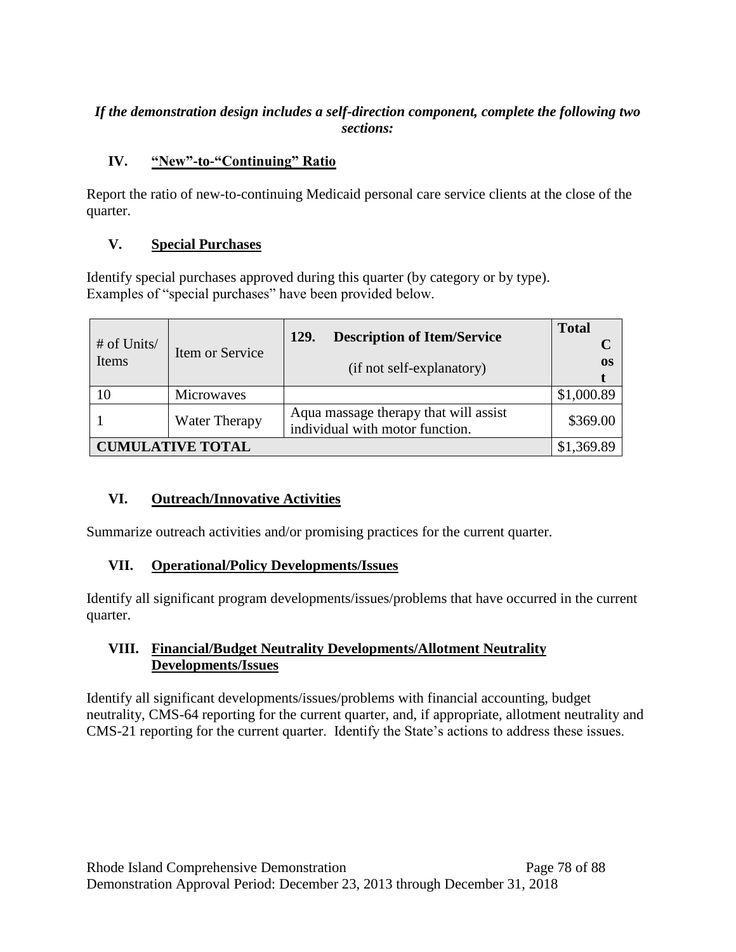#### *If the demonstration design includes a self-direction component, complete the following two sections:*

## **IV. "New"-to-"Continuing" Ratio**

Report the ratio of new-to-continuing Medicaid personal care service clients at the close of the quarter.

# **V. Special Purchases**

Identify special purchases approved during this quarter (by category or by type). Examples of "special purchases" have been provided below.

|             |                         | <b>Description of Item/Service</b><br>129.                               | <b>Total</b> |
|-------------|-------------------------|--------------------------------------------------------------------------|--------------|
| # of Units/ | Item or Service         |                                                                          |              |
| Items       |                         | (if not self-explanatory)                                                | 0S           |
|             |                         |                                                                          |              |
| 10          | Microwaves              |                                                                          | \$1,000.89   |
|             | <b>Water Therapy</b>    | Aqua massage therapy that will assist<br>individual with motor function. | \$369.00     |
|             | <b>CUMULATIVE TOTAL</b> |                                                                          | \$1,369.89   |

### **VI. Outreach/Innovative Activities**

Summarize outreach activities and/or promising practices for the current quarter.

### **VII. Operational/Policy Developments/Issues**

Identify all significant program developments/issues/problems that have occurred in the current quarter.

### **VIII. Financial/Budget Neutrality Developments/Allotment Neutrality Developments/Issues**

Identify all significant developments/issues/problems with financial accounting, budget neutrality, CMS-64 reporting for the current quarter, and, if appropriate, allotment neutrality and CMS-21 reporting for the current quarter. Identify the State's actions to address these issues.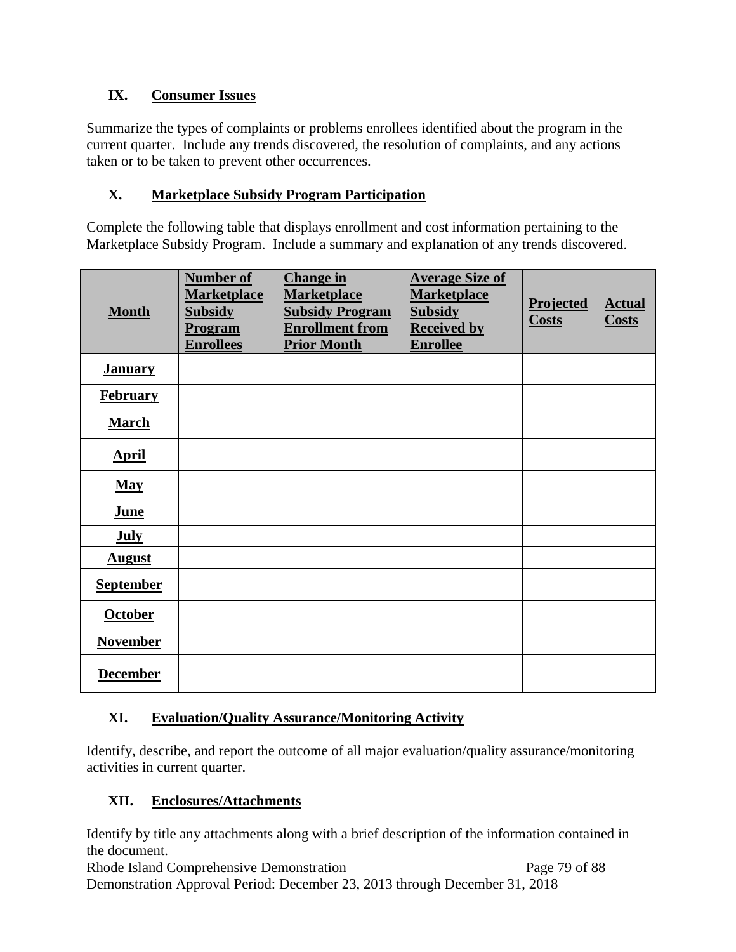### **IX. Consumer Issues**

Summarize the types of complaints or problems enrollees identified about the program in the current quarter. Include any trends discovered, the resolution of complaints, and any actions taken or to be taken to prevent other occurrences.

### **X. Marketplace Subsidy Program Participation**

Complete the following table that displays enrollment and cost information pertaining to the Marketplace Subsidy Program. Include a summary and explanation of any trends discovered.

| <b>Month</b>     | <b>Number of</b><br><b>Marketplace</b><br><b>Subsidy</b><br>Program<br><b>Enrollees</b> | <b>Change</b> in<br><b>Marketplace</b><br><b>Subsidy Program</b><br><b>Enrollment from</b><br><b>Prior Month</b> | <b>Average Size of</b><br><b>Marketplace</b><br><b>Subsidy</b><br><b>Received by</b><br><b>Enrollee</b> | Projected<br><b>Costs</b> | <b>Actual</b><br><b>Costs</b> |
|------------------|-----------------------------------------------------------------------------------------|------------------------------------------------------------------------------------------------------------------|---------------------------------------------------------------------------------------------------------|---------------------------|-------------------------------|
| <b>January</b>   |                                                                                         |                                                                                                                  |                                                                                                         |                           |                               |
| <b>February</b>  |                                                                                         |                                                                                                                  |                                                                                                         |                           |                               |
| <b>March</b>     |                                                                                         |                                                                                                                  |                                                                                                         |                           |                               |
| <b>April</b>     |                                                                                         |                                                                                                                  |                                                                                                         |                           |                               |
| <b>May</b>       |                                                                                         |                                                                                                                  |                                                                                                         |                           |                               |
| June             |                                                                                         |                                                                                                                  |                                                                                                         |                           |                               |
| <b>July</b>      |                                                                                         |                                                                                                                  |                                                                                                         |                           |                               |
| <b>August</b>    |                                                                                         |                                                                                                                  |                                                                                                         |                           |                               |
| <b>September</b> |                                                                                         |                                                                                                                  |                                                                                                         |                           |                               |
| <b>October</b>   |                                                                                         |                                                                                                                  |                                                                                                         |                           |                               |
| <b>November</b>  |                                                                                         |                                                                                                                  |                                                                                                         |                           |                               |
| <b>December</b>  |                                                                                         |                                                                                                                  |                                                                                                         |                           |                               |

# **XI. Evaluation/Quality Assurance/Monitoring Activity**

Identify, describe, and report the outcome of all major evaluation/quality assurance/monitoring activities in current quarter.

### **XII. Enclosures/Attachments**

Identify by title any attachments along with a brief description of the information contained in the document.

Rhode Island Comprehensive Demonstration Page 79 of 88 Demonstration Approval Period: December 23, 2013 through December 31, 2018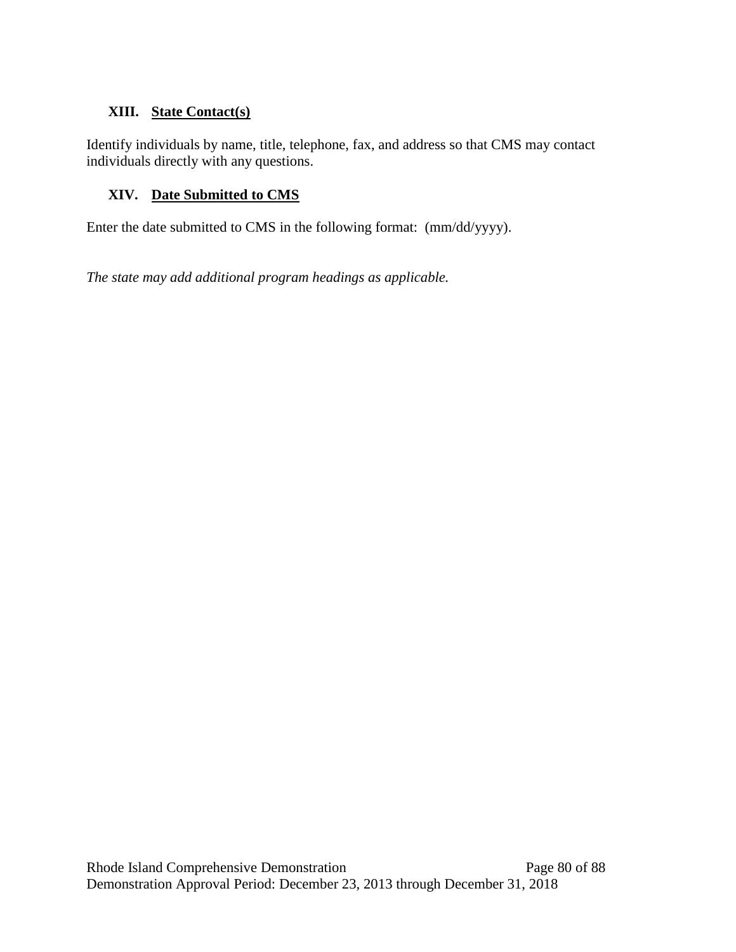#### **XIII. State Contact(s)**

Identify individuals by name, title, telephone, fax, and address so that CMS may contact individuals directly with any questions.

#### **XIV. Date Submitted to CMS**

Enter the date submitted to CMS in the following format: (mm/dd/yyyy).

*The state may add additional program headings as applicable.*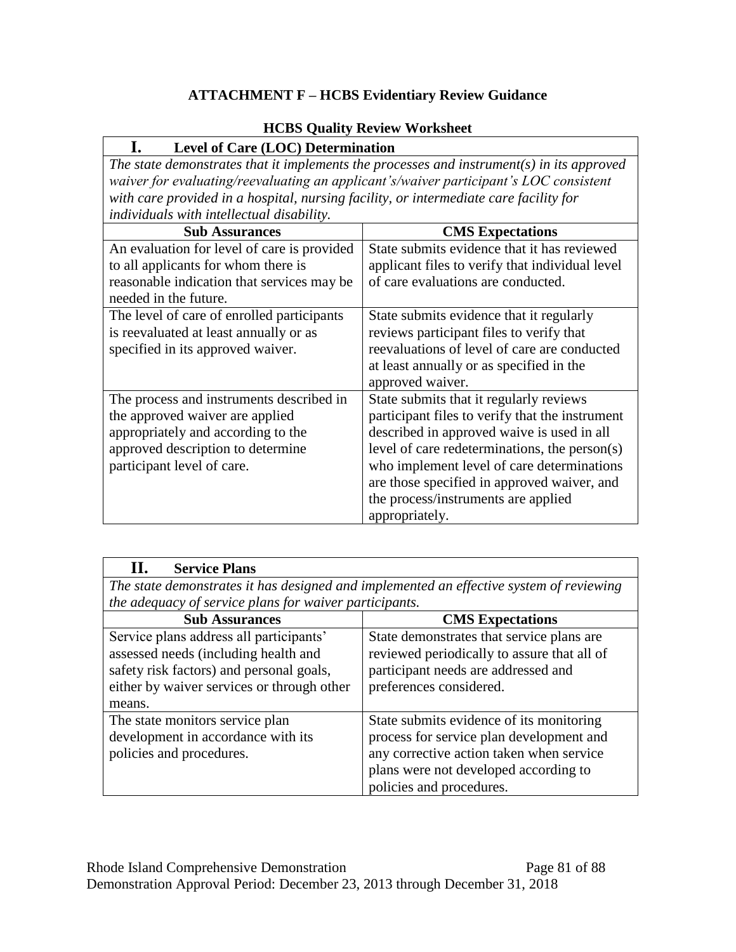# **ATTACHMENT F – HCBS Evidentiary Review Guidance**

### **HCBS Quality Review Worksheet**

| Ι.<br><b>Level of Care (LOC) Determination</b>                                            |                                                 |
|-------------------------------------------------------------------------------------------|-------------------------------------------------|
| The state demonstrates that it implements the processes and instrument(s) in its approved |                                                 |
| waiver for evaluating/reevaluating an applicant's/waiver participant's LOC consistent     |                                                 |
| with care provided in a hospital, nursing facility, or intermediate care facility for     |                                                 |
| individuals with intellectual disability.                                                 |                                                 |
| <b>Sub Assurances</b>                                                                     | <b>CMS</b> Expectations                         |
| An evaluation for level of care is provided                                               | State submits evidence that it has reviewed     |
| to all applicants for whom there is                                                       | applicant files to verify that individual level |
| reasonable indication that services may be                                                | of care evaluations are conducted.              |
| needed in the future.                                                                     |                                                 |
| The level of care of enrolled participants                                                | State submits evidence that it regularly        |
| is reevaluated at least annually or as                                                    | reviews participant files to verify that        |
| specified in its approved waiver.                                                         | reevaluations of level of care are conducted    |
|                                                                                           | at least annually or as specified in the        |
|                                                                                           | approved waiver.                                |
| The process and instruments described in                                                  | State submits that it regularly reviews         |
| the approved waiver are applied                                                           | participant files to verify that the instrument |
| appropriately and according to the                                                        | described in approved waive is used in all      |
| approved description to determine                                                         | level of care redeterminations, the person(s)   |
| participant level of care.                                                                | who implement level of care determinations      |
|                                                                                           | are those specified in approved waiver, and     |
|                                                                                           | the process/instruments are applied             |
|                                                                                           | appropriately.                                  |

| H.<br><b>Service Plans</b>                                                                                                                                                          |                                                                                                                                                                                                       |
|-------------------------------------------------------------------------------------------------------------------------------------------------------------------------------------|-------------------------------------------------------------------------------------------------------------------------------------------------------------------------------------------------------|
| The state demonstrates it has designed and implemented an effective system of reviewing                                                                                             |                                                                                                                                                                                                       |
| the adequacy of service plans for waiver participants.                                                                                                                              |                                                                                                                                                                                                       |
| <b>Sub Assurances</b>                                                                                                                                                               | <b>CMS</b> Expectations                                                                                                                                                                               |
| Service plans address all participants'<br>assessed needs (including health and<br>safety risk factors) and personal goals,<br>either by waiver services or through other<br>means. | State demonstrates that service plans are<br>reviewed periodically to assure that all of<br>participant needs are addressed and<br>preferences considered.                                            |
| The state monitors service plan<br>development in accordance with its<br>policies and procedures.                                                                                   | State submits evidence of its monitoring<br>process for service plan development and<br>any corrective action taken when service<br>plans were not developed according to<br>policies and procedures. |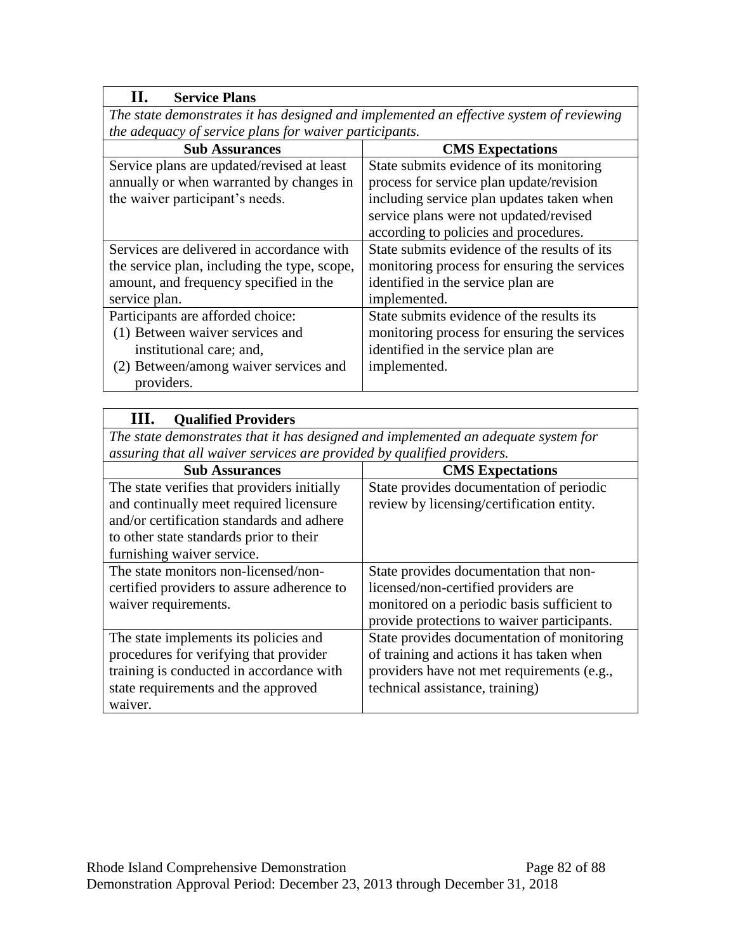|  | <b>Service Plans</b> |
|--|----------------------|
|--|----------------------|

*The state demonstrates it has designed and implemented an effective system of reviewing the adequacy of service plans for waiver participants.*

| <b>Sub Assurances</b>                        | <b>CMS</b> Expectations                      |  |
|----------------------------------------------|----------------------------------------------|--|
| Service plans are updated/revised at least   | State submits evidence of its monitoring     |  |
| annually or when warranted by changes in     | process for service plan update/revision     |  |
| the waiver participant's needs.              | including service plan updates taken when    |  |
|                                              | service plans were not updated/revised       |  |
|                                              | according to policies and procedures.        |  |
| Services are delivered in accordance with    | State submits evidence of the results of its |  |
| the service plan, including the type, scope, | monitoring process for ensuring the services |  |
| amount, and frequency specified in the       | identified in the service plan are           |  |
| service plan.                                | implemented.                                 |  |
| Participants are afforded choice:            | State submits evidence of the results its    |  |
| (1) Between waiver services and              | monitoring process for ensuring the services |  |
| institutional care; and,                     | identified in the service plan are           |  |
| (2) Between/among waiver services and        | implemented.                                 |  |
| providers.                                   |                                              |  |

# **III. Qualified Providers**

*The state demonstrates that it has designed and implemented an adequate system for assuring that all waiver services are provided by qualified providers.*

| assai ing man an manor sorrices are proviaca by quanjica proviacis. |                                             |  |
|---------------------------------------------------------------------|---------------------------------------------|--|
| <b>Sub Assurances</b>                                               | <b>CMS</b> Expectations                     |  |
| The state verifies that providers initially                         | State provides documentation of periodic    |  |
| and continually meet required licensure                             | review by licensing/certification entity.   |  |
| and/or certification standards and adhere                           |                                             |  |
| to other state standards prior to their                             |                                             |  |
| furnishing waiver service.                                          |                                             |  |
| The state monitors non-licensed/non-                                | State provides documentation that non-      |  |
| certified providers to assure adherence to                          | licensed/non-certified providers are        |  |
| waiver requirements.                                                | monitored on a periodic basis sufficient to |  |
|                                                                     | provide protections to waiver participants. |  |
| The state implements its policies and                               | State provides documentation of monitoring  |  |
| procedures for verifying that provider                              | of training and actions it has taken when   |  |
| training is conducted in accordance with                            | providers have not met requirements (e.g.,  |  |
| state requirements and the approved                                 | technical assistance, training)             |  |
| waiver.                                                             |                                             |  |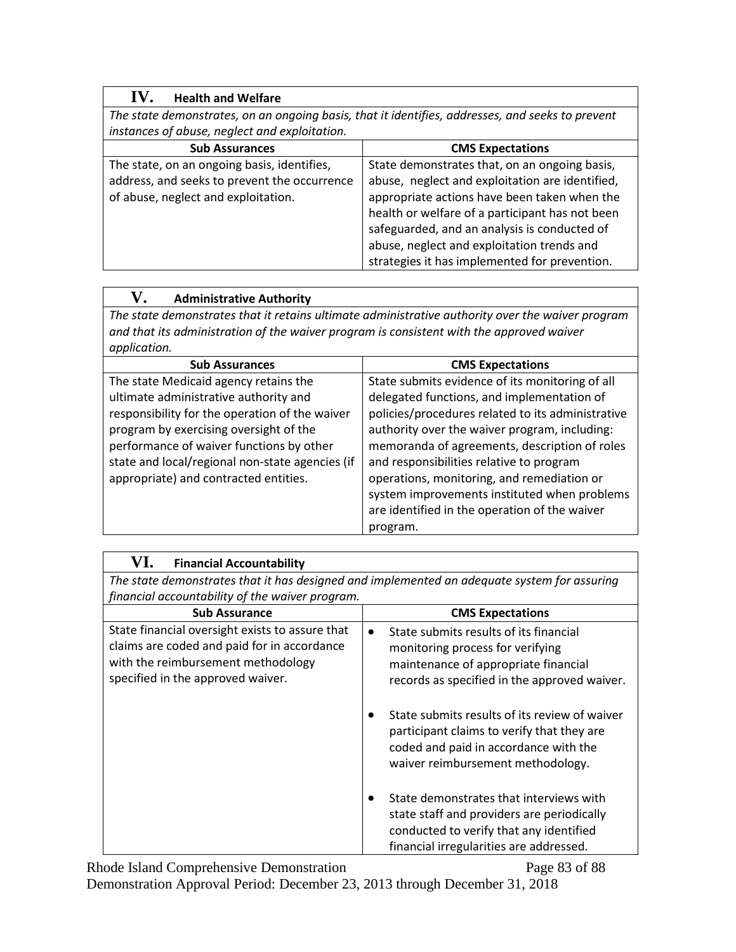# **IV. Health and Welfare**

*The state demonstrates, on an ongoing basis, that it identifies, addresses, and seeks to prevent instances of abuse, neglect and exploitation.*

| <b>Sub Assurances</b>                        | <b>CMS Expectations</b>                         |
|----------------------------------------------|-------------------------------------------------|
| The state, on an ongoing basis, identifies,  | State demonstrates that, on an ongoing basis,   |
| address, and seeks to prevent the occurrence | abuse, neglect and exploitation are identified, |
| of abuse, neglect and exploitation.          | appropriate actions have been taken when the    |
|                                              | health or welfare of a participant has not been |
|                                              | safeguarded, and an analysis is conducted of    |
|                                              | abuse, neglect and exploitation trends and      |
|                                              | strategies it has implemented for prevention.   |

#### **V. Administrative Authority**

*The state demonstrates that it retains ultimate administrative authority over the waiver program and that its administration of the waiver program is consistent with the approved waiver application.*

| <b>Sub Assurances</b>                           | <b>CMS Expectations</b>                           |  |  |  |
|-------------------------------------------------|---------------------------------------------------|--|--|--|
| The state Medicaid agency retains the           | State submits evidence of its monitoring of all   |  |  |  |
| ultimate administrative authority and           | delegated functions, and implementation of        |  |  |  |
| responsibility for the operation of the waiver  | policies/procedures related to its administrative |  |  |  |
| program by exercising oversight of the          | authority over the waiver program, including:     |  |  |  |
| performance of waiver functions by other        | memoranda of agreements, description of roles     |  |  |  |
| state and local/regional non-state agencies (if | and responsibilities relative to program          |  |  |  |
| appropriate) and contracted entities.           | operations, monitoring, and remediation or        |  |  |  |
|                                                 | system improvements instituted when problems      |  |  |  |
|                                                 | are identified in the operation of the waiver     |  |  |  |
|                                                 | program.                                          |  |  |  |

| <b>Financial Accountability</b>                 |                                                                                             |  |  |
|-------------------------------------------------|---------------------------------------------------------------------------------------------|--|--|
|                                                 | The state demonstrates that it has designed and implemented an adequate system for assuring |  |  |
| financial accountability of the waiver program. |                                                                                             |  |  |
|                                                 |                                                                                             |  |  |

| <b>Sub Assurance</b>                                                                                                                                                      | <b>CMS Expectations</b>                                                                                                                                                          |  |  |  |
|---------------------------------------------------------------------------------------------------------------------------------------------------------------------------|----------------------------------------------------------------------------------------------------------------------------------------------------------------------------------|--|--|--|
| State financial oversight exists to assure that<br>claims are coded and paid for in accordance<br>with the reimbursement methodology<br>specified in the approved waiver. | State submits results of its financial<br>$\bullet$<br>monitoring process for verifying<br>maintenance of appropriate financial<br>records as specified in the approved waiver.  |  |  |  |
|                                                                                                                                                                           | State submits results of its review of waiver<br>participant claims to verify that they are<br>coded and paid in accordance with the<br>waiver reimbursement methodology.        |  |  |  |
|                                                                                                                                                                           | State demonstrates that interviews with<br>٠<br>state staff and providers are periodically<br>conducted to verify that any identified<br>financial irregularities are addressed. |  |  |  |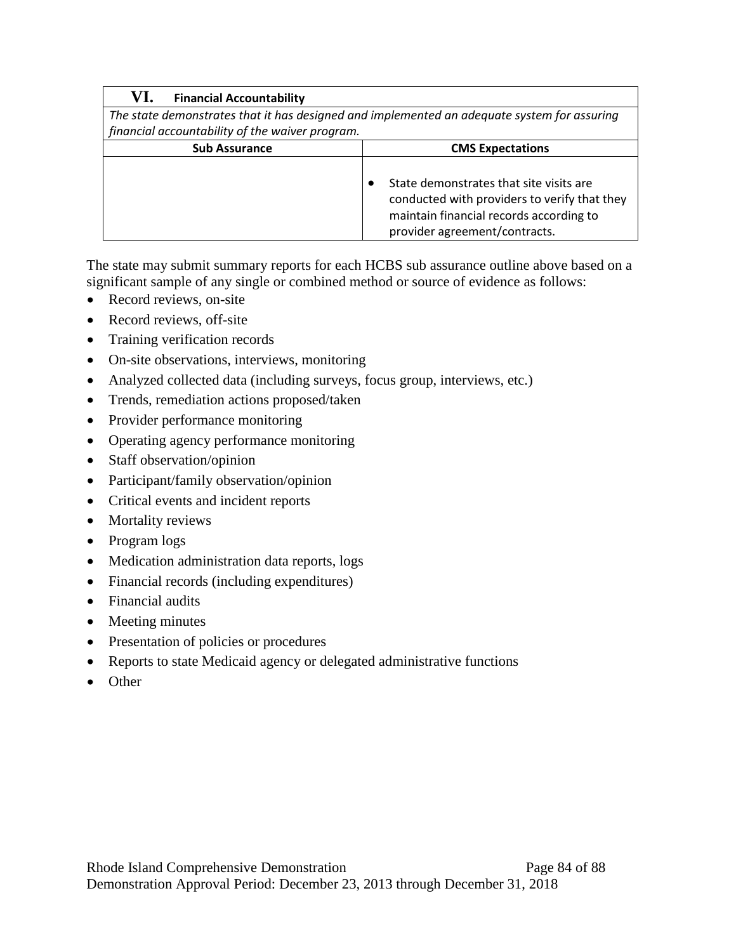| VI.<br><b>Financial Accountability</b>                                                      |                                                                                                                                                                     |  |  |  |
|---------------------------------------------------------------------------------------------|---------------------------------------------------------------------------------------------------------------------------------------------------------------------|--|--|--|
| The state demonstrates that it has designed and implemented an adequate system for assuring |                                                                                                                                                                     |  |  |  |
| financial accountability of the waiver program.                                             |                                                                                                                                                                     |  |  |  |
| <b>Sub Assurance</b>                                                                        | <b>CMS Expectations</b>                                                                                                                                             |  |  |  |
|                                                                                             | State demonstrates that site visits are<br>conducted with providers to verify that they<br>maintain financial records according to<br>provider agreement/contracts. |  |  |  |

The state may submit summary reports for each HCBS sub assurance outline above based on a significant sample of any single or combined method or source of evidence as follows:

- Record reviews, on-site
- Record reviews, off-site
- Training verification records
- On-site observations, interviews, monitoring
- Analyzed collected data (including surveys, focus group, interviews, etc.)
- Trends, remediation actions proposed/taken
- Provider performance monitoring
- Operating agency performance monitoring
- Staff observation/opinion
- Participant/family observation/opinion
- Critical events and incident reports
- Mortality reviews
- Program logs
- Medication administration data reports, logs
- Financial records (including expenditures)
- Financial audits
- Meeting minutes
- Presentation of policies or procedures
- Reports to state Medicaid agency or delegated administrative functions
- Other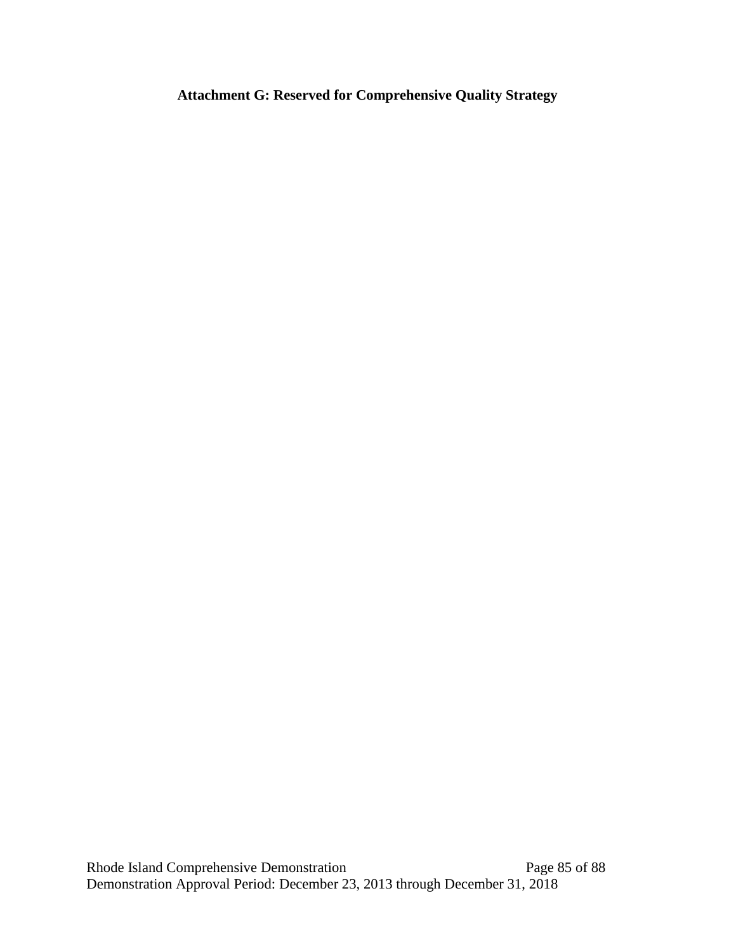# **Attachment G: Reserved for Comprehensive Quality Strategy**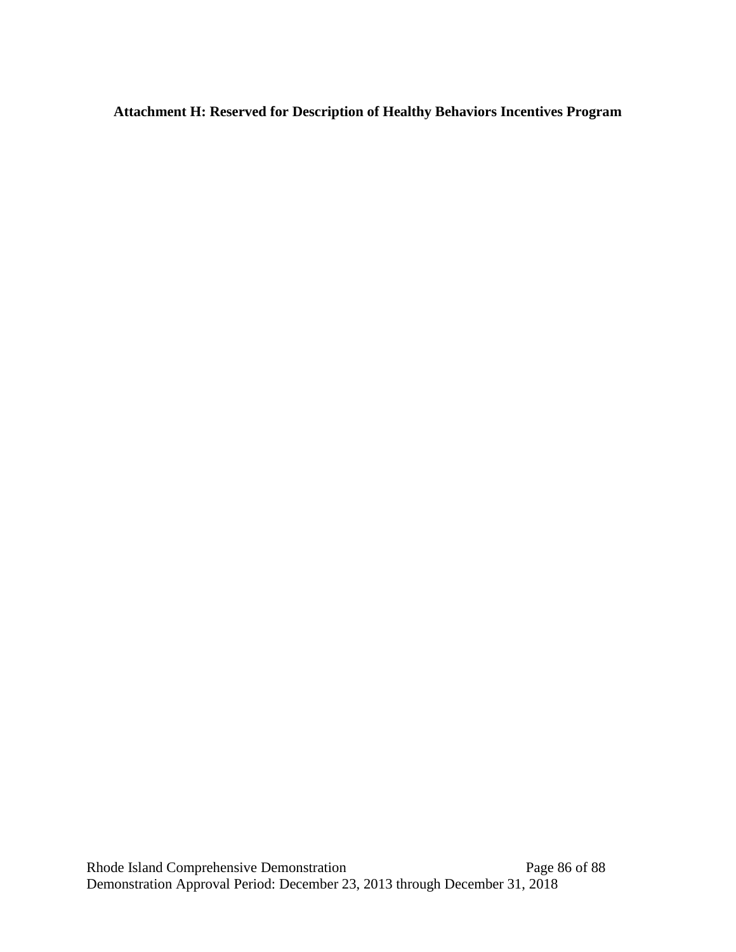**Attachment H: Reserved for Description of Healthy Behaviors Incentives Program**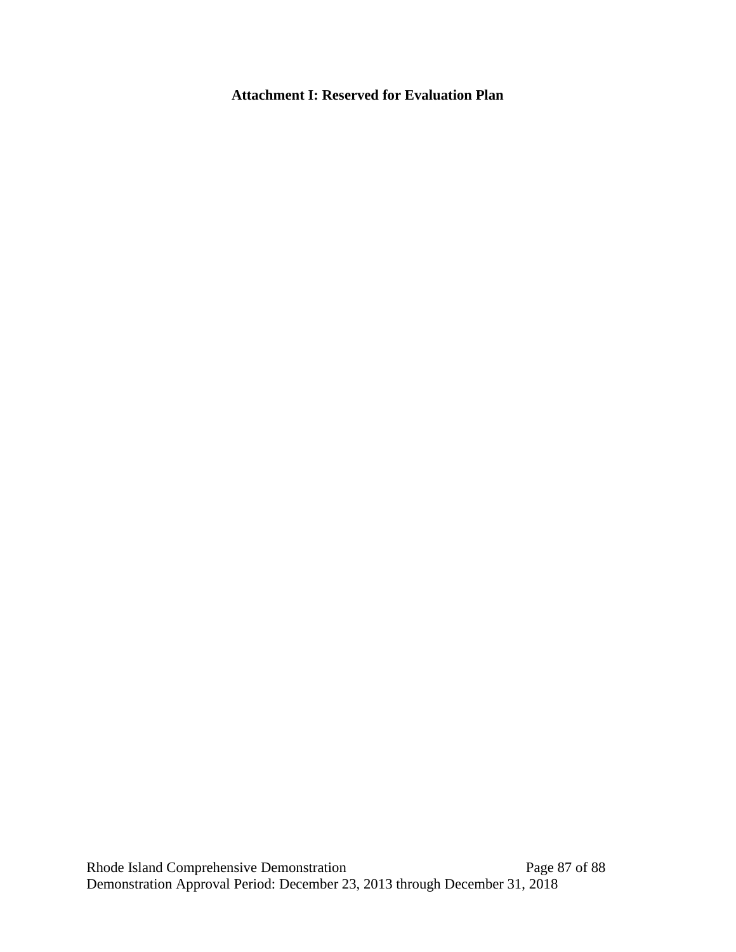# **Attachment I: Reserved for Evaluation Plan**